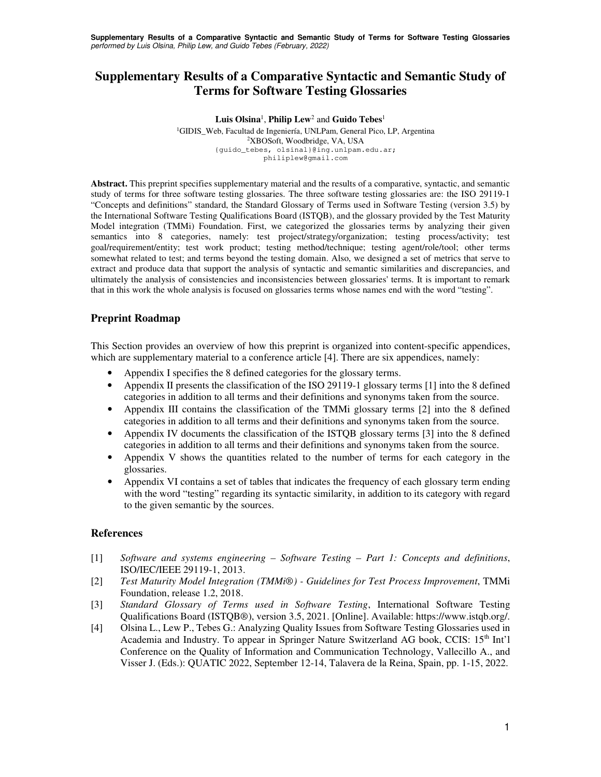### **Supplementary Results of a Comparative Syntactic and Semantic Study of Terms for Software Testing Glossaries**

**Luis Olsina**<sup>1</sup> , **Philip Lew**<sup>2</sup> and **Guido Tebes**<sup>1</sup> <sup>1</sup>GIDIS\_Web, Facultad de Ingeniería, UNLPam, General Pico, LP, Argentina <sup>2</sup>XBOSoft, Woodbridge, VA, USA {guido\_tebes, olsinal}@ing.unlpam.edu.ar; philiplew@gmail.com

**Abstract.** This preprint specifies supplementary material and the results of a comparative, syntactic, and semantic study of terms for three software testing glossaries. The three software testing glossaries are: the ISO 29119-1 "Concepts and definitions" standard, the Standard Glossary of Terms used in Software Testing (version 3.5) by the International Software Testing Qualifications Board (ISTQB), and the glossary provided by the Test Maturity Model integration (TMMi) Foundation. First, we categorized the glossaries terms by analyzing their given semantics into 8 categories, namely: test project/strategy/organization; testing process/activity; test goal/requirement/entity; test work product; testing method/technique; testing agent/role/tool; other terms somewhat related to test; and terms beyond the testing domain. Also, we designed a set of metrics that serve to extract and produce data that support the analysis of syntactic and semantic similarities and discrepancies, and ultimately the analysis of consistencies and inconsistencies between glossaries' terms. It is important to remark that in this work the whole analysis is focused on glossaries terms whose names end with the word "testing".

#### **Preprint Roadmap**

This Section provides an overview of how this preprint is organized into content-specific appendices, which are supplementary material to a conference article [4]. There are six appendices, namely:

- Appendix I specifies the 8 defined categories for the glossary terms.
- Appendix II presents the classification of the ISO 29119-1 glossary terms [1] into the 8 defined categories in addition to all terms and their definitions and synonyms taken from the source.
- Appendix III contains the classification of the TMMi glossary terms [2] into the 8 defined categories in addition to all terms and their definitions and synonyms taken from the source.
- Appendix IV documents the classification of the ISTQB glossary terms [3] into the 8 defined categories in addition to all terms and their definitions and synonyms taken from the source.
- Appendix V shows the quantities related to the number of terms for each category in the glossaries.
- Appendix VI contains a set of tables that indicates the frequency of each glossary term ending with the word "testing" regarding its syntactic similarity, in addition to its category with regard to the given semantic by the sources.

#### **References**

- [1] *Software and systems engineering Software Testing Part 1: Concepts and definitions*, ISO/IEC/IEEE 29119-1, 2013.
- [2] *Test Maturity Model Integration (TMMi®) Guidelines for Test Process Improvement*, TMMi Foundation, release 1.2, 2018.
- [3] *Standard Glossary of Terms used in Software Testing*, International Software Testing Qualifications Board (ISTQB*®*), version 3.5, 2021. [Online]. Available: https://www.istqb.org/.
- [4] Olsina L., Lew P., Tebes G.: Analyzing Quality Issues from Software Testing Glossaries used in Academia and Industry. To appear in Springer Nature Switzerland AG book, CCIS: 15<sup>th</sup> Int'l Conference on the Quality of Information and Communication Technology, Vallecillo A., and Visser J. (Eds.): QUATIC 2022, September 12-14, Talavera de la Reina, Spain, pp. 1-15, 2022.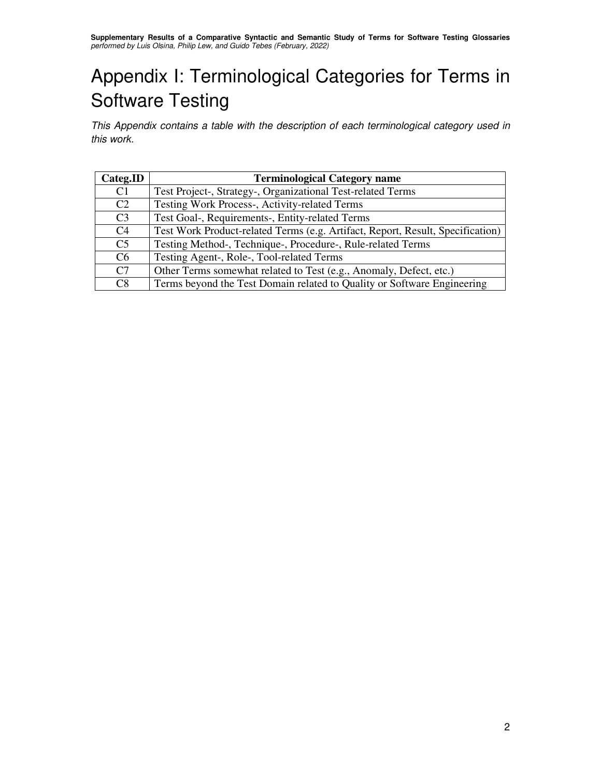# Appendix I: Terminological Categories for Terms in Software Testing

*This Appendix contains a table with the description of each terminological category used in this work.* 

| Categ.ID       | <b>Terminological Category name</b>                                            |
|----------------|--------------------------------------------------------------------------------|
| C <sub>1</sub> | Test Project-, Strategy-, Organizational Test-related Terms                    |
| C <sub>2</sub> | Testing Work Process-, Activity-related Terms                                  |
| C <sub>3</sub> | Test Goal-, Requirements-, Entity-related Terms                                |
| C4             | Test Work Product-related Terms (e.g. Artifact, Report, Result, Specification) |
| C <sub>5</sub> | Testing Method-, Technique-, Procedure-, Rule-related Terms                    |
| C6             | Testing Agent-, Role-, Tool-related Terms                                      |
| C7             | Other Terms somewhat related to Test (e.g., Anomaly, Defect, etc.)             |
| C8             | Terms beyond the Test Domain related to Quality or Software Engineering        |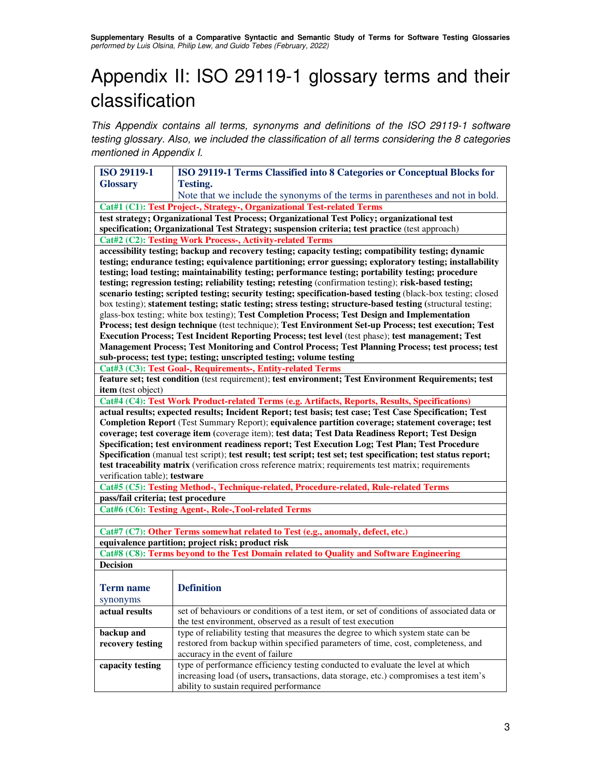## Appendix II: ISO 29119-1 glossary terms and their classification

*This Appendix contains all terms, synonyms and definitions of the ISO 29119-1 software testing glossary. Also, we included the classification of all terms considering the 8 categories mentioned in Appendix I.*

| <b>ISO 29119-1</b>                 | ISO 29119-1 Terms Classified into 8 Categories or Conceptual Blocks for                                         |
|------------------------------------|-----------------------------------------------------------------------------------------------------------------|
| <b>Glossary</b>                    | <b>Testing.</b>                                                                                                 |
|                                    | Note that we include the synonyms of the terms in parentheses and not in bold.                                  |
|                                    | Cat#1 (C1): Test Project-, Strategy-, Organizational Test-related Terms                                         |
|                                    | test strategy; Organizational Test Process; Organizational Test Policy; organizational test                     |
|                                    | specification; Organizational Test Strategy; suspension criteria; test practice (test approach)                 |
|                                    | Cat#2 (C2): Testing Work Process-, Activity-related Terms                                                       |
|                                    | accessibility testing; backup and recovery testing; capacity testing; compatibility testing; dynamic            |
|                                    | testing; endurance testing; equivalence partitioning; error guessing; exploratory testing; installability       |
|                                    | testing; load testing; maintainability testing; performance testing; portability testing; procedure             |
|                                    | testing; regression testing; reliability testing; retesting (confirmation testing); risk-based testing;         |
|                                    | scenario testing; scripted testing; security testing; specification-based testing (black-box testing; closed    |
|                                    | box testing); statement testing; static testing; stress testing; structure-based testing (structural testing;   |
|                                    | glass-box testing; white box testing); Test Completion Process; Test Design and Implementation                  |
|                                    | Process; test design technique (test technique); Test Environment Set-up Process; test execution; Test          |
|                                    | Execution Process; Test Incident Reporting Process; test level (test phase); test management; Test              |
|                                    | Management Process; Test Monitoring and Control Process; Test Planning Process; test process; test              |
|                                    | sub-process; test type; testing; unscripted testing; volume testing                                             |
|                                    | Cat#3 (C3): Test Goal-, Requirements-, Entity-related Terms                                                     |
|                                    | feature set; test condition (test requirement); test environment; Test Environment Requirements; test           |
| item (test object)                 |                                                                                                                 |
|                                    | Cat#4 (C4): Test Work Product-related Terms (e.g. Artifacts, Reports, Results, Specifications)                  |
|                                    | actual results; expected results; Incident Report; test basis; test case; Test Case Specification; Test         |
|                                    | Completion Report (Test Summary Report); equivalence partition coverage; statement coverage; test               |
|                                    | coverage; test coverage item (coverage item); test data; Test Data Readiness Report; Test Design                |
|                                    | Specification; test environment readiness report; Test Execution Log; Test Plan; Test Procedure                 |
|                                    | Specification (manual test script); test result; test script; test set; test specification; test status report; |
| verification table); testware      | test traceability matrix (verification cross reference matrix; requirements test matrix; requirements           |
|                                    | Cat#5 (C5): Testing Method-, Technique-related, Procedure-related, Rule-related Terms                           |
| pass/fail criteria; test procedure |                                                                                                                 |
|                                    | Cat#6 (C6): Testing Agent-, Role-, Tool-related Terms                                                           |
|                                    |                                                                                                                 |
|                                    | Cat#7 (C7): Other Terms somewhat related to Test (e.g., anomaly, defect, etc.)                                  |
|                                    | equivalence partition; project risk; product risk                                                               |
|                                    | Cat#8 (C8): Terms beyond to the Test Domain related to Quality and Software Engineering                         |
| <b>Decision</b>                    |                                                                                                                 |
|                                    |                                                                                                                 |
| <b>Term name</b>                   | <b>Definition</b>                                                                                               |
| synonyms                           |                                                                                                                 |
| actual results                     | set of behaviours or conditions of a test item, or set of conditions of associated data or                      |
|                                    | the test environment, observed as a result of test execution                                                    |
| backup and                         | type of reliability testing that measures the degree to which system state can be                               |
| recovery testing                   | restored from backup within specified parameters of time, cost, completeness, and                               |
|                                    | accuracy in the event of failure                                                                                |
| capacity testing                   | type of performance efficiency testing conducted to evaluate the level at which                                 |
|                                    | increasing load (of users, transactions, data storage, etc.) compromises a test item's                          |
|                                    |                                                                                                                 |
|                                    | ability to sustain required performance                                                                         |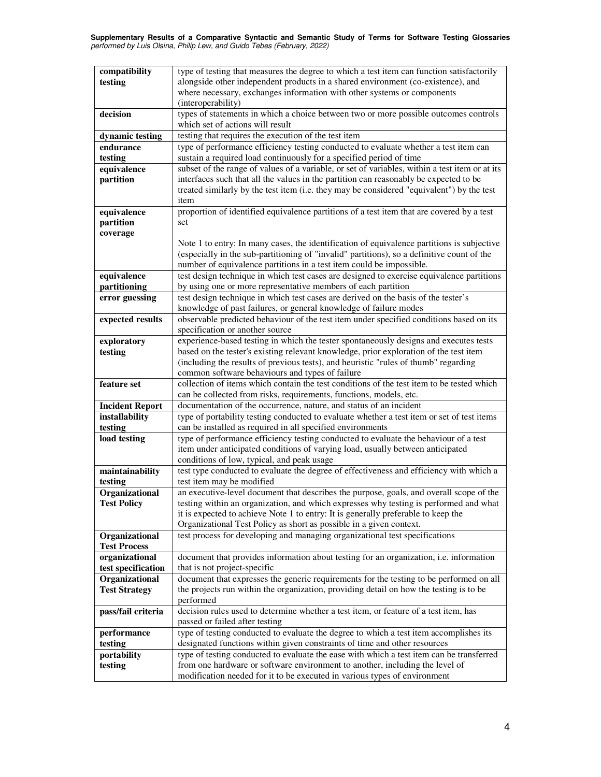| compatibility             | type of testing that measures the degree to which a test item can function satisfactorily                                                                                               |
|---------------------------|-----------------------------------------------------------------------------------------------------------------------------------------------------------------------------------------|
| testing                   | alongside other independent products in a shared environment (co-existence), and                                                                                                        |
|                           | where necessary, exchanges information with other systems or components                                                                                                                 |
|                           | (interoperability)                                                                                                                                                                      |
| decision                  | types of statements in which a choice between two or more possible outcomes controls                                                                                                    |
|                           | which set of actions will result                                                                                                                                                        |
| dynamic testing           | testing that requires the execution of the test item                                                                                                                                    |
| endurance                 | type of performance efficiency testing conducted to evaluate whether a test item can                                                                                                    |
| testing                   | sustain a required load continuously for a specified period of time                                                                                                                     |
| equivalence               | subset of the range of values of a variable, or set of variables, within a test item or at its<br>interfaces such that all the values in the partition can reasonably be expected to be |
| partition                 | treated similarly by the test item (i.e. they may be considered "equivalent") by the test                                                                                               |
|                           | item                                                                                                                                                                                    |
| equivalence               | proportion of identified equivalence partitions of a test item that are covered by a test                                                                                               |
| partition                 | set                                                                                                                                                                                     |
| coverage                  |                                                                                                                                                                                         |
|                           | Note 1 to entry: In many cases, the identification of equivalence partitions is subjective                                                                                              |
|                           | (especially in the sub-partitioning of "invalid" partitions), so a definitive count of the                                                                                              |
|                           | number of equivalence partitions in a test item could be impossible.                                                                                                                    |
| equivalence               | test design technique in which test cases are designed to exercise equivalence partitions                                                                                               |
| partitioning              | by using one or more representative members of each partition                                                                                                                           |
| error guessing            | test design technique in which test cases are derived on the basis of the tester's                                                                                                      |
|                           | knowledge of past failures, or general knowledge of failure modes                                                                                                                       |
| expected results          | observable predicted behaviour of the test item under specified conditions based on its                                                                                                 |
|                           | specification or another source                                                                                                                                                         |
| exploratory               | experience-based testing in which the tester spontaneously designs and executes tests                                                                                                   |
| testing                   | based on the tester's existing relevant knowledge, prior exploration of the test item                                                                                                   |
|                           | (including the results of previous tests), and heuristic "rules of thumb" regarding                                                                                                     |
|                           | common software behaviours and types of failure                                                                                                                                         |
| feature set               | collection of items which contain the test conditions of the test item to be tested which                                                                                               |
|                           | can be collected from risks, requirements, functions, models, etc.                                                                                                                      |
| <b>Incident Report</b>    | documentation of the occurrence, nature, and status of an incident                                                                                                                      |
| installability<br>testing | type of portability testing conducted to evaluate whether a test item or set of test items<br>can be installed as required in all specified environments                                |
| load testing              | type of performance efficiency testing conducted to evaluate the behaviour of a test                                                                                                    |
|                           | item under anticipated conditions of varying load, usually between anticipated                                                                                                          |
|                           | conditions of low, typical, and peak usage                                                                                                                                              |
| maintainability           | test type conducted to evaluate the degree of effectiveness and efficiency with which a                                                                                                 |
| testing                   | test item may be modified                                                                                                                                                               |
| Organizational            | an executive-level document that describes the purpose, goals, and overall scope of the                                                                                                 |
| <b>Test Policy</b>        | testing within an organization, and which expresses why testing is performed and what                                                                                                   |
|                           | it is expected to achieve Note 1 to entry: It is generally preferable to keep the                                                                                                       |
|                           | Organizational Test Policy as short as possible in a given context.                                                                                                                     |
| Organizational            | test process for developing and managing organizational test specifications                                                                                                             |
| <b>Test Process</b>       |                                                                                                                                                                                         |
| organizational            | document that provides information about testing for an organization, i.e. information                                                                                                  |
| test specification        | that is not project-specific                                                                                                                                                            |
| Organizational            | document that expresses the generic requirements for the testing to be performed on all                                                                                                 |
| <b>Test Strategy</b>      | the projects run within the organization, providing detail on how the testing is to be                                                                                                  |
|                           | performed                                                                                                                                                                               |
| pass/fail criteria        | decision rules used to determine whether a test item, or feature of a test item, has                                                                                                    |
|                           | passed or failed after testing                                                                                                                                                          |
| performance               | type of testing conducted to evaluate the degree to which a test item accomplishes its                                                                                                  |
| testing                   | designated functions within given constraints of time and other resources<br>type of testing conducted to evaluate the ease with which a test item can be transferred                   |
| portability<br>testing    | from one hardware or software environment to another, including the level of                                                                                                            |
|                           | modification needed for it to be executed in various types of environment                                                                                                               |
|                           |                                                                                                                                                                                         |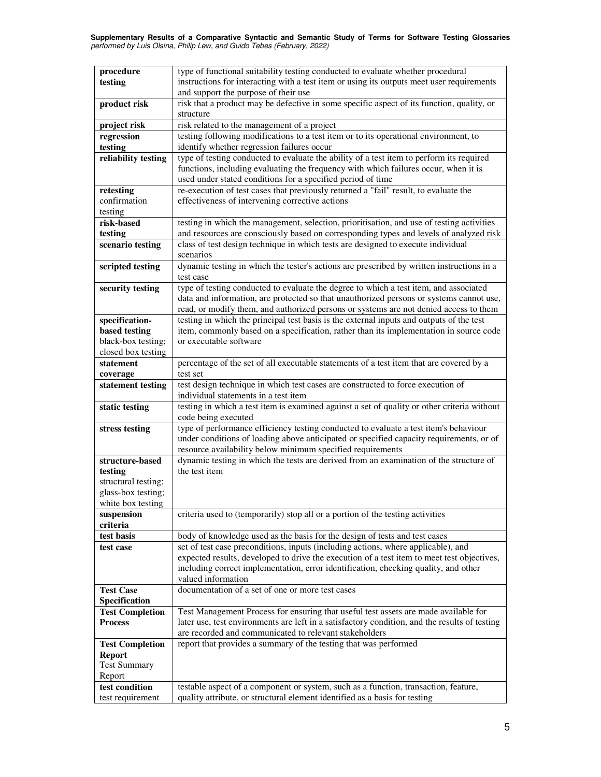| procedure              | type of functional suitability testing conducted to evaluate whether procedural                                                                                                     |
|------------------------|-------------------------------------------------------------------------------------------------------------------------------------------------------------------------------------|
| testing                | instructions for interacting with a test item or using its outputs meet user requirements                                                                                           |
|                        | and support the purpose of their use                                                                                                                                                |
| product risk           | risk that a product may be defective in some specific aspect of its function, quality, or                                                                                           |
|                        | structure                                                                                                                                                                           |
| project risk           | risk related to the management of a project                                                                                                                                         |
| regression             | testing following modifications to a test item or to its operational environment, to                                                                                                |
| testing                | identify whether regression failures occur                                                                                                                                          |
| reliability testing    | type of testing conducted to evaluate the ability of a test item to perform its required                                                                                            |
|                        | functions, including evaluating the frequency with which failures occur, when it is                                                                                                 |
|                        | used under stated conditions for a specified period of time                                                                                                                         |
| retesting              | re-execution of test cases that previously returned a "fail" result, to evaluate the                                                                                                |
| confirmation           | effectiveness of intervening corrective actions                                                                                                                                     |
| testing<br>risk-based  |                                                                                                                                                                                     |
|                        | testing in which the management, selection, prioritisation, and use of testing activities<br>and resources are consciously based on corresponding types and levels of analyzed risk |
| testing                | class of test design technique in which tests are designed to execute individual                                                                                                    |
| scenario testing       | scenarios                                                                                                                                                                           |
| scripted testing       | dynamic testing in which the tester's actions are prescribed by written instructions in a                                                                                           |
|                        | test case                                                                                                                                                                           |
| security testing       | type of testing conducted to evaluate the degree to which a test item, and associated                                                                                               |
|                        | data and information, are protected so that unauthorized persons or systems cannot use,                                                                                             |
|                        | read, or modify them, and authorized persons or systems are not denied access to them                                                                                               |
| specification-         | testing in which the principal test basis is the external inputs and outputs of the test                                                                                            |
| based testing          | item, commonly based on a specification, rather than its implementation in source code                                                                                              |
| black-box testing;     | or executable software                                                                                                                                                              |
| closed box testing     |                                                                                                                                                                                     |
| statement              | percentage of the set of all executable statements of a test item that are covered by a                                                                                             |
| coverage               | test set                                                                                                                                                                            |
| statement testing      | test design technique in which test cases are constructed to force execution of                                                                                                     |
|                        | individual statements in a test item                                                                                                                                                |
| static testing         | testing in which a test item is examined against a set of quality or other criteria without                                                                                         |
|                        | code being executed                                                                                                                                                                 |
| stress testing         | type of performance efficiency testing conducted to evaluate a test item's behaviour                                                                                                |
|                        | under conditions of loading above anticipated or specified capacity requirements, or of<br>resource availability below minimum specified requirements                               |
| structure-based        | dynamic testing in which the tests are derived from an examination of the structure of                                                                                              |
| testing                | the test item                                                                                                                                                                       |
| structural testing;    |                                                                                                                                                                                     |
| glass-box testing;     |                                                                                                                                                                                     |
| white box testing      |                                                                                                                                                                                     |
| suspension             | criteria used to (temporarily) stop all or a portion of the testing activities                                                                                                      |
| criteria               |                                                                                                                                                                                     |
| test basis             | body of knowledge used as the basis for the design of tests and test cases                                                                                                          |
| test case              | set of test case preconditions, inputs (including actions, where applicable), and                                                                                                   |
|                        | expected results, developed to drive the execution of a test item to meet test objectives,                                                                                          |
|                        | including correct implementation, error identification, checking quality, and other                                                                                                 |
|                        | valued information                                                                                                                                                                  |
| <b>Test Case</b>       | documentation of a set of one or more test cases                                                                                                                                    |
| Specification          |                                                                                                                                                                                     |
| <b>Test Completion</b> | Test Management Process for ensuring that useful test assets are made available for                                                                                                 |
| <b>Process</b>         | later use, test environments are left in a satisfactory condition, and the results of testing                                                                                       |
|                        | are recorded and communicated to relevant stakeholders                                                                                                                              |
| <b>Test Completion</b> | report that provides a summary of the testing that was performed                                                                                                                    |
| <b>Report</b>          |                                                                                                                                                                                     |
| <b>Test Summary</b>    |                                                                                                                                                                                     |
| Report                 |                                                                                                                                                                                     |
| test condition         | testable aspect of a component or system, such as a function, transaction, feature,                                                                                                 |
| test requirement       | quality attribute, or structural element identified as a basis for testing                                                                                                          |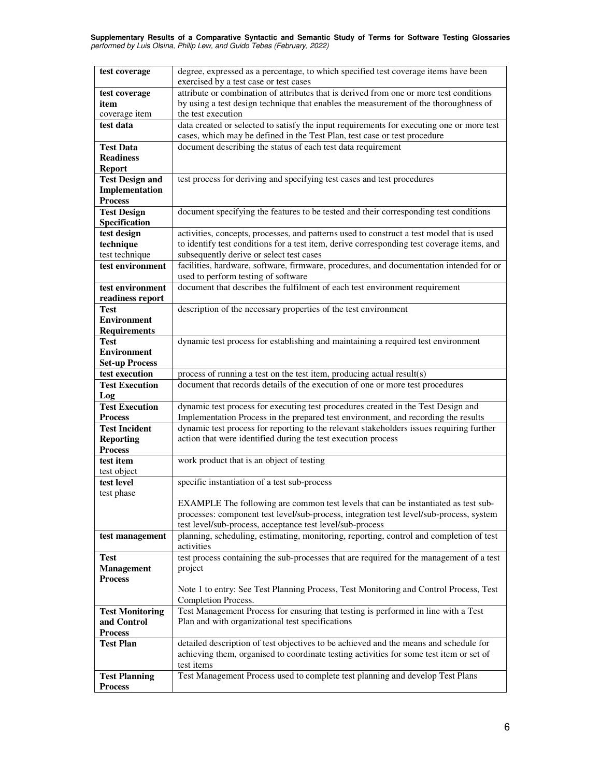| test coverage                          | degree, expressed as a percentage, to which specified test coverage items have been                                                                                    |
|----------------------------------------|------------------------------------------------------------------------------------------------------------------------------------------------------------------------|
|                                        | exercised by a test case or test cases                                                                                                                                 |
| test coverage                          | attribute or combination of attributes that is derived from one or more test conditions                                                                                |
| item                                   | by using a test design technique that enables the measurement of the thoroughness of                                                                                   |
| coverage item                          | the test execution                                                                                                                                                     |
| test data                              | data created or selected to satisfy the input requirements for executing one or more test<br>cases, which may be defined in the Test Plan, test case or test procedure |
| <b>Test Data</b>                       | document describing the status of each test data requirement                                                                                                           |
| <b>Readiness</b>                       |                                                                                                                                                                        |
| <b>Report</b>                          |                                                                                                                                                                        |
| <b>Test Design and</b>                 | test process for deriving and specifying test cases and test procedures                                                                                                |
| <b>Implementation</b>                  |                                                                                                                                                                        |
| <b>Process</b>                         |                                                                                                                                                                        |
| <b>Test Design</b>                     | document specifying the features to be tested and their corresponding test conditions                                                                                  |
| Specification                          |                                                                                                                                                                        |
| test design                            | activities, concepts, processes, and patterns used to construct a test model that is used                                                                              |
| technique                              | to identify test conditions for a test item, derive corresponding test coverage items, and                                                                             |
| test technique                         | subsequently derive or select test cases                                                                                                                               |
| test environment                       | facilities, hardware, software, firmware, procedures, and documentation intended for or                                                                                |
|                                        | used to perform testing of software                                                                                                                                    |
| test environment                       | document that describes the fulfilment of each test environment requirement                                                                                            |
| readiness report                       |                                                                                                                                                                        |
| <b>Test</b>                            | description of the necessary properties of the test environment                                                                                                        |
| <b>Environment</b>                     |                                                                                                                                                                        |
| <b>Requirements</b>                    |                                                                                                                                                                        |
| <b>Test</b>                            | dynamic test process for establishing and maintaining a required test environment                                                                                      |
| <b>Environment</b>                     |                                                                                                                                                                        |
| <b>Set-up Process</b>                  |                                                                                                                                                                        |
| test execution                         | process of running a test on the test item, producing actual result(s)                                                                                                 |
| <b>Test Execution</b>                  | document that records details of the execution of one or more test procedures                                                                                          |
| Log                                    |                                                                                                                                                                        |
| <b>Test Execution</b>                  | dynamic test process for executing test procedures created in the Test Design and                                                                                      |
|                                        |                                                                                                                                                                        |
| <b>Process</b>                         | Implementation Process in the prepared test environment, and recording the results                                                                                     |
| <b>Test Incident</b>                   | dynamic test process for reporting to the relevant stakeholders issues requiring further                                                                               |
| <b>Reporting</b>                       | action that were identified during the test execution process                                                                                                          |
| <b>Process</b>                         |                                                                                                                                                                        |
| test item                              | work product that is an object of testing                                                                                                                              |
| test object                            |                                                                                                                                                                        |
| test level                             | specific instantiation of a test sub-process                                                                                                                           |
| test phase                             |                                                                                                                                                                        |
|                                        | <b>EXAMPLE</b> The following are common test levels that can be instantiated as test sub-                                                                              |
|                                        | processes: component test level/sub-process, integration test level/sub-process, system                                                                                |
|                                        | test level/sub-process, acceptance test level/sub-process                                                                                                              |
| test management                        | planning, scheduling, estimating, monitoring, reporting, control and completion of test<br>activities                                                                  |
| <b>Test</b>                            | test process containing the sub-processes that are required for the management of a test                                                                               |
| <b>Management</b>                      | project                                                                                                                                                                |
| <b>Process</b>                         |                                                                                                                                                                        |
|                                        | Note 1 to entry: See Test Planning Process, Test Monitoring and Control Process, Test                                                                                  |
|                                        | Completion Process.                                                                                                                                                    |
| <b>Test Monitoring</b>                 | Test Management Process for ensuring that testing is performed in line with a Test                                                                                     |
| and Control                            | Plan and with organizational test specifications                                                                                                                       |
| <b>Process</b>                         |                                                                                                                                                                        |
| <b>Test Plan</b>                       | detailed description of test objectives to be achieved and the means and schedule for                                                                                  |
|                                        | achieving them, organised to coordinate testing activities for some test item or set of                                                                                |
|                                        | test items                                                                                                                                                             |
| <b>Test Planning</b><br><b>Process</b> | Test Management Process used to complete test planning and develop Test Plans                                                                                          |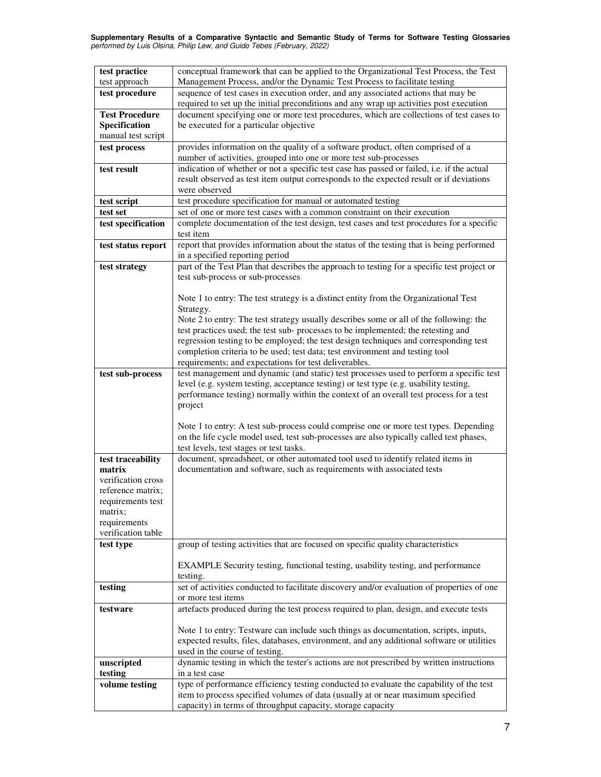| test practice               | conceptual framework that can be applied to the Organizational Test Process, the Test                                                                                             |
|-----------------------------|-----------------------------------------------------------------------------------------------------------------------------------------------------------------------------------|
| test approach               | Management Process, and/or the Dynamic Test Process to facilitate testing                                                                                                         |
| test procedure              | sequence of test cases in execution order, and any associated actions that may be                                                                                                 |
| <b>Test Procedure</b>       | required to set up the initial preconditions and any wrap up activities post execution<br>document specifying one or more test procedures, which are collections of test cases to |
| Specification               | be executed for a particular objective                                                                                                                                            |
| manual test script          |                                                                                                                                                                                   |
| test process                | provides information on the quality of a software product, often comprised of a                                                                                                   |
|                             | number of activities, grouped into one or more test sub-processes                                                                                                                 |
| test result                 | indication of whether or not a specific test case has passed or failed, i.e. if the actual                                                                                        |
|                             | result observed as test item output corresponds to the expected result or if deviations                                                                                           |
|                             | were observed                                                                                                                                                                     |
| test script                 | test procedure specification for manual or automated testing                                                                                                                      |
| test set                    | set of one or more test cases with a common constraint on their execution                                                                                                         |
| test specification          | complete documentation of the test design, test cases and test procedures for a specific                                                                                          |
|                             | test item                                                                                                                                                                         |
| test status report          | report that provides information about the status of the testing that is being performed                                                                                          |
| test strategy               | in a specified reporting period<br>part of the Test Plan that describes the approach to testing for a specific test project or                                                    |
|                             | test sub-process or sub-processes                                                                                                                                                 |
|                             |                                                                                                                                                                                   |
|                             | Note 1 to entry: The test strategy is a distinct entity from the Organizational Test                                                                                              |
|                             | Strategy.                                                                                                                                                                         |
|                             | Note 2 to entry: The test strategy usually describes some or all of the following: the                                                                                            |
|                             | test practices used; the test sub- processes to be implemented; the retesting and                                                                                                 |
|                             | regression testing to be employed; the test design techniques and corresponding test                                                                                              |
|                             | completion criteria to be used; test data; test environment and testing tool                                                                                                      |
|                             | requirements; and expectations for test deliverables.<br>test management and dynamic (and static) test processes used to perform a specific test                                  |
| test sub-process            | level (e.g. system testing, acceptance testing) or test type (e.g. usability testing,                                                                                             |
|                             | performance testing) normally within the context of an overall test process for a test                                                                                            |
|                             | project                                                                                                                                                                           |
|                             |                                                                                                                                                                                   |
|                             | Note 1 to entry: A test sub-process could comprise one or more test types. Depending                                                                                              |
|                             | on the life cycle model used, test sub-processes are also typically called test phases,                                                                                           |
|                             | test levels, test stages or test tasks.                                                                                                                                           |
| test traceability<br>matrix | document, spreadsheet, or other automated tool used to identify related items in                                                                                                  |
| verification cross          | documentation and software, such as requirements with associated tests                                                                                                            |
| reference matrix;           |                                                                                                                                                                                   |
| requirements test           |                                                                                                                                                                                   |
| matrix;                     |                                                                                                                                                                                   |
| requirements                |                                                                                                                                                                                   |
| verification table          |                                                                                                                                                                                   |
| test type                   | group of testing activities that are focused on specific quality characteristics                                                                                                  |
|                             |                                                                                                                                                                                   |
|                             | EXAMPLE Security testing, functional testing, usability testing, and performance<br>testing.                                                                                      |
| testing                     | set of activities conducted to facilitate discovery and/or evaluation of properties of one                                                                                        |
|                             | or more test items                                                                                                                                                                |
| testware                    | artefacts produced during the test process required to plan, design, and execute tests                                                                                            |
|                             |                                                                                                                                                                                   |
|                             | Note 1 to entry: Testware can include such things as documentation, scripts, inputs,                                                                                              |
|                             | expected results, files, databases, environment, and any additional software or utilities                                                                                         |
|                             | used in the course of testing.                                                                                                                                                    |
| unscripted                  | dynamic testing in which the tester's actions are not prescribed by written instructions                                                                                          |
| testing                     | in a test case                                                                                                                                                                    |
| volume testing              | type of performance efficiency testing conducted to evaluate the capability of the test                                                                                           |
|                             | item to process specified volumes of data (usually at or near maximum specified<br>capacity) in terms of throughput capacity, storage capacity                                    |
|                             |                                                                                                                                                                                   |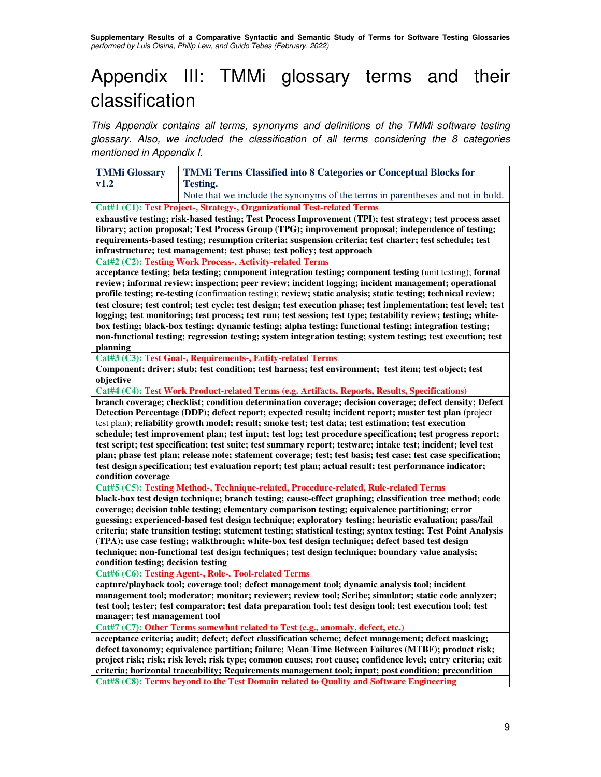# Appendix III: TMMi glossary terms and their classification

*This Appendix contains all terms, synonyms and definitions of the TMMi software testing glossary. Also, we included the classification of all terms considering the 8 categories mentioned in Appendix I.* 

| <b>TMMi Glossary</b>                | <b>TMMi Terms Classified into 8 Categories or Conceptual Blocks for</b>                                          |
|-------------------------------------|------------------------------------------------------------------------------------------------------------------|
| v1.2                                | <b>Testing.</b>                                                                                                  |
|                                     | Note that we include the synonyms of the terms in parentheses and not in bold.                                   |
|                                     | Cat#1 (C1): Test Project-, Strategy-, Organizational Test-related Terms                                          |
|                                     | exhaustive testing; risk-based testing; Test Process Improvement (TPI); test strategy; test process asset        |
|                                     | library; action proposal; Test Process Group (TPG); improvement proposal; independence of testing;               |
|                                     | requirements-based testing; resumption criteria; suspension criteria; test charter; test schedule; test          |
|                                     | infrastructure; test management; test phase; test policy; test approach                                          |
|                                     | Cat#2 (C2): Testing Work Process-, Activity-related Terms                                                        |
|                                     | acceptance testing; beta testing; component integration testing; component testing (unit testing); formal        |
|                                     | review; informal review; inspection; peer review; incident logging; incident management; operational             |
|                                     | profile testing; re-testing (confirmation testing); review; static analysis; static testing; technical review;   |
|                                     | test closure; test control; test cycle; test design; test execution phase; test implementation; test level; test |
|                                     | logging; test monitoring; test process; test run; test session; test type; testability review; testing; white-   |
|                                     | box testing; black-box testing; dynamic testing; alpha testing; functional testing; integration testing;         |
|                                     | non-functional testing; regression testing; system integration testing; system testing; test execution; test     |
| planning                            |                                                                                                                  |
|                                     | Cat#3 (C3): Test Goal-, Requirements-, Entity-related Terms                                                      |
|                                     | Component; driver; stub; test condition; test harness; test environment; test item; test object; test            |
| objective                           | Cat#4 (C4): Test Work Product-related Terms (e.g. Artifacts, Reports, Results, Specifications)                   |
|                                     | branch coverage; checklist; condition determination coverage; decision coverage; defect density; Defect          |
|                                     | Detection Percentage (DDP); defect report; expected result; incident report; master test plan (project           |
|                                     | test plan); reliability growth model; result; smoke test; test data; test estimation; test execution             |
|                                     | schedule; test improvement plan; test input; test log; test procedure specification; test progress report;       |
|                                     | test script; test specification; test suite; test summary report; testware; intake test; incident; level test    |
|                                     | plan; phase test plan; release note; statement coverage; test; test basis; test case; test case specification;   |
|                                     | test design specification; test evaluation report; test plan; actual result; test performance indicator;         |
| condition coverage                  |                                                                                                                  |
|                                     | Cat#5 (C5): Testing Method-, Technique-related, Procedure-related, Rule-related Terms                            |
|                                     | black-box test design technique; branch testing; cause-effect graphing; classification tree method; code         |
|                                     | coverage; decision table testing; elementary comparison testing; equivalence partitioning; error                 |
|                                     | guessing; experienced-based test design technique; exploratory testing; heuristic evaluation; pass/fail          |
|                                     | criteria; state transition testing; statement testing; statistical testing; syntax testing; Test Point Analysis  |
|                                     | (TPA); use case testing; walkthrough; white-box test design technique; defect based test design                  |
|                                     | technique; non-functional test design techniques; test design technique; boundary value analysis;                |
| condition testing; decision testing |                                                                                                                  |
|                                     | Cat#6 (C6): Testing Agent-, Role-, Tool-related Terms                                                            |
|                                     | capture/playback tool; coverage tool; defect management tool; dynamic analysis tool; incident                    |
|                                     | management tool; moderator; monitor; reviewer; review tool; Scribe; simulator; static code analyzer;             |
|                                     | test tool; tester; test comparator; test data preparation tool; test design tool; test execution tool; test      |
| manager; test management tool       |                                                                                                                  |
|                                     | Cat#7 (C7): Other Terms somewhat related to Test (e.g., anomaly, defect, etc.)                                   |
|                                     | acceptance criteria; audit; defect; defect classification scheme; defect management; defect masking;             |
|                                     | defect taxonomy; equivalence partition; failure; Mean Time Between Failures (MTBF); product risk;                |
|                                     | project risk; risk; risk level; risk type; common causes; root cause; confidence level; entry criteria; exit     |
|                                     | criteria; horizontal traceability; Requirements management tool; input; post condition; precondition             |
|                                     | Cat#8 (C8): Terms beyond to the Test Domain related to Quality and Software Engineering                          |
|                                     |                                                                                                                  |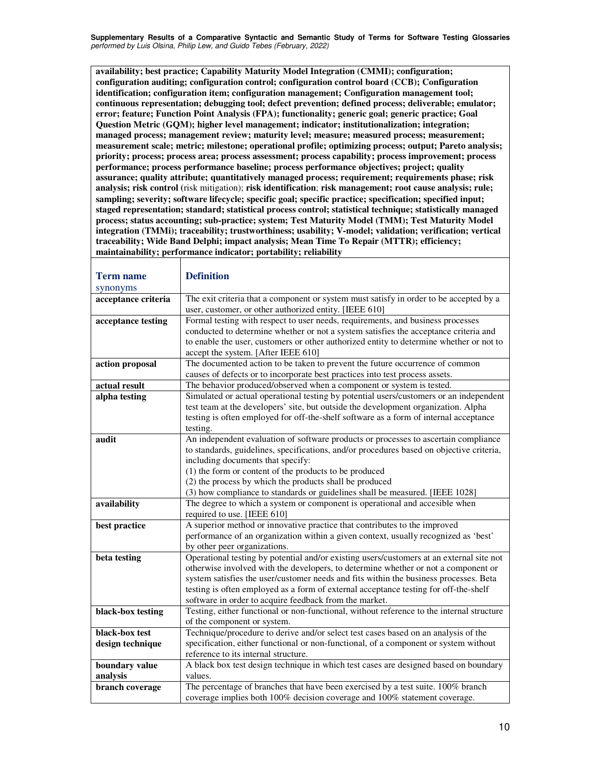**availability; best practice; Capability Maturity Model Integration (CMMI); configuration; configuration auditing; configuration control; configuration control board (CCB); Configuration identification; configuration item; configuration management; Configuration management tool; continuous representation; debugging tool; defect prevention; defined process; deliverable; emulator; error; feature; Function Point Analysis (FPA); functionality; generic goal; generic practice; Goal Question Metric (GQM); higher level management; indicator; institutionalization; integration; managed process; management review; maturity level; measure; measured process; measurement; measurement scale; metric; milestone; operational profile; optimizing process; output; Pareto analysis; priority; process; process area; process assessment; process capability; process improvement; process performance; process performance baseline; process performance objectives; project; quality assurance; quality attribute; quantitatively managed process; requirement; requirements phase; risk analysis; risk control (**risk mitigation); **risk identification**; **risk management; root cause analysis; rule; sampling; severity; software lifecycle; specific goal; specific practice; specification; specified input; staged representation; standard; statistical process control; statistical technique; statistically managed process; status accounting; sub-practice; system; Test Maturity Model (TMM); Test Maturity Model integration (TMMi); traceability; trustworthiness; usability; V-model; validation; verification; vertical traceability; Wide Band Delphi; impact analysis; Mean Time To Repair (MTTR); efficiency; maintainability; performance indicator; portability; reliability** 

| <b>Term name</b>    | <b>Definition</b>                                                                                                                                             |
|---------------------|---------------------------------------------------------------------------------------------------------------------------------------------------------------|
| synonyms            |                                                                                                                                                               |
| acceptance criteria | The exit criteria that a component or system must satisfy in order to be accepted by a                                                                        |
|                     | user, customer, or other authorized entity. [IEEE 610]                                                                                                        |
| acceptance testing  | Formal testing with respect to user needs, requirements, and business processes                                                                               |
|                     | conducted to determine whether or not a system satisfies the acceptance criteria and                                                                          |
|                     | to enable the user, customers or other authorized entity to determine whether or not to<br>accept the system. [After IEEE 610]                                |
| action proposal     | The documented action to be taken to prevent the future occurrence of common                                                                                  |
|                     | causes of defects or to incorporate best practices into test process assets.                                                                                  |
| actual result       | The behavior produced/observed when a component or system is tested.                                                                                          |
| alpha testing       | Simulated or actual operational testing by potential users/customers or an independent                                                                        |
|                     | test team at the developers' site, but outside the development organization. Alpha                                                                            |
|                     | testing is often employed for off-the-shelf software as a form of internal acceptance                                                                         |
|                     | testing.                                                                                                                                                      |
| audit               | An independent evaluation of software products or processes to ascertain compliance                                                                           |
|                     | to standards, guidelines, specifications, and/or procedures based on objective criteria,                                                                      |
|                     | including documents that specify:                                                                                                                             |
|                     | (1) the form or content of the products to be produced                                                                                                        |
|                     | (2) the process by which the products shall be produced                                                                                                       |
|                     | (3) how compliance to standards or guidelines shall be measured. [IEEE 1028]                                                                                  |
| availability        | The degree to which a system or component is operational and accesible when<br>required to use. [IEEE 610]                                                    |
| best practice       | A superior method or innovative practice that contributes to the improved                                                                                     |
|                     | performance of an organization within a given context, usually recognized as 'best'                                                                           |
|                     | by other peer organizations.                                                                                                                                  |
| beta testing        | Operational testing by potential and/or existing users/customers at an external site not                                                                      |
|                     | otherwise involved with the developers, to determine whether or not a component or                                                                            |
|                     | system satisfies the user/customer needs and fits within the business processes. Beta                                                                         |
|                     | testing is often employed as a form of external acceptance testing for off-the-shelf                                                                          |
|                     | software in order to acquire feedback from the market.                                                                                                        |
| black-box testing   | Testing, either functional or non-functional, without reference to the internal structure                                                                     |
|                     | of the component or system.                                                                                                                                   |
| black-box test      | Technique/procedure to derive and/or select test cases based on an analysis of the                                                                            |
| design technique    | specification, either functional or non-functional, of a component or system without                                                                          |
|                     | reference to its internal structure.                                                                                                                          |
| boundary value      | A black box test design technique in which test cases are designed based on boundary                                                                          |
| analysis            | values.                                                                                                                                                       |
| branch coverage     | The percentage of branches that have been exercised by a test suite. 100% branch<br>coverage implies both 100% decision coverage and 100% statement coverage. |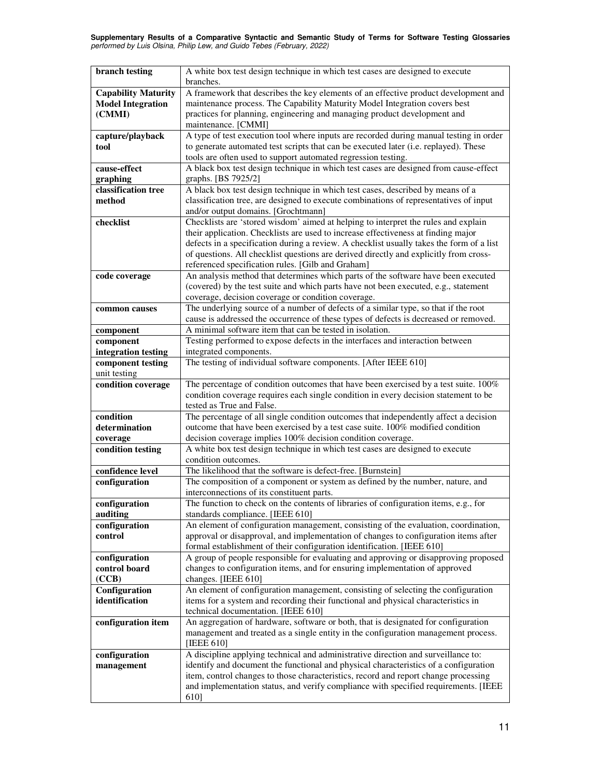| branch testing                  | A white box test design technique in which test cases are designed to execute                                                                                               |
|---------------------------------|-----------------------------------------------------------------------------------------------------------------------------------------------------------------------------|
|                                 | branches.                                                                                                                                                                   |
| <b>Capability Maturity</b>      | A framework that describes the key elements of an effective product development and                                                                                         |
| <b>Model Integration</b>        | maintenance process. The Capability Maturity Model Integration covers best<br>practices for planning, engineering and managing product development and                      |
| (CMMI)                          | maintenance. [CMMI]                                                                                                                                                         |
| capture/playback                | A type of test execution tool where inputs are recorded during manual testing in order                                                                                      |
| tool                            | to generate automated test scripts that can be executed later (i.e. replayed). These                                                                                        |
|                                 | tools are often used to support automated regression testing.                                                                                                               |
| cause-effect                    | A black box test design technique in which test cases are designed from cause-effect                                                                                        |
| graphing                        | graphs. [BS 7925/2]                                                                                                                                                         |
| classification tree             | A black box test design technique in which test cases, described by means of a                                                                                              |
| method                          | classification tree, are designed to execute combinations of representatives of input                                                                                       |
| checklist                       | and/or output domains. [Grochtmann]<br>Checklists are 'stored wisdom' aimed at helping to interpret the rules and explain                                                   |
|                                 | their application. Checklists are used to increase effectiveness at finding major                                                                                           |
|                                 | defects in a specification during a review. A checklist usually takes the form of a list                                                                                    |
|                                 | of questions. All checklist questions are derived directly and explicitly from cross-                                                                                       |
|                                 | referenced specification rules. [Gilb and Graham]                                                                                                                           |
| code coverage                   | An analysis method that determines which parts of the software have been executed                                                                                           |
|                                 | (covered) by the test suite and which parts have not been executed, e.g., statement                                                                                         |
|                                 | coverage, decision coverage or condition coverage.                                                                                                                          |
| common causes                   | The underlying source of a number of defects of a similar type, so that if the root<br>cause is addressed the occurrence of these types of defects is decreased or removed. |
|                                 | A minimal software item that can be tested in isolation.                                                                                                                    |
| component<br>component          | Testing performed to expose defects in the interfaces and interaction between                                                                                               |
| integration testing             | integrated components.                                                                                                                                                      |
| component testing               | The testing of individual software components. [After IEEE 610]                                                                                                             |
| unit testing                    |                                                                                                                                                                             |
| condition coverage              | The percentage of condition outcomes that have been exercised by a test suite. 100%                                                                                         |
|                                 | condition coverage requires each single condition in every decision statement to be                                                                                         |
|                                 | tested as True and False.<br>The percentage of all single condition outcomes that independently affect a decision                                                           |
| condition<br>determination      | outcome that have been exercised by a test case suite. 100% modified condition                                                                                              |
| coverage                        | decision coverage implies 100% decision condition coverage.                                                                                                                 |
| condition testing               | A white box test design technique in which test cases are designed to execute                                                                                               |
|                                 | condition outcomes.                                                                                                                                                         |
| confidence level                | The likelihood that the software is defect-free. [Burnstein]                                                                                                                |
| configuration                   | The composition of a component or system as defined by the number, nature, and                                                                                              |
|                                 | interconnections of its constituent parts.                                                                                                                                  |
| configuration<br>auditing       | The function to check on the contents of libraries of configuration items, e.g., for<br>standards compliance. [IEEE 610]                                                    |
| configuration                   | An element of configuration management, consisting of the evaluation, coordination,                                                                                         |
| control                         | approval or disapproval, and implementation of changes to configuration items after                                                                                         |
|                                 | formal establishment of their configuration identification. [IEEE 610]                                                                                                      |
| configuration                   | A group of people responsible for evaluating and approving or disapproving proposed                                                                                         |
| control board                   | changes to configuration items, and for ensuring implementation of approved                                                                                                 |
| (CCB)                           | changes. [IEEE 610]                                                                                                                                                         |
| Configuration<br>identification | An element of configuration management, consisting of selecting the configuration<br>items for a system and recording their functional and physical characteristics in      |
|                                 | technical documentation. [IEEE 610]                                                                                                                                         |
| configuration item              | An aggregation of hardware, software or both, that is designated for configuration                                                                                          |
|                                 | management and treated as a single entity in the configuration management process.                                                                                          |
|                                 | [IEEE 610]                                                                                                                                                                  |
| configuration                   | A discipline applying technical and administrative direction and surveillance to:                                                                                           |
| management                      | identify and document the functional and physical characteristics of a configuration                                                                                        |
|                                 | item, control changes to those characteristics, record and report change processing                                                                                         |
|                                 | and implementation status, and verify compliance with specified requirements. [IEEE<br>610]                                                                                 |
|                                 |                                                                                                                                                                             |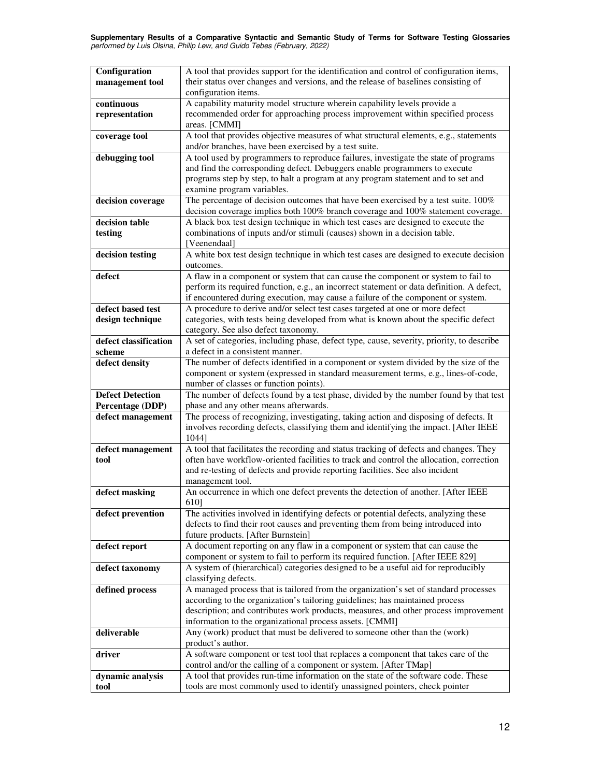| Configuration           | A tool that provides support for the identification and control of configuration items,                                                                               |
|-------------------------|-----------------------------------------------------------------------------------------------------------------------------------------------------------------------|
| management tool         | their status over changes and versions, and the release of baselines consisting of                                                                                    |
|                         | configuration items.                                                                                                                                                  |
| continuous              | A capability maturity model structure wherein capability levels provide a                                                                                             |
| representation          | recommended order for approaching process improvement within specified process                                                                                        |
|                         | areas. [CMMI]                                                                                                                                                         |
| coverage tool           | A tool that provides objective measures of what structural elements, e.g., statements                                                                                 |
|                         | and/or branches, have been exercised by a test suite.                                                                                                                 |
| debugging tool          | A tool used by programmers to reproduce failures, investigate the state of programs                                                                                   |
|                         | and find the corresponding defect. Debuggers enable programmers to execute                                                                                            |
|                         | programs step by step, to halt a program at any program statement and to set and                                                                                      |
|                         | examine program variables.                                                                                                                                            |
| decision coverage       | The percentage of decision outcomes that have been exercised by a test suite. 100%                                                                                    |
| decision table          | decision coverage implies both 100% branch coverage and 100% statement coverage.<br>A black box test design technique in which test cases are designed to execute the |
| testing                 | combinations of inputs and/or stimuli (causes) shown in a decision table.                                                                                             |
|                         | [Veenendaal]                                                                                                                                                          |
| decision testing        | A white box test design technique in which test cases are designed to execute decision                                                                                |
|                         | outcomes.                                                                                                                                                             |
| defect                  | A flaw in a component or system that can cause the component or system to fail to                                                                                     |
|                         | perform its required function, e.g., an incorrect statement or data definition. A defect,                                                                             |
|                         | if encountered during execution, may cause a failure of the component or system.                                                                                      |
| defect based test       | A procedure to derive and/or select test cases targeted at one or more defect                                                                                         |
| design technique        | categories, with tests being developed from what is known about the specific defect                                                                                   |
|                         | category. See also defect taxonomy.                                                                                                                                   |
| defect classification   | A set of categories, including phase, defect type, cause, severity, priority, to describe                                                                             |
| scheme                  | a defect in a consistent manner.                                                                                                                                      |
| defect density          | The number of defects identified in a component or system divided by the size of the                                                                                  |
|                         | component or system (expressed in standard measurement terms, e.g., lines-of-code,                                                                                    |
|                         | number of classes or function points).                                                                                                                                |
| <b>Defect Detection</b> | The number of defects found by a test phase, divided by the number found by that test                                                                                 |
| Percentage (DDP)        | phase and any other means afterwards.                                                                                                                                 |
| defect management       | The process of recognizing, investigating, taking action and disposing of defects. It                                                                                 |
|                         | involves recording defects, classifying them and identifying the impact. [After IEEE<br>1044]                                                                         |
| defect management       | A tool that facilitates the recording and status tracking of defects and changes. They                                                                                |
| tool                    | often have workflow-oriented facilities to track and control the allocation, correction                                                                               |
|                         | and re-testing of defects and provide reporting facilities. See also incident                                                                                         |
|                         | management tool.                                                                                                                                                      |
| defect masking          | An occurrence in which one defect prevents the detection of another. [After IEEE                                                                                      |
|                         | 610]                                                                                                                                                                  |
| defect prevention       | The activities involved in identifying defects or potential defects, analyzing these                                                                                  |
|                         | defects to find their root causes and preventing them from being introduced into                                                                                      |
|                         | future products. [After Burnstein]                                                                                                                                    |
| defect report           | A document reporting on any flaw in a component or system that can cause the                                                                                          |
|                         | component or system to fail to perform its required function. [After IEEE 829]                                                                                        |
| defect taxonomy         | A system of (hierarchical) categories designed to be a useful aid for reproducibly                                                                                    |
|                         | classifying defects.                                                                                                                                                  |
| defined process         | A managed process that is tailored from the organization's set of standard processes                                                                                  |
|                         | according to the organization's tailoring guidelines; has maintained process                                                                                          |
|                         | description; and contributes work products, measures, and other process improvement<br>information to the organizational process assets. [CMMI]                       |
| deliverable             | Any (work) product that must be delivered to someone other than the (work)                                                                                            |
|                         | product's author.                                                                                                                                                     |
| driver                  | A software component or test tool that replaces a component that takes care of the                                                                                    |
|                         | control and/or the calling of a component or system. [After TMap]                                                                                                     |
| dynamic analysis        | A tool that provides run-time information on the state of the software code. These                                                                                    |
| tool                    | tools are most commonly used to identify unassigned pointers, check pointer                                                                                           |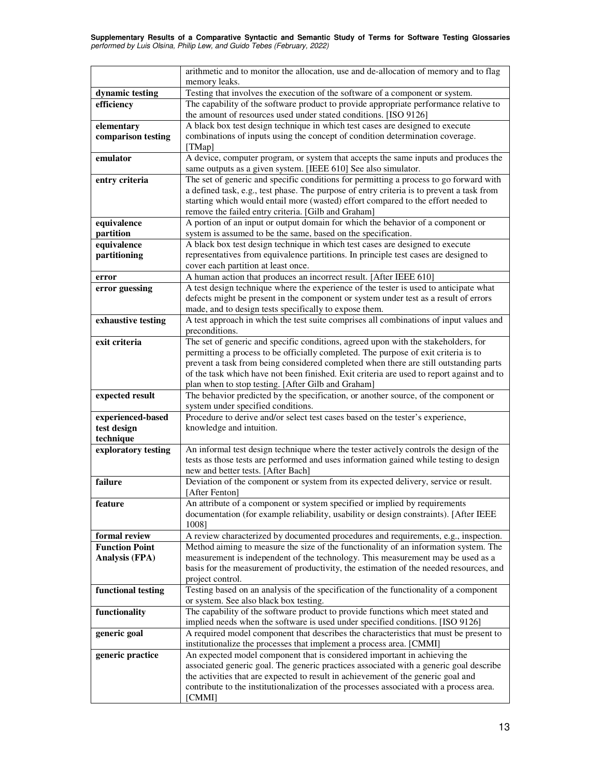|                          | arithmetic and to monitor the allocation, use and de-allocation of memory and to flag                                                                                            |
|--------------------------|----------------------------------------------------------------------------------------------------------------------------------------------------------------------------------|
|                          | memory leaks.                                                                                                                                                                    |
| dynamic testing          | Testing that involves the execution of the software of a component or system.                                                                                                    |
| efficiency               | The capability of the software product to provide appropriate performance relative to                                                                                            |
|                          | the amount of resources used under stated conditions. [ISO 9126]                                                                                                                 |
| elementary               | A black box test design technique in which test cases are designed to execute                                                                                                    |
| comparison testing       | combinations of inputs using the concept of condition determination coverage.                                                                                                    |
|                          | [TMap]                                                                                                                                                                           |
| emulator                 | A device, computer program, or system that accepts the same inputs and produces the                                                                                              |
|                          | same outputs as a given system. [IEEE 610] See also simulator.                                                                                                                   |
| entry criteria           | The set of generic and specific conditions for permitting a process to go forward with                                                                                           |
|                          | a defined task, e.g., test phase. The purpose of entry criteria is to prevent a task from                                                                                        |
|                          | starting which would entail more (wasted) effort compared to the effort needed to                                                                                                |
|                          | remove the failed entry criteria. [Gilb and Graham]<br>A portion of an input or output domain for which the behavior of a component or                                           |
| equivalence<br>partition | system is assumed to be the same, based on the specification.                                                                                                                    |
| equivalence              | A black box test design technique in which test cases are designed to execute                                                                                                    |
| partitioning             | representatives from equivalence partitions. In principle test cases are designed to                                                                                             |
|                          | cover each partition at least once.                                                                                                                                              |
| error                    | A human action that produces an incorrect result. [After IEEE 610]                                                                                                               |
| error guessing           | A test design technique where the experience of the tester is used to anticipate what                                                                                            |
|                          | defects might be present in the component or system under test as a result of errors                                                                                             |
|                          | made, and to design tests specifically to expose them.                                                                                                                           |
| exhaustive testing       | A test approach in which the test suite comprises all combinations of input values and                                                                                           |
|                          | preconditions.                                                                                                                                                                   |
| exit criteria            | The set of generic and specific conditions, agreed upon with the stakeholders, for                                                                                               |
|                          | permitting a process to be officially completed. The purpose of exit criteria is to                                                                                              |
|                          | prevent a task from being considered completed when there are still outstanding parts                                                                                            |
|                          | of the task which have not been finished. Exit criteria are used to report against and to                                                                                        |
|                          | plan when to stop testing. [After Gilb and Graham]                                                                                                                               |
| expected result          | The behavior predicted by the specification, or another source, of the component or                                                                                              |
|                          | system under specified conditions.                                                                                                                                               |
| experienced-based        | Procedure to derive and/or select test cases based on the tester's experience,                                                                                                   |
| test design              | knowledge and intuition.                                                                                                                                                         |
| technique                |                                                                                                                                                                                  |
| exploratory testing      | An informal test design technique where the tester actively controls the design of the<br>tests as those tests are performed and uses information gained while testing to design |
|                          | new and better tests. [After Bach]                                                                                                                                               |
| failure                  | Deviation of the component or system from its expected delivery, service or result.                                                                                              |
|                          | [After Fenton]                                                                                                                                                                   |
| feature                  | An attribute of a component or system specified or implied by requirements                                                                                                       |
|                          | documentation (for example reliability, usability or design constraints). [After IEEE                                                                                            |
|                          | 1008]                                                                                                                                                                            |
| formal review            | A review characterized by documented procedures and requirements, e.g., inspection.                                                                                              |
| <b>Function Point</b>    | Method aiming to measure the size of the functionality of an information system. The                                                                                             |
| <b>Analysis (FPA)</b>    | measurement is independent of the technology. This measurement may be used as a                                                                                                  |
|                          | basis for the measurement of productivity, the estimation of the needed resources, and                                                                                           |
|                          | project control.                                                                                                                                                                 |
| functional testing       | Testing based on an analysis of the specification of the functionality of a component                                                                                            |
|                          | or system. See also black box testing.                                                                                                                                           |
| functionality            | The capability of the software product to provide functions which meet stated and                                                                                                |
|                          | implied needs when the software is used under specified conditions. [ISO 9126]                                                                                                   |
| generic goal             | A required model component that describes the characteristics that must be present to                                                                                            |
|                          | institutionalize the processes that implement a process area. [CMMI]                                                                                                             |
| generic practice         | An expected model component that is considered important in achieving the<br>associated generic goal. The generic practices associated with a generic goal describe              |
|                          | the activities that are expected to result in achievement of the generic goal and                                                                                                |
|                          |                                                                                                                                                                                  |
|                          | contribute to the institutionalization of the processes associated with a process area.                                                                                          |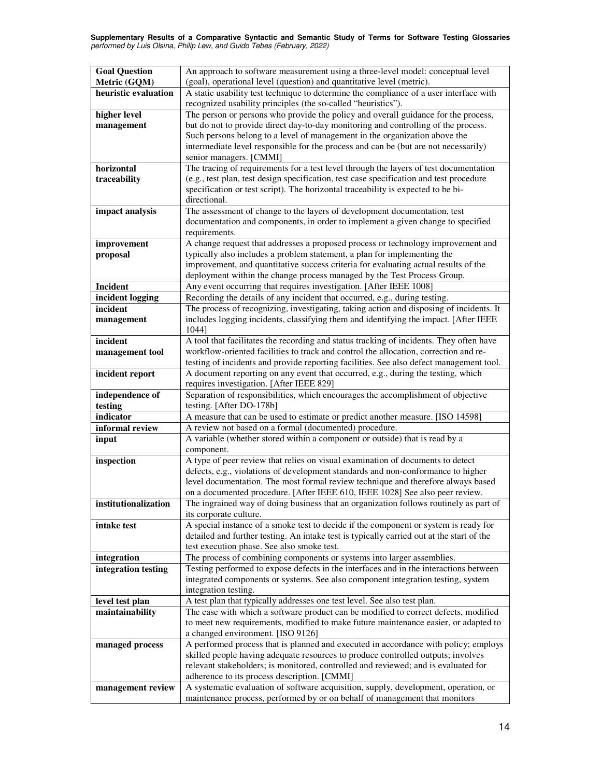| <b>Goal Question</b> | An approach to software measurement using a three-level model: conceptual level                                                     |
|----------------------|-------------------------------------------------------------------------------------------------------------------------------------|
| Metric (GQM)         | (goal), operational level (question) and quantitative level (metric).                                                               |
| heuristic evaluation | A static usability test technique to determine the compliance of a user interface with                                              |
|                      | recognized usability principles (the so-called "heuristics").                                                                       |
| higher level         | The person or persons who provide the policy and overall guidance for the process,                                                  |
| management           | but do not to provide direct day-to-day monitoring and controlling of the process.                                                  |
|                      | Such persons belong to a level of management in the organization above the                                                          |
|                      | intermediate level responsible for the process and can be (but are not necessarily)                                                 |
|                      | senior managers. [CMMI]                                                                                                             |
| horizontal           | The tracing of requirements for a test level through the layers of test documentation                                               |
| traceability         | (e.g., test plan, test design specification, test case specification and test procedure                                             |
|                      | specification or test script). The horizontal traceability is expected to be bi-                                                    |
|                      | directional.                                                                                                                        |
| impact analysis      | The assessment of change to the layers of development documentation, test                                                           |
|                      | documentation and components, in order to implement a given change to specified<br>requirements.                                    |
| improvement          | A change request that addresses a proposed process or technology improvement and                                                    |
| proposal             | typically also includes a problem statement, a plan for implementing the                                                            |
|                      | improvement, and quantitative success criteria for evaluating actual results of the                                                 |
|                      | deployment within the change process managed by the Test Process Group.                                                             |
| Incident             | Any event occurring that requires investigation. [After IEEE 1008]                                                                  |
| incident logging     | Recording the details of any incident that occurred, e.g., during testing.                                                          |
| incident             | The process of recognizing, investigating, taking action and disposing of incidents. It                                             |
| management           | includes logging incidents, classifying them and identifying the impact. [After IEEE                                                |
|                      | 1044]                                                                                                                               |
| incident             | A tool that facilitates the recording and status tracking of incidents. They often have                                             |
| management tool      | workflow-oriented facilities to track and control the allocation, correction and re-                                                |
|                      | testing of incidents and provide reporting facilities. See also defect management tool.                                             |
| incident report      | A document reporting on any event that occurred, e.g., during the testing, which                                                    |
|                      |                                                                                                                                     |
|                      | requires investigation. [After IEEE 829]                                                                                            |
| independence of      | Separation of responsibilities, which encourages the accomplishment of objective                                                    |
| testing              | testing. [After DO-178b]                                                                                                            |
| indicator            | A measure that can be used to estimate or predict another measure. [ISO 14598]                                                      |
| informal review      | A review not based on a formal (documented) procedure.                                                                              |
| input                | A variable (whether stored within a component or outside) that is read by a                                                         |
|                      | component.                                                                                                                          |
| inspection           | A type of peer review that relies on visual examination of documents to detect                                                      |
|                      | defects, e.g., violations of development standards and non-conformance to higher                                                    |
|                      | level documentation. The most formal review technique and therefore always based                                                    |
|                      | on a documented procedure. [After IEEE 610, IEEE 1028] See also peer review.                                                        |
| institutionalization | The ingrained way of doing business that an organization follows routinely as part of                                               |
| intake test          | its corporate culture.<br>A special instance of a smoke test to decide if the component or system is ready for                      |
|                      | detailed and further testing. An intake test is typically carried out at the start of the                                           |
|                      | test execution phase. See also smoke test.                                                                                          |
| integration          | The process of combining components or systems into larger assemblies.                                                              |
| integration testing  | Testing performed to expose defects in the interfaces and in the interactions between                                               |
|                      | integrated components or systems. See also component integration testing, system                                                    |
|                      | integration testing.                                                                                                                |
| level test plan      | A test plan that typically addresses one test level. See also test plan.                                                            |
| maintainability      | The ease with which a software product can be modified to correct defects, modified                                                 |
|                      | to meet new requirements, modified to make future maintenance easier, or adapted to                                                 |
|                      | a changed environment. [ISO 9126]                                                                                                   |
| managed process      | A performed process that is planned and executed in accordance with policy; employs                                                 |
|                      | skilled people having adequate resources to produce controlled outputs; involves                                                    |
|                      | relevant stakeholders; is monitored, controlled and reviewed; and is evaluated for                                                  |
| management review    | adherence to its process description. [CMMI]<br>A systematic evaluation of software acquisition, supply, development, operation, or |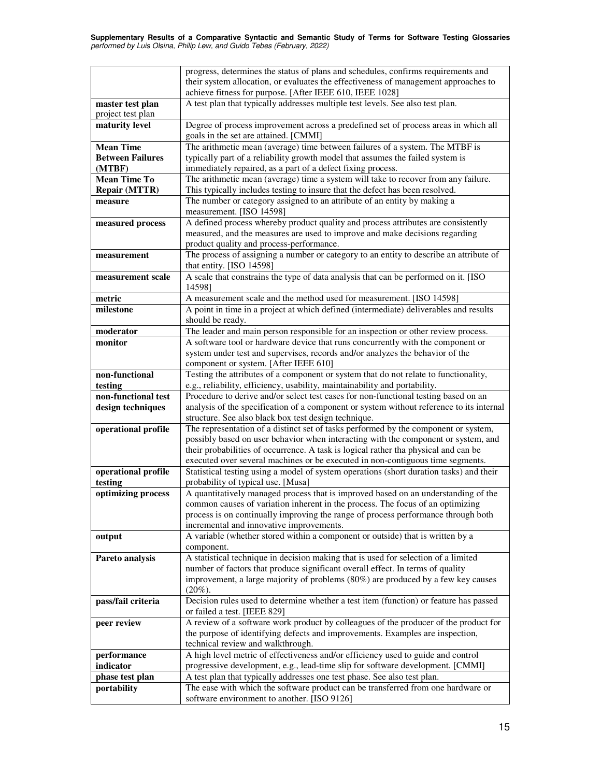|                         | progress, determines the status of plans and schedules, confirms requirements and                                                                                         |
|-------------------------|---------------------------------------------------------------------------------------------------------------------------------------------------------------------------|
|                         | their system allocation, or evaluates the effectiveness of management approaches to                                                                                       |
|                         | achieve fitness for purpose. [After IEEE 610, IEEE 1028]                                                                                                                  |
| master test plan        | A test plan that typically addresses multiple test levels. See also test plan.                                                                                            |
| project test plan       |                                                                                                                                                                           |
| maturity level          | Degree of process improvement across a predefined set of process areas in which all<br>goals in the set are attained. [CMMI]                                              |
| <b>Mean Time</b>        | The arithmetic mean (average) time between failures of a system. The MTBF is                                                                                              |
| <b>Between Failures</b> | typically part of a reliability growth model that assumes the failed system is                                                                                            |
| (MTBF)                  | immediately repaired, as a part of a defect fixing process.                                                                                                               |
| <b>Mean Time To</b>     | The arithmetic mean (average) time a system will take to recover from any failure.                                                                                        |
| <b>Repair (MTTR)</b>    | This typically includes testing to insure that the defect has been resolved.                                                                                              |
| measure                 | The number or category assigned to an attribute of an entity by making a<br>measurement. [ISO 14598]                                                                      |
| measured process        | A defined process whereby product quality and process attributes are consistently                                                                                         |
|                         | measured, and the measures are used to improve and make decisions regarding                                                                                               |
|                         | product quality and process-performance.                                                                                                                                  |
| measurement             | The process of assigning a number or category to an entity to describe an attribute of<br>that entity. [ISO 14598]                                                        |
| measurement scale       | A scale that constrains the type of data analysis that can be performed on it. [ISO                                                                                       |
|                         | 14598]                                                                                                                                                                    |
| metric                  | A measurement scale and the method used for measurement. [ISO 14598]                                                                                                      |
| milestone               | A point in time in a project at which defined (intermediate) deliverables and results                                                                                     |
|                         | should be ready.                                                                                                                                                          |
| moderator               | The leader and main person responsible for an inspection or other review process.                                                                                         |
| monitor                 | A software tool or hardware device that runs concurrently with the component or                                                                                           |
|                         | system under test and supervises, records and/or analyzes the behavior of the                                                                                             |
|                         | component or system. [After IEEE 610]                                                                                                                                     |
| non-functional          | Testing the attributes of a component or system that do not relate to functionality,                                                                                      |
| testing                 | e.g., reliability, efficiency, usability, maintainability and portability.                                                                                                |
| non-functional test     | Procedure to derive and/or select test cases for non-functional testing based on an                                                                                       |
| design techniques       | analysis of the specification of a component or system without reference to its internal                                                                                  |
|                         | structure. See also black box test design technique.                                                                                                                      |
| operational profile     | The representation of a distinct set of tasks performed by the component or system,<br>possibly based on user behavior when interacting with the component or system, and |
|                         | their probabilities of occurrence. A task is logical rather tha physical and can be                                                                                       |
|                         | executed over several machines or be executed in non-contiguous time segments.                                                                                            |
| operational profile     | Statistical testing using a model of system operations (short duration tasks) and their                                                                                   |
| testing                 | probability of typical use. [Musa]                                                                                                                                        |
| optimizing process      | A quantitatively managed process that is improved based on an understanding of the                                                                                        |
|                         | common causes of variation inherent in the process. The focus of an optimizing                                                                                            |
|                         | process is on continually improving the range of process performance through both                                                                                         |
|                         | incremental and innovative improvements.                                                                                                                                  |
| output                  | A variable (whether stored within a component or outside) that is written by a                                                                                            |
|                         | component.                                                                                                                                                                |
| Pareto analysis         | A statistical technique in decision making that is used for selection of a limited                                                                                        |
|                         | number of factors that produce significant overall effect. In terms of quality                                                                                            |
|                         | improvement, a large majority of problems (80%) are produced by a few key causes                                                                                          |
|                         | $(20\%).$                                                                                                                                                                 |
| pass/fail criteria      | Decision rules used to determine whether a test item (function) or feature has passed<br>or failed a test. [IEEE 829]                                                     |
| peer review             | A review of a software work product by colleagues of the producer of the product for                                                                                      |
|                         | the purpose of identifying defects and improvements. Examples are inspection,                                                                                             |
|                         | technical review and walkthrough.                                                                                                                                         |
| performance             | A high level metric of effectiveness and/or efficiency used to guide and control                                                                                          |
| indicator               | progressive development, e.g., lead-time slip for software development. [CMMI]                                                                                            |
| phase test plan         | A test plan that typically addresses one test phase. See also test plan.                                                                                                  |
| portability             | The ease with which the software product can be transferred from one hardware or                                                                                          |
|                         | software environment to another. [ISO 9126]                                                                                                                               |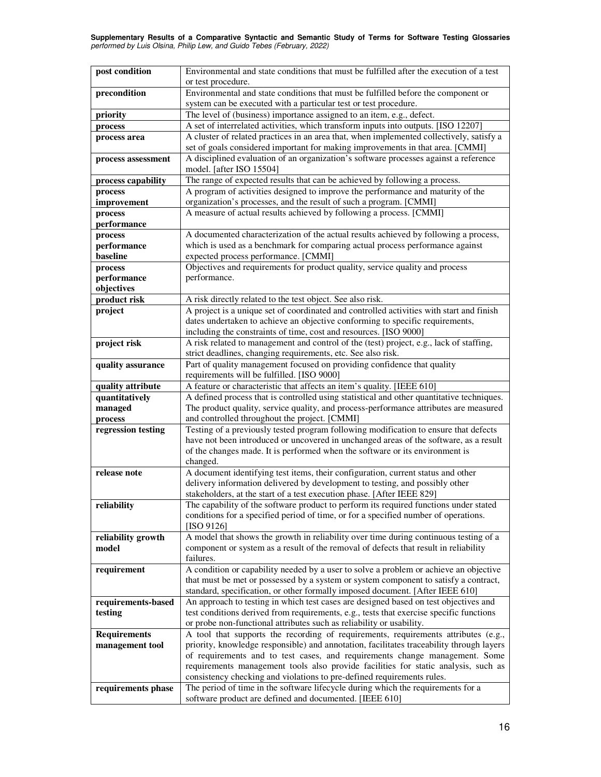| post condition      | Environmental and state conditions that must be fulfilled after the execution of a test                                                                                        |
|---------------------|--------------------------------------------------------------------------------------------------------------------------------------------------------------------------------|
|                     | or test procedure.                                                                                                                                                             |
| precondition        | Environmental and state conditions that must be fulfilled before the component or                                                                                              |
|                     | system can be executed with a particular test or test procedure.                                                                                                               |
| priority            | The level of (business) importance assigned to an item, e.g., defect.                                                                                                          |
| process             | A set of interrelated activities, which transform inputs into outputs. [ISO 12207]<br>A cluster of related practices in an area that, when implemented collectively, satisfy a |
| process area        | set of goals considered important for making improvements in that area. [CMMI]                                                                                                 |
|                     | A disciplined evaluation of an organization's software processes against a reference                                                                                           |
| process assessment  | model. [after ISO 15504]                                                                                                                                                       |
| process capability  | The range of expected results that can be achieved by following a process.                                                                                                     |
| process             | A program of activities designed to improve the performance and maturity of the                                                                                                |
| improvement         | organization's processes, and the result of such a program. [CMMI]                                                                                                             |
| process             | A measure of actual results achieved by following a process. [CMMI]                                                                                                            |
| performance         |                                                                                                                                                                                |
| process             | A documented characterization of the actual results achieved by following a process,                                                                                           |
| performance         | which is used as a benchmark for comparing actual process performance against                                                                                                  |
| baseline            | expected process performance. [CMMI]                                                                                                                                           |
| process             | Objectives and requirements for product quality, service quality and process                                                                                                   |
| performance         | performance.                                                                                                                                                                   |
| objectives          |                                                                                                                                                                                |
| product risk        | A risk directly related to the test object. See also risk.                                                                                                                     |
| project             | A project is a unique set of coordinated and controlled activities with start and finish                                                                                       |
|                     | dates undertaken to achieve an objective conforming to specific requirements,                                                                                                  |
|                     | including the constraints of time, cost and resources. [ISO 9000]                                                                                                              |
| project risk        | A risk related to management and control of the (test) project, e.g., lack of staffing,                                                                                        |
|                     | strict deadlines, changing requirements, etc. See also risk.                                                                                                                   |
| quality assurance   | Part of quality management focused on providing confidence that quality                                                                                                        |
|                     | requirements will be fulfilled. [ISO 9000]                                                                                                                                     |
| quality attribute   | A feature or characteristic that affects an item's quality. [IEEE 610]                                                                                                         |
| quantitatively      | A defined process that is controlled using statistical and other quantitative techniques.                                                                                      |
| managed             | The product quality, service quality, and process-performance attributes are measured                                                                                          |
| process             | and controlled throughout the project. [CMMI]                                                                                                                                  |
| regression testing  | Testing of a previously tested program following modification to ensure that defects                                                                                           |
|                     | have not been introduced or uncovered in unchanged areas of the software, as a result                                                                                          |
|                     | of the changes made. It is performed when the software or its environment is<br>changed.                                                                                       |
| release note        | A document identifying test items, their configuration, current status and other                                                                                               |
|                     | delivery information delivered by development to testing, and possibly other                                                                                                   |
|                     | stakeholders, at the start of a test execution phase. [After IEEE 829]                                                                                                         |
| reliability         | The capability of the software product to perform its required functions under stated                                                                                          |
|                     | conditions for a specified period of time, or for a specified number of operations.                                                                                            |
|                     | [ISO 9126]                                                                                                                                                                     |
| reliability growth  | A model that shows the growth in reliability over time during continuous testing of a                                                                                          |
| model               | component or system as a result of the removal of defects that result in reliability                                                                                           |
|                     | failures.                                                                                                                                                                      |
| requirement         | A condition or capability needed by a user to solve a problem or achieve an objective                                                                                          |
|                     | that must be met or possessed by a system or system component to satisfy a contract,                                                                                           |
|                     | standard, specification, or other formally imposed document. [After IEEE 610]                                                                                                  |
| requirements-based  | An approach to testing in which test cases are designed based on test objectives and                                                                                           |
| testing             | test conditions derived from requirements, e.g., tests that exercise specific functions                                                                                        |
|                     | or probe non-functional attributes such as reliability or usability.                                                                                                           |
| <b>Requirements</b> | A tool that supports the recording of requirements, requirements attributes (e.g.,                                                                                             |
| management tool     | priority, knowledge responsible) and annotation, facilitates traceability through layers                                                                                       |
|                     | of requirements and to test cases, and requirements change management. Some                                                                                                    |
|                     | requirements management tools also provide facilities for static analysis, such as                                                                                             |
|                     | consistency checking and violations to pre-defined requirements rules.                                                                                                         |
| requirements phase  | The period of time in the software lifecycle during which the requirements for a                                                                                               |
|                     | software product are defined and documented. [IEEE 610]                                                                                                                        |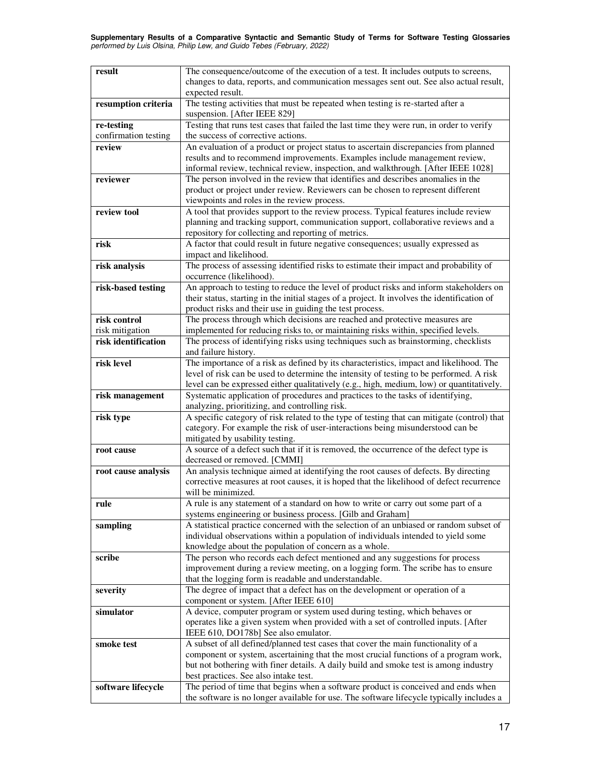| result               | The consequence/outcome of the execution of a test. It includes outputs to screens,                                                                                                 |
|----------------------|-------------------------------------------------------------------------------------------------------------------------------------------------------------------------------------|
|                      | changes to data, reports, and communication messages sent out. See also actual result,                                                                                              |
|                      | expected result.                                                                                                                                                                    |
| resumption criteria  | The testing activities that must be repeated when testing is re-started after a                                                                                                     |
|                      | suspension. [After IEEE 829]                                                                                                                                                        |
| re-testing           | Testing that runs test cases that failed the last time they were run, in order to verify                                                                                            |
| confirmation testing | the success of corrective actions.                                                                                                                                                  |
| review               | An evaluation of a product or project status to ascertain discrepancies from planned                                                                                                |
|                      | results and to recommend improvements. Examples include management review,                                                                                                          |
| reviewer             | informal review, technical review, inspection, and walkthrough. [After IEEE 1028]<br>The person involved in the review that identifies and describes anomalies in the               |
|                      | product or project under review. Reviewers can be chosen to represent different                                                                                                     |
|                      | viewpoints and roles in the review process.                                                                                                                                         |
| review tool          | A tool that provides support to the review process. Typical features include review                                                                                                 |
|                      | planning and tracking support, communication support, collaborative reviews and a                                                                                                   |
|                      | repository for collecting and reporting of metrics.                                                                                                                                 |
| risk                 | A factor that could result in future negative consequences; usually expressed as                                                                                                    |
|                      | impact and likelihood.                                                                                                                                                              |
| risk analysis        | The process of assessing identified risks to estimate their impact and probability of                                                                                               |
|                      | occurrence (likelihood).                                                                                                                                                            |
| risk-based testing   | An approach to testing to reduce the level of product risks and inform stakeholders on                                                                                              |
|                      | their status, starting in the initial stages of a project. It involves the identification of                                                                                        |
|                      | product risks and their use in guiding the test process.                                                                                                                            |
| risk control         | The process through which decisions are reached and protective measures are                                                                                                         |
| risk mitigation      | implemented for reducing risks to, or maintaining risks within, specified levels.                                                                                                   |
| risk identification  | The process of identifying risks using techniques such as brainstorming, checklists                                                                                                 |
|                      | and failure history.                                                                                                                                                                |
| risk level           | The importance of a risk as defined by its characteristics, impact and likelihood. The                                                                                              |
|                      | level of risk can be used to determine the intensity of testing to be performed. A risk<br>level can be expressed either qualitatively (e.g., high, medium, low) or quantitatively. |
| risk management      | Systematic application of procedures and practices to the tasks of identifying,                                                                                                     |
|                      | analyzing, prioritizing, and controlling risk.                                                                                                                                      |
| risk type            | A specific category of risk related to the type of testing that can mitigate (control) that                                                                                         |
|                      | category. For example the risk of user-interactions being misunderstood can be                                                                                                      |
|                      | mitigated by usability testing.                                                                                                                                                     |
| root cause           | A source of a defect such that if it is removed, the occurrence of the defect type is                                                                                               |
|                      | decreased or removed. [CMMI]                                                                                                                                                        |
| root cause analysis  | An analysis technique aimed at identifying the root causes of defects. By directing                                                                                                 |
|                      | corrective measures at root causes, it is hoped that the likelihood of defect recurrence                                                                                            |
|                      | will be minimized.                                                                                                                                                                  |
| rule                 | A rule is any statement of a standard on how to write or carry out some part of a                                                                                                   |
|                      | systems engineering or business process. [Gilb and Graham]                                                                                                                          |
| sampling             | A statistical practice concerned with the selection of an unbiased or random subset of<br>individual observations within a population of individuals intended to yield some         |
|                      | knowledge about the population of concern as a whole.                                                                                                                               |
| scribe               | The person who records each defect mentioned and any suggestions for process                                                                                                        |
|                      | improvement during a review meeting, on a logging form. The scribe has to ensure                                                                                                    |
|                      | that the logging form is readable and understandable.                                                                                                                               |
| severity             | The degree of impact that a defect has on the development or operation of a                                                                                                         |
|                      | component or system. [After IEEE 610]                                                                                                                                               |
| simulator            | A device, computer program or system used during testing, which behaves or                                                                                                          |
|                      | operates like a given system when provided with a set of controlled inputs. [After                                                                                                  |
|                      | IEEE 610, DO178b] See also emulator.                                                                                                                                                |
| smoke test           | A subset of all defined/planned test cases that cover the main functionality of a                                                                                                   |
|                      | component or system, ascertaining that the most crucial functions of a program work,                                                                                                |
|                      | but not bothering with finer details. A daily build and smoke test is among industry                                                                                                |
|                      | best practices. See also intake test.                                                                                                                                               |
| software lifecycle   | The period of time that begins when a software product is conceived and ends when                                                                                                   |
|                      | the software is no longer available for use. The software lifecycle typically includes a                                                                                            |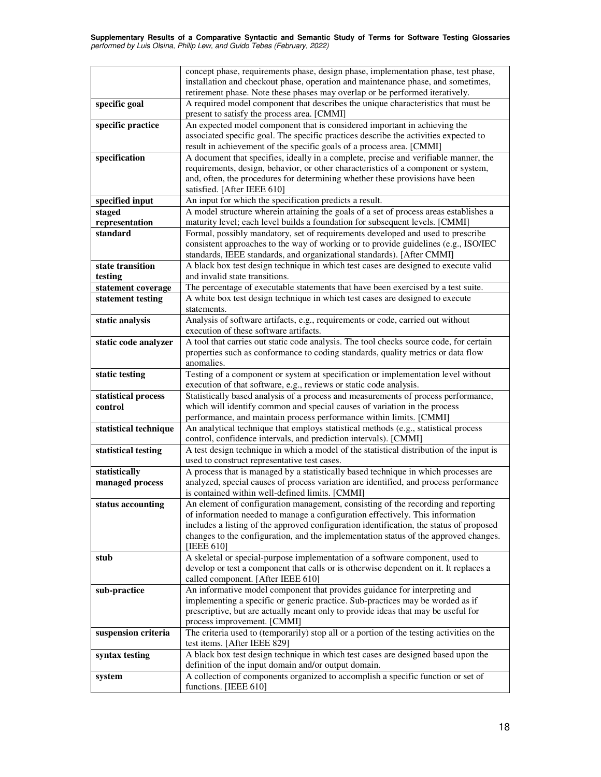|                       | concept phase, requirements phase, design phase, implementation phase, test phase,                                                                                         |
|-----------------------|----------------------------------------------------------------------------------------------------------------------------------------------------------------------------|
|                       | installation and checkout phase, operation and maintenance phase, and sometimes,                                                                                           |
|                       | retirement phase. Note these phases may overlap or be performed iteratively.                                                                                               |
| specific goal         | A required model component that describes the unique characteristics that must be                                                                                          |
|                       | present to satisfy the process area. [CMMI]                                                                                                                                |
| specific practice     | An expected model component that is considered important in achieving the                                                                                                  |
|                       | associated specific goal. The specific practices describe the activities expected to                                                                                       |
|                       | result in achievement of the specific goals of a process area. [CMMI]                                                                                                      |
| specification         | A document that specifies, ideally in a complete, precise and verifiable manner, the<br>requirements, design, behavior, or other characteristics of a component or system, |
|                       | and, often, the procedures for determining whether these provisions have been                                                                                              |
|                       | satisfied. [After IEEE 610]                                                                                                                                                |
| specified input       | An input for which the specification predicts a result.                                                                                                                    |
| staged                | A model structure wherein attaining the goals of a set of process areas establishes a                                                                                      |
| representation        | maturity level; each level builds a foundation for subsequent levels. [CMMI]                                                                                               |
| standard              | Formal, possibly mandatory, set of requirements developed and used to prescribe                                                                                            |
|                       | consistent approaches to the way of working or to provide guidelines (e.g., ISO/IEC                                                                                        |
|                       | standards, IEEE standards, and organizational standards). [After CMMI]                                                                                                     |
| state transition      | A black box test design technique in which test cases are designed to execute valid                                                                                        |
| testing               | and invalid state transitions.                                                                                                                                             |
| statement coverage    | The percentage of executable statements that have been exercised by a test suite.                                                                                          |
| statement testing     | A white box test design technique in which test cases are designed to execute                                                                                              |
|                       | statements.                                                                                                                                                                |
| static analysis       | Analysis of software artifacts, e.g., requirements or code, carried out without                                                                                            |
|                       | execution of these software artifacts.                                                                                                                                     |
| static code analyzer  | A tool that carries out static code analysis. The tool checks source code, for certain                                                                                     |
|                       | properties such as conformance to coding standards, quality metrics or data flow                                                                                           |
|                       | anomalies.                                                                                                                                                                 |
| static testing        | Testing of a component or system at specification or implementation level without                                                                                          |
|                       | execution of that software, e.g., reviews or static code analysis.                                                                                                         |
| statistical process   | Statistically based analysis of a process and measurements of process performance,                                                                                         |
| control               | which will identify common and special causes of variation in the process                                                                                                  |
|                       | performance, and maintain process performance within limits. [CMMI]                                                                                                        |
| statistical technique | An analytical technique that employs statistical methods (e.g., statistical process                                                                                        |
|                       | control, confidence intervals, and prediction intervals). [CMMI]                                                                                                           |
| statistical testing   | A test design technique in which a model of the statistical distribution of the input is                                                                                   |
|                       | used to construct representative test cases.                                                                                                                               |
| statistically         | A process that is managed by a statistically based technique in which processes are                                                                                        |
| managed process       | analyzed, special causes of process variation are identified, and process performance                                                                                      |
|                       | is contained within well-defined limits. [CMMI]                                                                                                                            |
| status accounting     | An element of configuration management, consisting of the recording and reporting<br>of information needed to manage a configuration effectively. This information         |
|                       | includes a listing of the approved configuration identification, the status of proposed                                                                                    |
|                       | changes to the configuration, and the implementation status of the approved changes.                                                                                       |
|                       | [IEEE 610]                                                                                                                                                                 |
| stub                  | A skeletal or special-purpose implementation of a software component, used to                                                                                              |
|                       | develop or test a component that calls or is otherwise dependent on it. It replaces a                                                                                      |
|                       | called component. [After IEEE 610]                                                                                                                                         |
| sub-practice          | An informative model component that provides guidance for interpreting and                                                                                                 |
|                       | implementing a specific or generic practice. Sub-practices may be worded as if                                                                                             |
|                       | prescriptive, but are actually meant only to provide ideas that may be useful for                                                                                          |
|                       | process improvement. [CMMI]                                                                                                                                                |
| suspension criteria   | The criteria used to (temporarily) stop all or a portion of the testing activities on the                                                                                  |
|                       | test items. [After IEEE 829]                                                                                                                                               |
| syntax testing        | A black box test design technique in which test cases are designed based upon the                                                                                          |
|                       | definition of the input domain and/or output domain.                                                                                                                       |
| system                | A collection of components organized to accomplish a specific function or set of                                                                                           |
|                       | functions. [IEEE 610]                                                                                                                                                      |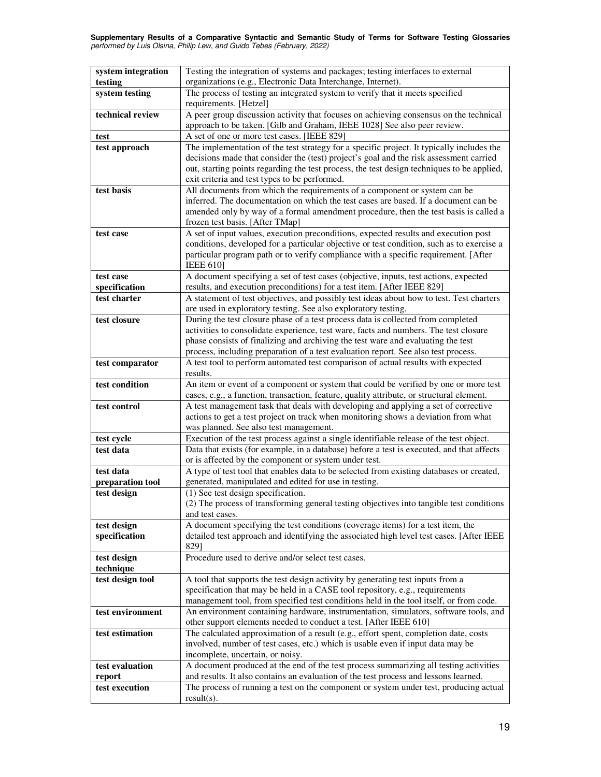| system integration      | Testing the integration of systems and packages; testing interfaces to external                                                   |
|-------------------------|-----------------------------------------------------------------------------------------------------------------------------------|
| testing                 | organizations (e.g., Electronic Data Interchange, Internet).                                                                      |
| system testing          | The process of testing an integrated system to verify that it meets specified                                                     |
|                         | requirements. [Hetzel]                                                                                                            |
| technical review        | A peer group discussion activity that focuses on achieving consensus on the technical                                             |
|                         | approach to be taken. [Gilb and Graham, IEEE 1028] See also peer review.                                                          |
| test                    | A set of one or more test cases. [IEEE 829]                                                                                       |
| test approach           | The implementation of the test strategy for a specific project. It typically includes the                                         |
|                         | decisions made that consider the (test) project's goal and the risk assessment carried                                            |
|                         | out, starting points regarding the test process, the test design techniques to be applied,                                        |
|                         | exit criteria and test types to be performed.<br>All documents from which the requirements of a component or system can be        |
| test basis              | inferred. The documentation on which the test cases are based. If a document can be                                               |
|                         | amended only by way of a formal amendment procedure, then the test basis is called a                                              |
|                         | frozen test basis. [After TMap]                                                                                                   |
| test case               | A set of input values, execution preconditions, expected results and execution post                                               |
|                         | conditions, developed for a particular objective or test condition, such as to exercise a                                         |
|                         | particular program path or to verify compliance with a specific requirement. [After                                               |
|                         | <b>IEEE 610</b>                                                                                                                   |
| test case               | A document specifying a set of test cases (objective, inputs, test actions, expected                                              |
| specification           | results, and execution preconditions) for a test item. [After IEEE 829]                                                           |
| test charter            | A statement of test objectives, and possibly test ideas about how to test. Test charters                                          |
|                         | are used in exploratory testing. See also exploratory testing.                                                                    |
| test closure            | During the test closure phase of a test process data is collected from completed                                                  |
|                         | activities to consolidate experience, test ware, facts and numbers. The test closure                                              |
|                         | phase consists of finalizing and archiving the test ware and evaluating the test                                                  |
|                         | process, including preparation of a test evaluation report. See also test process.                                                |
| test comparator         | A test tool to perform automated test comparison of actual results with expected                                                  |
|                         | results.                                                                                                                          |
| test condition          | An item or event of a component or system that could be verified by one or more test                                              |
|                         | cases, e.g., a function, transaction, feature, quality attribute, or structural element.                                          |
| test control            | A test management task that deals with developing and applying a set of corrective                                                |
|                         | actions to get a test project on track when monitoring shows a deviation from what                                                |
|                         | was planned. See also test management.<br>Execution of the test process against a single identifiable release of the test object. |
| test cycle<br>test data | Data that exists (for example, in a database) before a test is executed, and that affects                                         |
|                         | or is affected by the component or system under test.                                                                             |
| test data               | A type of test tool that enables data to be selected from existing databases or created,                                          |
| preparation tool        | generated, manipulated and edited for use in testing.                                                                             |
| test design             | (1) See test design specification.                                                                                                |
|                         | (2) The process of transforming general testing objectives into tangible test conditions                                          |
|                         | and test cases.                                                                                                                   |
| test design             | A document specifying the test conditions (coverage items) for a test item, the                                                   |
| specification           | detailed test approach and identifying the associated high level test cases. [After IEEE                                          |
|                         | 829]                                                                                                                              |
| test design             | Procedure used to derive and/or select test cases.                                                                                |
| technique               |                                                                                                                                   |
| test design tool        | A tool that supports the test design activity by generating test inputs from a                                                    |
|                         | specification that may be held in a CASE tool repository, e.g., requirements                                                      |
|                         | management tool, from specified test conditions held in the tool itself, or from code.                                            |
| test environment        | An environment containing hardware, instrumentation, simulators, software tools, and                                              |
|                         | other support elements needed to conduct a test. [After IEEE 610]                                                                 |
| test estimation         | The calculated approximation of a result (e.g., effort spent, completion date, costs                                              |
|                         | involved, number of test cases, etc.) which is usable even if input data may be<br>incomplete, uncertain, or noisy.               |
| test evaluation         | A document produced at the end of the test process summarizing all testing activities                                             |
| report                  | and results. It also contains an evaluation of the test process and lessons learned.                                              |
| test execution          | The process of running a test on the component or system under test, producing actual                                             |
|                         | $result(s)$ .                                                                                                                     |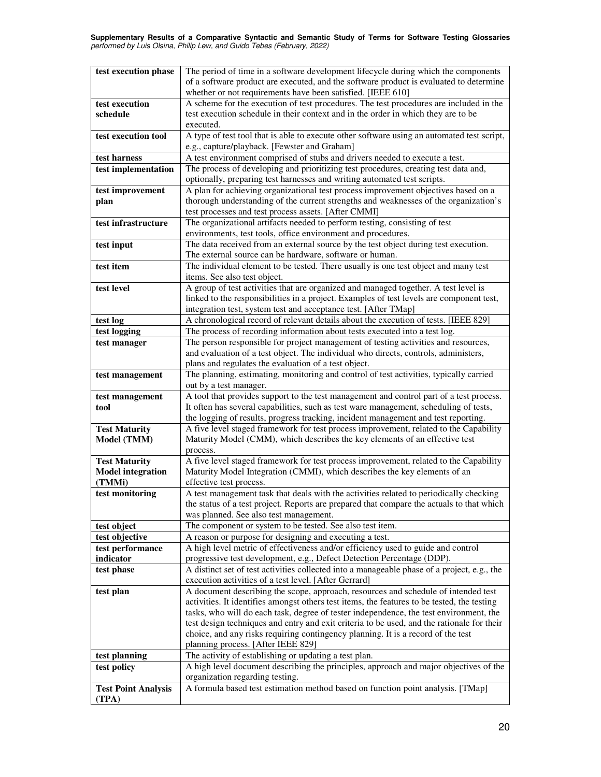| test execution phase       | The period of time in a software development lifecycle during which the components                                                                                                |
|----------------------------|-----------------------------------------------------------------------------------------------------------------------------------------------------------------------------------|
|                            | of a software product are executed, and the software product is evaluated to determine                                                                                            |
|                            | whether or not requirements have been satisfied. [IEEE 610]                                                                                                                       |
| test execution             | A scheme for the execution of test procedures. The test procedures are included in the                                                                                            |
| schedule                   | test execution schedule in their context and in the order in which they are to be                                                                                                 |
|                            | executed.                                                                                                                                                                         |
| test execution tool        | A type of test tool that is able to execute other software using an automated test script,                                                                                        |
|                            | e.g., capture/playback. [Fewster and Graham]                                                                                                                                      |
| test harness               | A test environment comprised of stubs and drivers needed to execute a test.                                                                                                       |
| test implementation        | The process of developing and prioritizing test procedures, creating test data and,                                                                                               |
|                            | optionally, preparing test harnesses and writing automated test scripts.                                                                                                          |
| test improvement           | A plan for achieving organizational test process improvement objectives based on a                                                                                                |
| plan                       | thorough understanding of the current strengths and weaknesses of the organization's<br>test processes and test process assets. [After CMMI]                                      |
| test infrastructure        | The organizational artifacts needed to perform testing, consisting of test                                                                                                        |
|                            | environments, test tools, office environment and procedures.                                                                                                                      |
| test input                 | The data received from an external source by the test object during test execution.                                                                                               |
|                            | The external source can be hardware, software or human.                                                                                                                           |
| test item                  | The individual element to be tested. There usually is one test object and many test                                                                                               |
|                            | items. See also test object.                                                                                                                                                      |
| test level                 | A group of test activities that are organized and managed together. A test level is                                                                                               |
|                            | linked to the responsibilities in a project. Examples of test levels are component test,                                                                                          |
|                            | integration test, system test and acceptance test. [After TMap]                                                                                                                   |
| test log                   | A chronological record of relevant details about the execution of tests. [IEEE 829]                                                                                               |
| test logging               | The process of recording information about tests executed into a test log.                                                                                                        |
| test manager               | The person responsible for project management of testing activities and resources,                                                                                                |
|                            | and evaluation of a test object. The individual who directs, controls, administers,                                                                                               |
|                            | plans and regulates the evaluation of a test object.                                                                                                                              |
| test management            | The planning, estimating, monitoring and control of test activities, typically carried                                                                                            |
|                            | out by a test manager.                                                                                                                                                            |
| test management            | A tool that provides support to the test management and control part of a test process.                                                                                           |
| tool                       | It often has several capabilities, such as test ware management, scheduling of tests,                                                                                             |
| <b>Test Maturity</b>       | the logging of results, progress tracking, incident management and test reporting.<br>A five level staged framework for test process improvement, related to the Capability       |
| Model (TMM)                | Maturity Model (CMM), which describes the key elements of an effective test                                                                                                       |
|                            | process.                                                                                                                                                                          |
| <b>Test Maturity</b>       | A five level staged framework for test process improvement, related to the Capability                                                                                             |
| <b>Model integration</b>   | Maturity Model Integration (CMMI), which describes the key elements of an                                                                                                         |
| (TMMi)                     | effective test process.                                                                                                                                                           |
| test monitoring            | A test management task that deals with the activities related to periodically checking                                                                                            |
|                            | the status of a test project. Reports are prepared that compare the actuals to that which                                                                                         |
|                            | was planned. See also test management.                                                                                                                                            |
| test object                | The component or system to be tested. See also test item.                                                                                                                         |
| test objective             | A reason or purpose for designing and executing a test.                                                                                                                           |
| test performance           | A high level metric of effectiveness and/or efficiency used to guide and control                                                                                                  |
| indicator                  | progressive test development, e.g., Defect Detection Percentage (DDP).                                                                                                            |
| test phase                 | A distinct set of test activities collected into a manageable phase of a project, e.g., the                                                                                       |
|                            | execution activities of a test level. [After Gerrard]                                                                                                                             |
| test plan                  | A document describing the scope, approach, resources and schedule of intended test<br>activities. It identifies amongst others test items, the features to be tested, the testing |
|                            | tasks, who will do each task, degree of tester independence, the test environment, the                                                                                            |
|                            | test design techniques and entry and exit criteria to be used, and the rationale for their                                                                                        |
|                            | choice, and any risks requiring contingency planning. It is a record of the test                                                                                                  |
|                            | planning process. [After IEEE 829]                                                                                                                                                |
| test planning              | The activity of establishing or updating a test plan.                                                                                                                             |
| test policy                | A high level document describing the principles, approach and major objectives of the                                                                                             |
|                            | organization regarding testing.                                                                                                                                                   |
| <b>Test Point Analysis</b> | A formula based test estimation method based on function point analysis. [TMap]                                                                                                   |
| (TPA)                      |                                                                                                                                                                                   |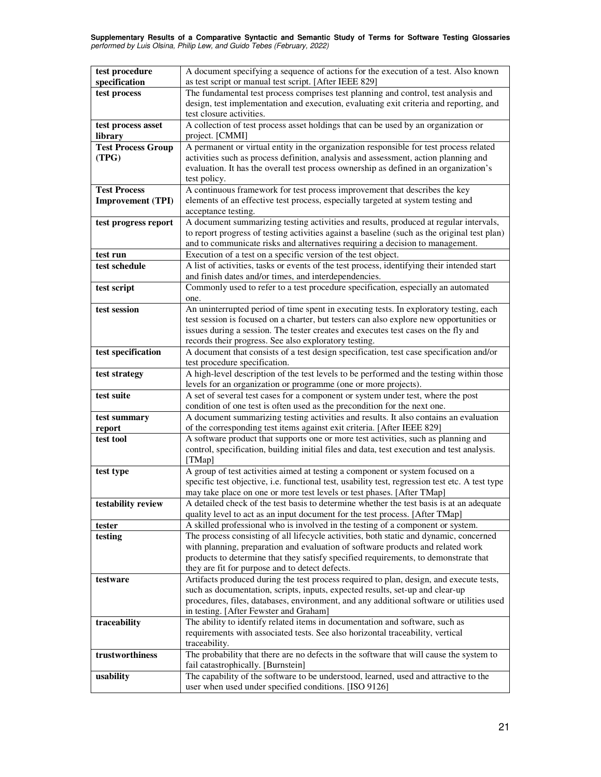| test procedure            | A document specifying a sequence of actions for the execution of a test. Also known                                        |
|---------------------------|----------------------------------------------------------------------------------------------------------------------------|
| specification             | as test script or manual test script. [After IEEE 829]                                                                     |
| test process              | The fundamental test process comprises test planning and control, test analysis and                                        |
|                           | design, test implementation and execution, evaluating exit criteria and reporting, and                                     |
|                           | test closure activities.                                                                                                   |
| test process asset        | A collection of test process asset holdings that can be used by an organization or                                         |
| library                   | project. [CMMI]                                                                                                            |
| <b>Test Process Group</b> | A permanent or virtual entity in the organization responsible for test process related                                     |
| (TPG)                     | activities such as process definition, analysis and assessment, action planning and                                        |
|                           | evaluation. It has the overall test process ownership as defined in an organization's                                      |
| <b>Test Process</b>       | test policy.<br>A continuous framework for test process improvement that describes the key                                 |
| <b>Improvement (TPI)</b>  | elements of an effective test process, especially targeted at system testing and                                           |
|                           | acceptance testing.                                                                                                        |
| test progress report      | A document summarizing testing activities and results, produced at regular intervals,                                      |
|                           | to report progress of testing activities against a baseline (such as the original test plan)                               |
|                           | and to communicate risks and alternatives requiring a decision to management.                                              |
| test run                  | Execution of a test on a specific version of the test object.                                                              |
| test schedule             | A list of activities, tasks or events of the test process, identifying their intended start                                |
|                           | and finish dates and/or times, and interdependencies.                                                                      |
| test script               | Commonly used to refer to a test procedure specification, especially an automated                                          |
|                           | one.                                                                                                                       |
| test session              | An uninterrupted period of time spent in executing tests. In exploratory testing, each                                     |
|                           | test session is focused on a charter, but testers can also explore new opportunities or                                    |
|                           | issues during a session. The tester creates and executes test cases on the fly and                                         |
|                           | records their progress. See also exploratory testing.                                                                      |
| test specification        | A document that consists of a test design specification, test case specification and/or                                    |
|                           | test procedure specification.                                                                                              |
| test strategy             | A high-level description of the test levels to be performed and the testing within those                                   |
|                           | levels for an organization or programme (one or more projects).                                                            |
| test suite                | A set of several test cases for a component or system under test, where the post                                           |
|                           | condition of one test is often used as the precondition for the next one.                                                  |
| test summary              | A document summarizing testing activities and results. It also contains an evaluation                                      |
| report                    | of the corresponding test items against exit criteria. [After IEEE 829]                                                    |
| test tool                 | A software product that supports one or more test activities, such as planning and                                         |
|                           | control, specification, building initial files and data, test execution and test analysis.<br>[TMap]                       |
|                           | A group of test activities aimed at testing a component or system focused on a                                             |
| test type                 | specific test objective, i.e. functional test, usability test, regression test etc. A test type                            |
|                           | may take place on one or more test levels or test phases. [After TMap]                                                     |
| testability review        | A detailed check of the test basis to determine whether the test basis is at an adequate                                   |
|                           | quality level to act as an input document for the test process. [After TMap]                                               |
| tester                    | A skilled professional who is involved in the testing of a component or system.                                            |
| testing                   | The process consisting of all lifecycle activities, both static and dynamic, concerned                                     |
|                           | with planning, preparation and evaluation of software products and related work                                            |
|                           | products to determine that they satisfy specified requirements, to demonstrate that                                        |
|                           | they are fit for purpose and to detect defects.                                                                            |
| testware                  | Artifacts produced during the test process required to plan, design, and execute tests,                                    |
|                           | such as documentation, scripts, inputs, expected results, set-up and clear-up                                              |
|                           | procedures, files, databases, environment, and any additional software or utilities used                                   |
|                           | in testing. [After Fewster and Graham]                                                                                     |
| traceability              | The ability to identify related items in documentation and software, such as                                               |
|                           | requirements with associated tests. See also horizontal traceability, vertical                                             |
|                           | traceability.                                                                                                              |
| trustworthiness           | The probability that there are no defects in the software that will cause the system to                                    |
|                           | fail catastrophically. [Burnstein]<br>The capability of the software to be understood, learned, used and attractive to the |
| usability                 | user when used under specified conditions. [ISO 9126]                                                                      |
|                           |                                                                                                                            |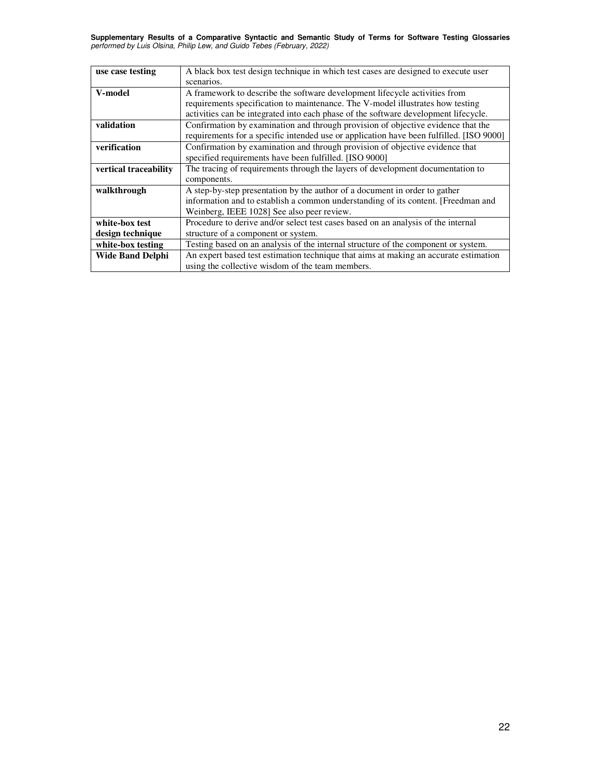| use case testing        | A black box test design technique in which test cases are designed to execute user<br>scenarios. |
|-------------------------|--------------------------------------------------------------------------------------------------|
| V-model                 | A framework to describe the software development lifecycle activities from                       |
|                         | requirements specification to maintenance. The V-model illustrates how testing                   |
|                         | activities can be integrated into each phase of the software development lifecycle.              |
| validation              | Confirmation by examination and through provision of objective evidence that the                 |
|                         | requirements for a specific intended use or application have been fulfilled. [ISO 9000]          |
| verification            | Confirmation by examination and through provision of objective evidence that                     |
|                         | specified requirements have been fulfilled. [ISO 9000]                                           |
| vertical traceability   | The tracing of requirements through the layers of development documentation to                   |
|                         | components.                                                                                      |
| walkthrough             | A step-by-step presentation by the author of a document in order to gather                       |
|                         | information and to establish a common understanding of its content. [Freedman and                |
|                         | Weinberg, IEEE 1028] See also peer review.                                                       |
| white-box test          | Procedure to derive and/or select test cases based on an analysis of the internal                |
| design technique        | structure of a component or system.                                                              |
| white-box testing       | Testing based on an analysis of the internal structure of the component or system.               |
| <b>Wide Band Delphi</b> | An expert based test estimation technique that aims at making an accurate estimation             |
|                         | using the collective wisdom of the team members.                                                 |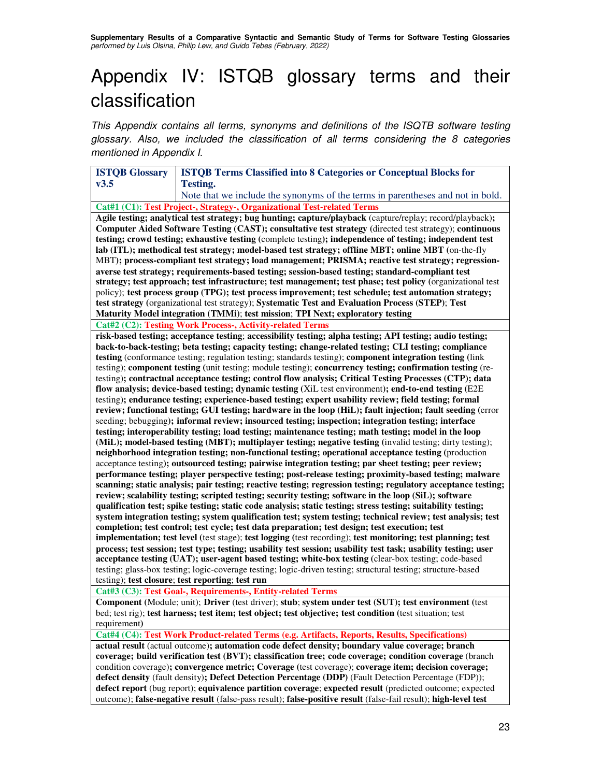# Appendix IV: ISTQB glossary terms and their classification

*This Appendix contains all terms, synonyms and definitions of the ISQTB software testing glossary. Also, we included the classification of all terms considering the 8 categories mentioned in Appendix I.* 

 $\mathbf{r}$ 

| <b>ISTQB Glossary</b> | <b>ISTQB Terms Classified into 8 Categories or Conceptual Blocks for</b>                                                                                                                                                    |
|-----------------------|-----------------------------------------------------------------------------------------------------------------------------------------------------------------------------------------------------------------------------|
| v3.5                  | <b>Testing.</b>                                                                                                                                                                                                             |
|                       | Note that we include the synonyms of the terms in parentheses and not in bold.                                                                                                                                              |
|                       | Cat#1 (C1): Test Project-, Strategy-, Organizational Test-related Terms                                                                                                                                                     |
|                       | Agile testing; analytical test strategy; bug hunting; capture/playback (capture/replay; record/playback);                                                                                                                   |
|                       | Computer Aided Software Testing (CAST); consultative test strategy (directed test strategy); continuous                                                                                                                     |
|                       | testing; crowd testing; exhaustive testing (complete testing); independence of testing; independent test                                                                                                                    |
|                       | lab (ITL); methodical test strategy; model-based test strategy; offline MBT; online MBT (on-the-fly                                                                                                                         |
|                       | MBT); process-compliant test strategy; load management; PRISMA; reactive test strategy; regression-                                                                                                                         |
|                       | averse test strategy; requirements-based testing; session-based testing; standard-compliant test                                                                                                                            |
|                       | strategy; test approach; test infrastructure; test management; test phase; test policy (organizational test                                                                                                                 |
|                       | policy); test process group (TPG); test process improvement; test schedule; test automation strategy;                                                                                                                       |
|                       | test strategy (organizational test strategy); Systematic Test and Evaluation Process (STEP); Test                                                                                                                           |
|                       | Maturity Model integration (TMMi); test mission; TPI Next; exploratory testing                                                                                                                                              |
|                       | Cat#2 (C2): Testing Work Process-, Activity-related Terms                                                                                                                                                                   |
|                       | risk-based testing; acceptance testing; accessibility testing; alpha testing; API testing; audio testing;                                                                                                                   |
|                       | back-to-back-testing; beta testing; capacity testing; change-related testing; CLI testing; compliance                                                                                                                       |
|                       | testing (conformance testing; regulation testing; standards testing); <b>component integration testing</b> (link                                                                                                            |
|                       | testing); component testing (unit testing; module testing); concurrency testing; confirmation testing (re-                                                                                                                  |
|                       | testing); contractual acceptance testing; control flow analysis; Critical Testing Processes (CTP); data                                                                                                                     |
|                       | flow analysis; device-based testing; dynamic testing (XiL test environment); end-to-end testing (E2E                                                                                                                        |
|                       | testing); endurance testing; experience-based testing; expert usability review; field testing; formal                                                                                                                       |
|                       | review; functional testing; GUI testing; hardware in the loop (HiL); fault injection; fault seeding (error                                                                                                                  |
|                       | seeding; bebugging); informal review; insourced testing; inspection; integration testing; interface                                                                                                                         |
|                       | testing; interoperability testing; load testing; maintenance testing; math testing; model in the loop                                                                                                                       |
|                       | (MiL); model-based testing (MBT); multiplayer testing; negative testing (invalid testing; dirty testing);                                                                                                                   |
|                       | neighborhood integration testing; non-functional testing; operational acceptance testing (production                                                                                                                        |
|                       | acceptance testing); outsourced testing; pairwise integration testing; par sheet testing; peer review;                                                                                                                      |
|                       | performance testing; player perspective testing; post-release testing; proximity-based testing; malware                                                                                                                     |
|                       | scanning; static analysis; pair testing; reactive testing; regression testing; regulatory acceptance testing;                                                                                                               |
|                       | review; scalability testing; scripted testing; security testing; software in the loop (SiL); software                                                                                                                       |
|                       | qualification test; spike testing; static code analysis; static testing; stress testing; suitability testing;                                                                                                               |
|                       | system integration testing; system qualification test; system testing; technical review; test analysis; test                                                                                                                |
|                       | completion; test control; test cycle; test data preparation; test design; test execution; test                                                                                                                              |
|                       | implementation; test level (test stage); test logging (test recording); test monitoring; test planning; test                                                                                                                |
|                       | process; test session; test type; testing; usability test session; usability test task; usability testing; user                                                                                                             |
|                       | acceptance testing (UAT); user-agent based testing; white-box testing (clear-box testing; code-based<br>testing; glass-box testing; logic-coverage testing; logic-driven testing; structural testing; structure-based       |
|                       | testing); test closure; test reporting; test run                                                                                                                                                                            |
|                       |                                                                                                                                                                                                                             |
|                       | Cat#3 (C3): Test Goal-, Requirements-, Entity-related Terms                                                                                                                                                                 |
|                       | Component (Module; unit); Driver (test driver); stub; system under test (SUT); test environment (test<br>bed; test rig); test harness; test item; test object; test objective; test condition (test situation; test         |
|                       |                                                                                                                                                                                                                             |
| requirement)          |                                                                                                                                                                                                                             |
|                       | Cat#4 (C4): Test Work Product-related Terms (e.g. Artifacts, Reports, Results, Specifications)                                                                                                                              |
|                       | actual result (actual outcome); automation code defect density; boundary value coverage; branch                                                                                                                             |
|                       | coverage; build verification test (BVT); classification tree; code coverage; condition coverage (branch<br>condition coverage); convergence metric; Coverage (test coverage); coverage item; decision coverage;             |
|                       | defect density (fault density); Defect Detection Percentage (DDP) (Fault Detection Percentage (FDP));                                                                                                                       |
|                       |                                                                                                                                                                                                                             |
|                       | defect report (bug report); equivalence partition coverage; expected result (predicted outcome; expected<br>outcome); false-negative result (false-pass result); false-positive result (false-fail result); high-level test |
|                       |                                                                                                                                                                                                                             |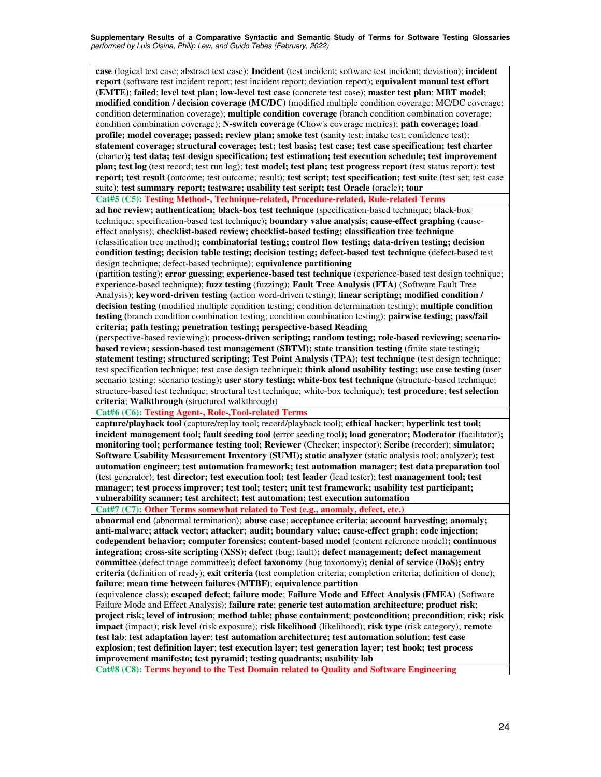**case** (logical test case; abstract test case); **Incident** (test incident; software test incident; deviation); **incident report** (software test incident report; test incident report; deviation report); **equivalent manual test effort (EMTE)**; **failed**; **level test plan; low-level test case (**concrete test case); **master test plan**; **MBT model**; **modified condition / decision coverage (MC/DC)** (modified multiple condition coverage; MC/DC coverage; condition determination coverage); **multiple condition coverage (**branch condition combination coverage; condition combination coverage); **N-switch coverage (**Chow's coverage metrics); **path coverage; load profile; model coverage; passed; review plan; smoke test (**sanity test; intake test; confidence test); **statement coverage; structural coverage; test; test basis; test case; test case specification; test charter (**charter**); test data; test design specification; test estimation; test execution schedule; test improvement plan; test log (**test record; test run log); **test model; test plan; test progress report (**test status report); **test report; test result (**outcome; test outcome; result); **test script; test specification; test suite (**test set; test case suite); **test summary report; testware; usability test script; test Oracle (**oracle**); tour** 

**Cat#5 (C5): Testing Method-, Technique-related, Procedure-related, Rule-related Terms** 

**ad hoc review; authentication; black-box test technique** (specification-based technique; black-box technique; specification-based test technique)**; boundary value analysis; cause-effect graphing** (causeeffect analysis); **checklist-based review; checklist-based testing; classification tree technique**  (classification tree method)**; combinatorial testing; control flow testing; data-driven testing; decision condition testing; decision table testing; decision testing; defect-based test technique (**defect-based test design technique; defect-based technique); **equivalence partitioning**

(partition testing); **error guessing**; **experience-based test technique** (experience-based test design technique; experience-based technique); **fuzz testing** (fuzzing); **Fault Tree Analysis (FTA)** (Software Fault Tree Analysis); **keyword-driven testing (**action word-driven testing); **linear scripting; modified condition / decision testing (**modified multiple condition testing; condition determination testing); **multiple condition testing (**branch condition combination testing; condition combination testing); **pairwise testing; pass/fail criteria; path testing; penetration testing; perspective-based Reading** 

(perspective-based reviewing); **process-driven scripting; random testing; role-based reviewing; scenariobased review; session-based test management (SBTM); state transition testing (**finite state testing**); statement testing; structured scripting; Test Point Analysis (TPA); test technique (**test design technique; test specification technique; test case design technique); **think aloud usability testing; use case testing (**user scenario testing; scenario testing); user story testing; white-box test technique (structure-based technique; structure-based test technique; structural test technique; white-box technique); **test procedure**; **test selection criteria**; **Walkthrough** (structured walkthrough)

**Cat#6 (C6): Testing Agent-, Role-,Tool-related Terms** 

**capture/playback tool** (capture/replay tool; record/playback tool); **ethical hacker**; **hyperlink test tool; incident management tool; fault seeding tool (**error seeding tool); **load generator**; **Moderator** (facilitator); **monitoring tool; performance testing tool; Reviewer (**Checker; inspector); **Scribe (**recorder); **simulator; Software Usability Measurement Inventory (SUMI); static analyzer (**static analysis tool; analyzer**); test automation engineer; test automation framework; test automation manager; test data preparation tool (**test generator); **test director; test execution tool; test leader (**lead tester); **test management tool; test manager; test process improver; test tool; tester; unit test framework; usability test participant; vulnerability scanner; test architect; test automation; test execution automation** 

**Cat#7 (C7): Other Terms somewhat related to Test (e.g., anomaly, defect, etc.)**

**abnormal end** (abnormal termination); **abuse case**; **acceptance criteria**; **account harvesting; anomaly; anti-malware; attack vector; attacker; audit; boundary value; cause-effect graph; code injection; codependent behavior; computer forensics; content-based model** (content reference model)**; continuous integration; cross-site scripting (XSS); defect** (bug; fault)**; defect management; defect management committee** (defect triage committee)**; defect taxonomy** (bug taxonomy)**; denial of service (DoS); entry criteria (**definition of ready); **exit criteria (**test completion criteria; completion criteria; definition of done); **failure**; **mean time between failures (MTBF)**; **equivalence partition**

(equivalence class); **escaped defect**; **failure mode**; **Failure Mode and Effect Analysis (FMEA)** (Software Failure Mode and Effect Analysis); **failure rate**; **generic test automation architecture**; **product risk**; **project risk**; **level of intrusion**; **method table; phase containment**; **postcondition; precondition**; **risk; risk impact** (impact); **risk level** (risk exposure); **risk likelihood** (likelihood); **risk type** (risk category); **remote test lab**; **test adaptation layer**; **test automation architecture; test automation solution**; **test case explosion**; **test definition layer**; **test execution layer; test generation layer; test hook; test process improvement manifesto; test pyramid; testing quadrants; usability lab** 

**Cat#8 (C8): Terms beyond to the Test Domain related to Quality and Software Engineering**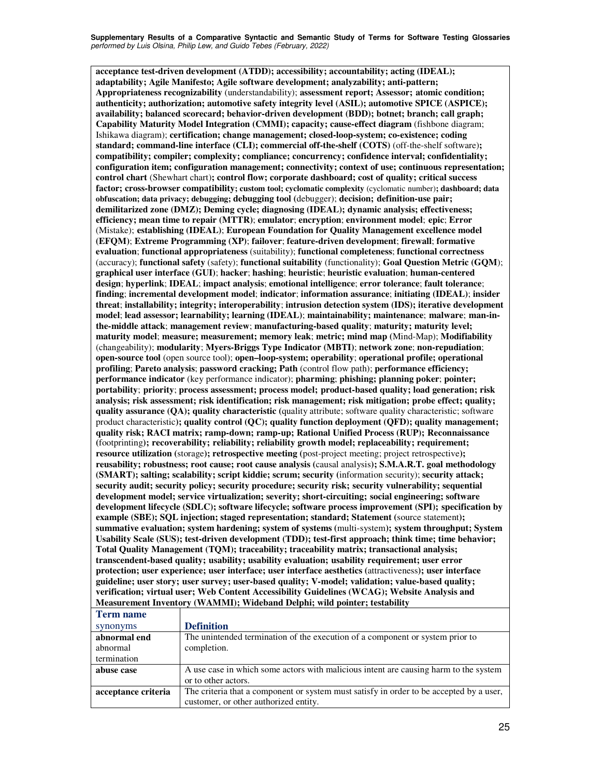**acceptance test-driven development (ATDD); accessibility; accountability; acting (IDEAL); adaptability; Agile Manifesto; Agile software development; analyzability; anti-pattern; Appropriateness recognizability** (understandability); **assessment report; Assessor; atomic condition; authenticity; authorization; automotive safety integrity level (ASIL); automotive SPICE (ASPICE); availability; balanced scorecard; behavior-driven development (BDD); botnet; branch; call graph; Capability Maturity Model Integration (CMMI); capacity; cause-effect diagram** (fishbone diagram; Ishikawa diagram); **certification; change management; closed-loop-system; co-existence; coding standard; command-line interface (CLI); commercial off-the-shelf (COTS)** (off-the-shelf software)**; compatibility; compiler; complexity; compliance; concurrency; confidence interval; confidentiality; configuration item; configuration management; connectivity; context of use; continuous representation; control chart** (Shewhart chart)**; control flow; corporate dashboard; cost of quality; critical success factor; cross-browser compatibility; custom tool; cyclomatic complexity** (cyclomatic number)**; dashboard; data obfuscation; data privacy; debugging; debugging tool (**debugger); **decision; definition-use pair; demilitarized zone (DMZ); Deming cycle; diagnosing (IDEAL); dynamic analysis; effectiveness; efficiency; mean time to repair (MTTR)**; **emulator**; **encryption**; **environment model**; **epic**; **Error** (Mistake); **establishing (IDEAL)**; **European Foundation for Quality Management excellence model (EFQM)**; **Extreme Programming (XP)**; **failover**; **feature-driven development**; **firewall**; **formative evaluation**; **functional appropriateness** (suitability); **functional completeness**; **functional correctness** (accuracy); **functional safety** (safety); **functional suitability** (functionality); **Goal Question Metric (GQM**); **graphical user interface (GUI)**; **hacker**; **hashing**; **heuristic**; **heuristic evaluation**; **human-centered design**; **hyperlink**; **IDEAL**; **impact analysis**; **emotional intelligence**; **error tolerance**; **fault tolerance**; **finding**; **incremental development model**; **indicator**; **information assurance**; **initiating (IDEAL)**; **insider threat**; **installability; integrity; interoperability**; **intrusion detection system (IDS); iterative development model**; **lead assessor; learnability; learning (IDEAL)**; **maintainability; maintenance**; **malware**; **man-inthe-middle attack**; **management review**; **manufacturing-based quality**; **maturity; maturity level; maturity model**; **measure; measurement; memory leak**; **metric; mind map (**Mind-Map); **Modifiability** (changeability); **modularity**; **Myers-Briggs Type Indicator (MBTI)**; **network zone**; **non-repudiation**; **open-source tool** (open source tool); **open–loop-system; operability**; **operational profile; operational profiling**; **Pareto analysis**; **password cracking; Path** (control flow path); **performance efficiency; performance indicator** (key performance indicator); **pharming**; **phishing; planning poker**; **pointer; portability**; **priority**; **process assessment; process model; product-based quality; load generation; risk analysis; risk assessment; risk identification; risk management; risk mitigation; probe effect; quality; quality assurance (QA); quality characteristic (**quality attribute; software quality characteristic; software product characteristic**); quality control (QC); quality function deployment (QFD); quality management; quality risk; RACI matrix; ramp-down; ramp-up; Rational Unified Process (RUP); Reconnaissance (**footprinting**); recoverability; reliability; reliability growth model; replaceability; requirement; resource utilization (**storage**); retrospective meeting (**post-project meeting; project retrospective**); reusability; robustness; root cause; root cause analysis (**causal analysis**); S.M.A.R.T. goal methodology (SMART); salting; scalability; script kiddie; scrum; security (**information security); **security attack; security audit; security policy; security procedure; security risk; security vulnerability; sequential development model; service virtualization; severity; short-circuiting; social engineering; software development lifecycle (SDLC); software lifecycle; software process improvement (SPI); specification by example (SBE); SQL injection; staged representation; standard; Statement (**source statement**); summative evaluation; system hardening; system of systems (**multi-system**); system throughput; System Usability Scale (SUS); test-driven development (TDD); test-first approach; think time; time behavior; Total Quality Management (TQM); traceability; traceability matrix; transactional analysis; transcendent-based quality; usability; usability evaluation; usability requirement; user error protection; user experience; user interface; user interface aesthetics (**attractiveness**); user interface guideline; user story; user survey; user-based quality; V-model; validation; value-based quality; verification; virtual user; Web Content Accessibility Guidelines (WCAG); Website Analysis and Measurement Inventory (WAMMI); Wideband Delphi; wild pointer; testability Term name** 

| тегии наше          |                                                                                         |
|---------------------|-----------------------------------------------------------------------------------------|
| synonyms            | <b>Definition</b>                                                                       |
| abnormal end        | The unintended termination of the execution of a component or system prior to           |
| abnormal            | completion.                                                                             |
| termination         |                                                                                         |
| abuse case          | A use case in which some actors with malicious intent are causing harm to the system    |
|                     | or to other actors.                                                                     |
| acceptance criteria | The criteria that a component or system must satisfy in order to be accepted by a user, |
|                     | customer, or other authorized entity.                                                   |
|                     |                                                                                         |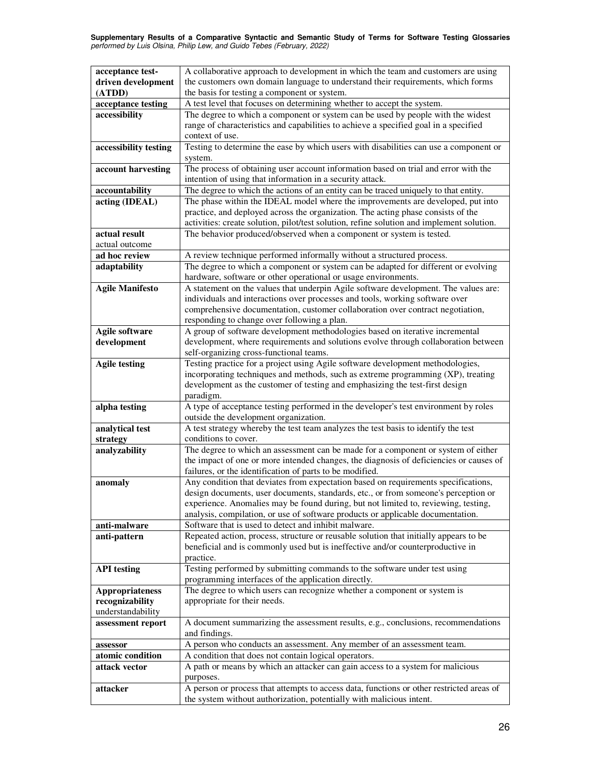| acceptance test-       | A collaborative approach to development in which the team and customers are using                     |
|------------------------|-------------------------------------------------------------------------------------------------------|
| driven development     | the customers own domain language to understand their requirements, which forms                       |
| (ATDD)                 | the basis for testing a component or system.                                                          |
| acceptance testing     | A test level that focuses on determining whether to accept the system.                                |
| accessibility          | The degree to which a component or system can be used by people with the widest                       |
|                        | range of characteristics and capabilities to achieve a specified goal in a specified                  |
|                        | context of use.                                                                                       |
| accessibility testing  | Testing to determine the ease by which users with disabilities can use a component or                 |
|                        | system.                                                                                               |
| account harvesting     | The process of obtaining user account information based on trial and error with the                   |
|                        | intention of using that information in a security attack.                                             |
| accountability         | The degree to which the actions of an entity can be traced uniquely to that entity.                   |
| acting (IDEAL)         | The phase within the IDEAL model where the improvements are developed, put into                       |
|                        | practice, and deployed across the organization. The acting phase consists of the                      |
|                        | activities: create solution, pilot/test solution, refine solution and implement solution.             |
| actual result          | The behavior produced/observed when a component or system is tested.                                  |
| actual outcome         |                                                                                                       |
| ad hoc review          | A review technique performed informally without a structured process.                                 |
| adaptability           | The degree to which a component or system can be adapted for different or evolving                    |
|                        | hardware, software or other operational or usage environments.                                        |
| <b>Agile Manifesto</b> | A statement on the values that underpin Agile software development. The values are:                   |
|                        | individuals and interactions over processes and tools, working software over                          |
|                        | comprehensive documentation, customer collaboration over contract negotiation,                        |
|                        | responding to change over following a plan.                                                           |
| <b>Agile software</b>  | A group of software development methodologies based on iterative incremental                          |
| development            | development, where requirements and solutions evolve through collaboration between                    |
|                        | self-organizing cross-functional teams.                                                               |
| <b>Agile testing</b>   | Testing practice for a project using Agile software development methodologies,                        |
|                        | incorporating techniques and methods, such as extreme programming (XP), treating                      |
|                        | development as the customer of testing and emphasizing the test-first design<br>paradigm.             |
| alpha testing          | A type of acceptance testing performed in the developer's test environment by roles                   |
|                        | outside the development organization.                                                                 |
| analytical test        | A test strategy whereby the test team analyzes the test basis to identify the test                    |
| strategy               | conditions to cover.                                                                                  |
| analyzability          | The degree to which an assessment can be made for a component or system of either                     |
|                        | the impact of one or more intended changes, the diagnosis of deficiencies or causes of                |
|                        | failures, or the identification of parts to be modified.                                              |
| anomaly                | Any condition that deviates from expectation based on requirements specifications,                    |
|                        | design documents, user documents, standards, etc., or from someone's perception or                    |
|                        | experience. Anomalies may be found during, but not limited to, reviewing, testing,                    |
|                        | analysis, compilation, or use of software products or applicable documentation.                       |
| anti-malware           | Software that is used to detect and inhibit malware.                                                  |
| anti-pattern           | Repeated action, process, structure or reusable solution that initially appears to be                 |
|                        | beneficial and is commonly used but is ineffective and/or counterproductive in                        |
|                        | practice.                                                                                             |
| <b>API</b> testing     | Testing performed by submitting commands to the software under test using                             |
|                        | programming interfaces of the application directly.                                                   |
| <b>Appropriateness</b> | The degree to which users can recognize whether a component or system is                              |
| recognizability        | appropriate for their needs.                                                                          |
| understandability      |                                                                                                       |
| assessment report      | A document summarizing the assessment results, e.g., conclusions, recommendations                     |
|                        | and findings.                                                                                         |
| assessor               | A person who conducts an assessment. Any member of an assessment team.                                |
| atomic condition       | A condition that does not contain logical operators.                                                  |
| attack vector          | A path or means by which an attacker can gain access to a system for malicious                        |
|                        | purposes.<br>A person or process that attempts to access data, functions or other restricted areas of |
| attacker               | the system without authorization, potentially with malicious intent.                                  |
|                        |                                                                                                       |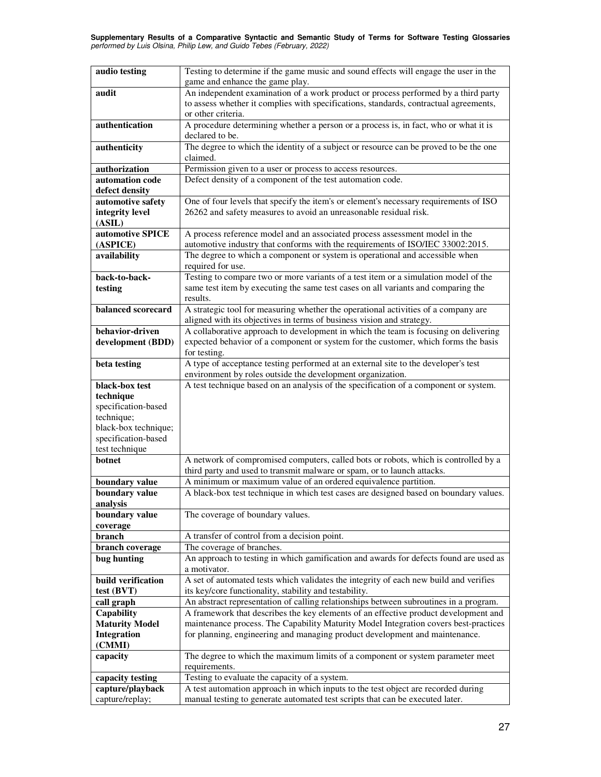| audio testing                       | Testing to determine if the game music and sound effects will engage the user in the                                                                               |
|-------------------------------------|--------------------------------------------------------------------------------------------------------------------------------------------------------------------|
|                                     | game and enhance the game play.                                                                                                                                    |
| audit                               | An independent examination of a work product or process performed by a third party                                                                                 |
|                                     | to assess whether it complies with specifications, standards, contractual agreements,                                                                              |
|                                     | or other criteria.                                                                                                                                                 |
| authentication                      | A procedure determining whether a person or a process is, in fact, who or what it is<br>declared to be.                                                            |
| authenticity                        | The degree to which the identity of a subject or resource can be proved to be the one                                                                              |
|                                     | claimed.                                                                                                                                                           |
| authorization                       | Permission given to a user or process to access resources.                                                                                                         |
| automation code                     | Defect density of a component of the test automation code.                                                                                                         |
| defect density                      |                                                                                                                                                                    |
| automotive safety                   | One of four levels that specify the item's or element's necessary requirements of ISO                                                                              |
| integrity level                     | 26262 and safety measures to avoid an unreasonable residual risk.                                                                                                  |
| (ASIL)                              |                                                                                                                                                                    |
| automotive SPICE                    | A process reference model and an associated process assessment model in the                                                                                        |
| (ASPICE)                            | automotive industry that conforms with the requirements of ISO/IEC 33002:2015.                                                                                     |
| availability                        | The degree to which a component or system is operational and accessible when                                                                                       |
|                                     | required for use.                                                                                                                                                  |
| back-to-back-                       | Testing to compare two or more variants of a test item or a simulation model of the                                                                                |
| testing                             | same test item by executing the same test cases on all variants and comparing the<br>results.                                                                      |
| balanced scorecard                  | A strategic tool for measuring whether the operational activities of a company are                                                                                 |
|                                     | aligned with its objectives in terms of business vision and strategy.                                                                                              |
| behavior-driven                     | A collaborative approach to development in which the team is focusing on delivering                                                                                |
| development (BDD)                   | expected behavior of a component or system for the customer, which forms the basis                                                                                 |
|                                     | for testing.                                                                                                                                                       |
| beta testing                        | A type of acceptance testing performed at an external site to the developer's test                                                                                 |
|                                     | environment by roles outside the development organization.                                                                                                         |
| black-box test<br>technique         | A test technique based on an analysis of the specification of a component or system.                                                                               |
|                                     |                                                                                                                                                                    |
|                                     |                                                                                                                                                                    |
| specification-based                 |                                                                                                                                                                    |
| technique;<br>black-box technique;  |                                                                                                                                                                    |
| specification-based                 |                                                                                                                                                                    |
| test technique                      |                                                                                                                                                                    |
| botnet                              | A network of compromised computers, called bots or robots, which is controlled by a                                                                                |
|                                     | third party and used to transmit malware or spam, or to launch attacks.                                                                                            |
| boundary value                      | A minimum or maximum value of an ordered equivalence partition.                                                                                                    |
| boundary value                      | A black-box test technique in which test cases are designed based on boundary values.                                                                              |
| analysis                            |                                                                                                                                                                    |
| boundary value                      | The coverage of boundary values.                                                                                                                                   |
| coverage<br>branch                  |                                                                                                                                                                    |
| branch coverage                     | A transfer of control from a decision point.<br>The coverage of branches.                                                                                          |
| bug hunting                         | An approach to testing in which gamification and awards for defects found are used as                                                                              |
|                                     | a motivator.                                                                                                                                                       |
| build verification                  | A set of automated tests which validates the integrity of each new build and verifies                                                                              |
| test (BVT)                          | its key/core functionality, stability and testability.                                                                                                             |
| call graph                          | An abstract representation of calling relationships between subroutines in a program.                                                                              |
| Capability                          | A framework that describes the key elements of an effective product development and                                                                                |
| <b>Maturity Model</b>               | maintenance process. The Capability Maturity Model Integration covers best-practices                                                                               |
| Integration                         | for planning, engineering and managing product development and maintenance.                                                                                        |
| (CMMI)                              |                                                                                                                                                                    |
| capacity                            | The degree to which the maximum limits of a component or system parameter meet<br>requirements.                                                                    |
| capacity testing                    | Testing to evaluate the capacity of a system.                                                                                                                      |
| capture/playback<br>capture/replay; | A test automation approach in which inputs to the test object are recorded during<br>manual testing to generate automated test scripts that can be executed later. |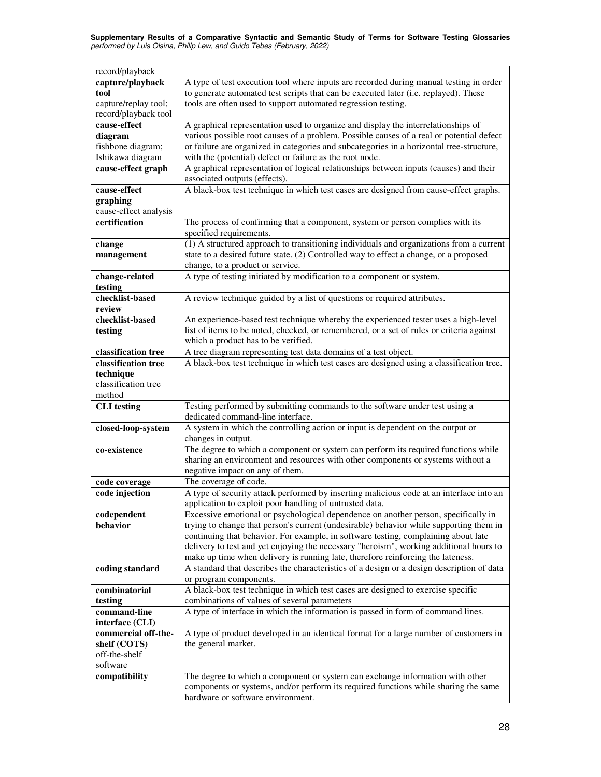| record/playback       |                                                                                           |
|-----------------------|-------------------------------------------------------------------------------------------|
| capture/playback      | A type of test execution tool where inputs are recorded during manual testing in order    |
| tool                  | to generate automated test scripts that can be executed later (i.e. replayed). These      |
| capture/replay tool;  | tools are often used to support automated regression testing.                             |
| record/playback tool  |                                                                                           |
| cause-effect          | A graphical representation used to organize and display the interrelationships of         |
| diagram               | various possible root causes of a problem. Possible causes of a real or potential defect  |
| fishbone diagram;     | or failure are organized in categories and subcategories in a horizontal tree-structure,  |
| Ishikawa diagram      | with the (potential) defect or failure as the root node.                                  |
| cause-effect graph    | A graphical representation of logical relationships between inputs (causes) and their     |
|                       | associated outputs (effects).                                                             |
| cause-effect          | A black-box test technique in which test cases are designed from cause-effect graphs.     |
| graphing              |                                                                                           |
| cause-effect analysis |                                                                                           |
| certification         | The process of confirming that a component, system or person complies with its            |
|                       | specified requirements.                                                                   |
| change                | (1) A structured approach to transitioning individuals and organizations from a current   |
| management            | state to a desired future state. (2) Controlled way to effect a change, or a proposed     |
|                       | change, to a product or service.                                                          |
| change-related        | A type of testing initiated by modification to a component or system.                     |
| testing               |                                                                                           |
| checklist-based       | A review technique guided by a list of questions or required attributes.                  |
| review                |                                                                                           |
| checklist-based       | An experience-based test technique whereby the experienced tester uses a high-level       |
| testing               | list of items to be noted, checked, or remembered, or a set of rules or criteria against  |
|                       | which a product has to be verified.                                                       |
| classification tree   | A tree diagram representing test data domains of a test object.                           |
| classification tree   | A black-box test technique in which test cases are designed using a classification tree.  |
| technique             |                                                                                           |
| classification tree   |                                                                                           |
| method                |                                                                                           |
| <b>CLI</b> testing    | Testing performed by submitting commands to the software under test using a               |
|                       | dedicated command-line interface.                                                         |
| closed-loop-system    | A system in which the controlling action or input is dependent on the output or           |
|                       | changes in output.                                                                        |
| co-existence          | The degree to which a component or system can perform its required functions while        |
|                       | sharing an environment and resources with other components or systems without a           |
|                       | negative impact on any of them.                                                           |
| code coverage         | The coverage of code.                                                                     |
| code injection        | A type of security attack performed by inserting malicious code at an interface into an   |
|                       | application to exploit poor handling of untrusted data.                                   |
| codependent           | Excessive emotional or psychological dependence on another person, specifically in        |
| behavior              | trying to change that person's current (undesirable) behavior while supporting them in    |
|                       | continuing that behavior. For example, in software testing, complaining about late        |
|                       | delivery to test and yet enjoying the necessary "heroism", working additional hours to    |
|                       | make up time when delivery is running late, therefore reinforcing the lateness.           |
| coding standard       | A standard that describes the characteristics of a design or a design description of data |
|                       | or program components.                                                                    |
| combinatorial         | A black-box test technique in which test cases are designed to exercise specific          |
| testing               | combinations of values of several parameters                                              |
| command-line          | A type of interface in which the information is passed in form of command lines.          |
| interface (CLI)       |                                                                                           |
| commercial off-the-   | A type of product developed in an identical format for a large number of customers in     |
| shelf (COTS)          | the general market.                                                                       |
| off-the-shelf         |                                                                                           |
| software              |                                                                                           |
| compatibility         | The degree to which a component or system can exchange information with other             |
|                       | components or systems, and/or perform its required functions while sharing the same       |
|                       | hardware or software environment.                                                         |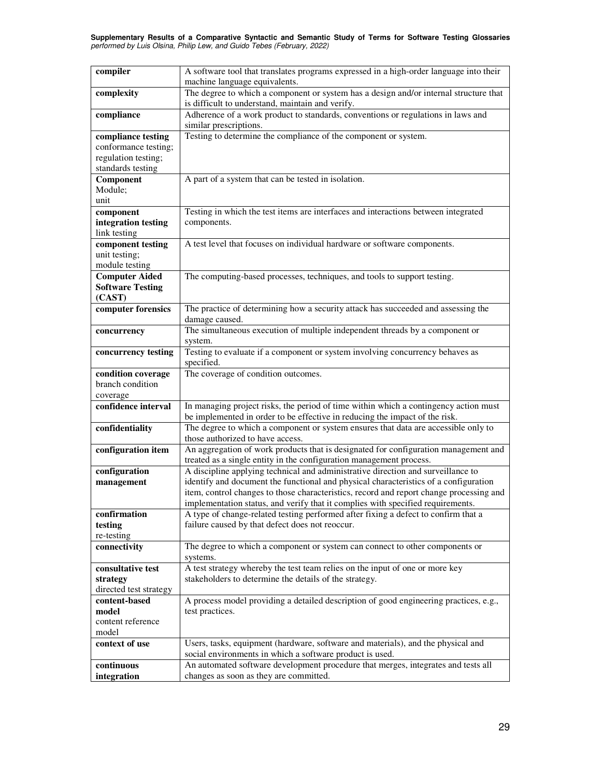| compiler                                   | A software tool that translates programs expressed in a high-order language into their<br>machine language equivalents.                                               |
|--------------------------------------------|-----------------------------------------------------------------------------------------------------------------------------------------------------------------------|
|                                            |                                                                                                                                                                       |
| complexity                                 | The degree to which a component or system has a design and/or internal structure that<br>is difficult to understand, maintain and verify.                             |
|                                            | Adherence of a work product to standards, conventions or regulations in laws and                                                                                      |
| compliance                                 | similar prescriptions.                                                                                                                                                |
|                                            | Testing to determine the compliance of the component or system.                                                                                                       |
| compliance testing<br>conformance testing; |                                                                                                                                                                       |
| regulation testing;                        |                                                                                                                                                                       |
| standards testing                          |                                                                                                                                                                       |
| Component                                  | A part of a system that can be tested in isolation.                                                                                                                   |
| Module;                                    |                                                                                                                                                                       |
| unit                                       |                                                                                                                                                                       |
| component                                  | Testing in which the test items are interfaces and interactions between integrated                                                                                    |
| integration testing                        | components.                                                                                                                                                           |
| link testing                               |                                                                                                                                                                       |
| component testing                          | A test level that focuses on individual hardware or software components.                                                                                              |
| unit testing;                              |                                                                                                                                                                       |
| module testing                             |                                                                                                                                                                       |
| <b>Computer Aided</b>                      | The computing-based processes, techniques, and tools to support testing.                                                                                              |
| <b>Software Testing</b>                    |                                                                                                                                                                       |
| (CAST)                                     |                                                                                                                                                                       |
| computer forensics                         | The practice of determining how a security attack has succeeded and assessing the                                                                                     |
|                                            | damage caused.                                                                                                                                                        |
| concurrency                                | The simultaneous execution of multiple independent threads by a component or                                                                                          |
|                                            | system.                                                                                                                                                               |
| concurrency testing                        | Testing to evaluate if a component or system involving concurrency behaves as                                                                                         |
|                                            | specified.                                                                                                                                                            |
| condition coverage                         | The coverage of condition outcomes.                                                                                                                                   |
| branch condition                           |                                                                                                                                                                       |
| coverage                                   |                                                                                                                                                                       |
| confidence interval                        | In managing project risks, the period of time within which a contingency action must                                                                                  |
|                                            | be implemented in order to be effective in reducing the impact of the risk.                                                                                           |
| confidentiality                            | The degree to which a component or system ensures that data are accessible only to                                                                                    |
|                                            | those authorized to have access.                                                                                                                                      |
| configuration item                         | An aggregation of work products that is designated for configuration management and                                                                                   |
|                                            | treated as a single entity in the configuration management process.                                                                                                   |
| configuration                              | A discipline applying technical and administrative direction and surveillance to                                                                                      |
| management                                 | identify and document the functional and physical characteristics of a configuration                                                                                  |
|                                            | item, control changes to those characteristics, record and report change processing and                                                                               |
| confirmation                               | implementation status, and verify that it complies with specified requirements.<br>A type of change-related testing performed after fixing a defect to confirm that a |
| testing                                    | failure caused by that defect does not reoccur.                                                                                                                       |
| re-testing                                 |                                                                                                                                                                       |
| connectivity                               | The degree to which a component or system can connect to other components or                                                                                          |
|                                            | systems.                                                                                                                                                              |
| consultative test                          | A test strategy whereby the test team relies on the input of one or more key                                                                                          |
| strategy                                   | stakeholders to determine the details of the strategy.                                                                                                                |
| directed test strategy                     |                                                                                                                                                                       |
| content-based                              | A process model providing a detailed description of good engineering practices, e.g.,                                                                                 |
| model                                      | test practices.                                                                                                                                                       |
| content reference                          |                                                                                                                                                                       |
| model                                      |                                                                                                                                                                       |
| context of use                             | Users, tasks, equipment (hardware, software and materials), and the physical and                                                                                      |
|                                            | social environments in which a software product is used.                                                                                                              |
| continuous                                 | An automated software development procedure that merges, integrates and tests all                                                                                     |
| integration                                | changes as soon as they are committed.                                                                                                                                |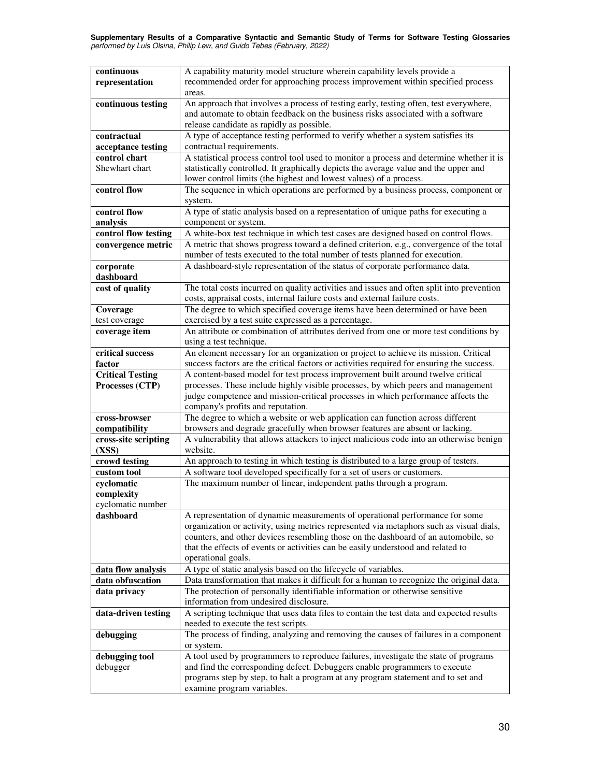| continuous                            | A capability maturity model structure wherein capability levels provide a                                           |
|---------------------------------------|---------------------------------------------------------------------------------------------------------------------|
| representation                        | recommended order for approaching process improvement within specified process                                      |
|                                       | areas.                                                                                                              |
| continuous testing                    | An approach that involves a process of testing early, testing often, test everywhere,                               |
|                                       | and automate to obtain feedback on the business risks associated with a software                                    |
|                                       | release candidate as rapidly as possible.                                                                           |
| contractual                           | A type of acceptance testing performed to verify whether a system satisfies its                                     |
| acceptance testing                    | contractual requirements.                                                                                           |
| control chart                         | A statistical process control tool used to monitor a process and determine whether it is                            |
| Shewhart chart                        | statistically controlled. It graphically depicts the average value and the upper and                                |
|                                       | lower control limits (the highest and lowest values) of a process.                                                  |
| control flow                          | The sequence in which operations are performed by a business process, component or                                  |
|                                       | system.                                                                                                             |
| control flow                          | A type of static analysis based on a representation of unique paths for executing a                                 |
| analysis                              | component or system.                                                                                                |
| control flow testing                  | A white-box test technique in which test cases are designed based on control flows.                                 |
| convergence metric                    | A metric that shows progress toward a defined criterion, e.g., convergence of the total                             |
|                                       | number of tests executed to the total number of tests planned for execution.                                        |
| corporate                             | A dashboard-style representation of the status of corporate performance data.                                       |
| dashboard                             |                                                                                                                     |
| cost of quality                       | The total costs incurred on quality activities and issues and often split into prevention                           |
|                                       | costs, appraisal costs, internal failure costs and external failure costs.                                          |
| Coverage                              | The degree to which specified coverage items have been determined or have been                                      |
| test coverage                         | exercised by a test suite expressed as a percentage.                                                                |
| coverage item                         | An attribute or combination of attributes derived from one or more test conditions by                               |
|                                       | using a test technique.                                                                                             |
| critical success                      | An element necessary for an organization or project to achieve its mission. Critical                                |
| factor                                | success factors are the critical factors or activities required for ensuring the success.                           |
| <b>Critical Testing</b>               | A content-based model for test process improvement built around twelve critical                                     |
| Processes (CTP)                       | processes. These include highly visible processes, by which peers and management                                    |
|                                       | judge competence and mission-critical processes in which performance affects the                                    |
| cross-browser                         | company's profits and reputation.<br>The degree to which a website or web application can function across different |
|                                       | browsers and degrade gracefully when browser features are absent or lacking.                                        |
| compatibility<br>cross-site scripting | A vulnerability that allows attackers to inject malicious code into an otherwise benign                             |
| (XSS)                                 | website.                                                                                                            |
| crowd testing                         | An approach to testing in which testing is distributed to a large group of testers.                                 |
| custom tool                           | A software tool developed specifically for a set of users or customers.                                             |
| cyclomatic                            | The maximum number of linear, independent paths through a program.                                                  |
| complexity                            |                                                                                                                     |
| cyclomatic number                     |                                                                                                                     |
| dashboard                             | A representation of dynamic measurements of operational performance for some                                        |
|                                       | organization or activity, using metrics represented via metaphors such as visual dials,                             |
|                                       | counters, and other devices resembling those on the dashboard of an automobile, so                                  |
|                                       | that the effects of events or activities can be easily understood and related to                                    |
|                                       | operational goals.                                                                                                  |
| data flow analysis                    | A type of static analysis based on the lifecycle of variables.                                                      |
| data obfuscation                      | Data transformation that makes it difficult for a human to recognize the original data.                             |
| data privacy                          | The protection of personally identifiable information or otherwise sensitive                                        |
|                                       | information from undesired disclosure.                                                                              |
| data-driven testing                   | A scripting technique that uses data files to contain the test data and expected results                            |
|                                       | needed to execute the test scripts.                                                                                 |
| debugging                             | The process of finding, analyzing and removing the causes of failures in a component                                |
|                                       | or system.                                                                                                          |
| debugging tool                        | A tool used by programmers to reproduce failures, investigate the state of programs                                 |
| debugger                              | and find the corresponding defect. Debuggers enable programmers to execute                                          |
|                                       | programs step by step, to halt a program at any program statement and to set and                                    |
|                                       | examine program variables.                                                                                          |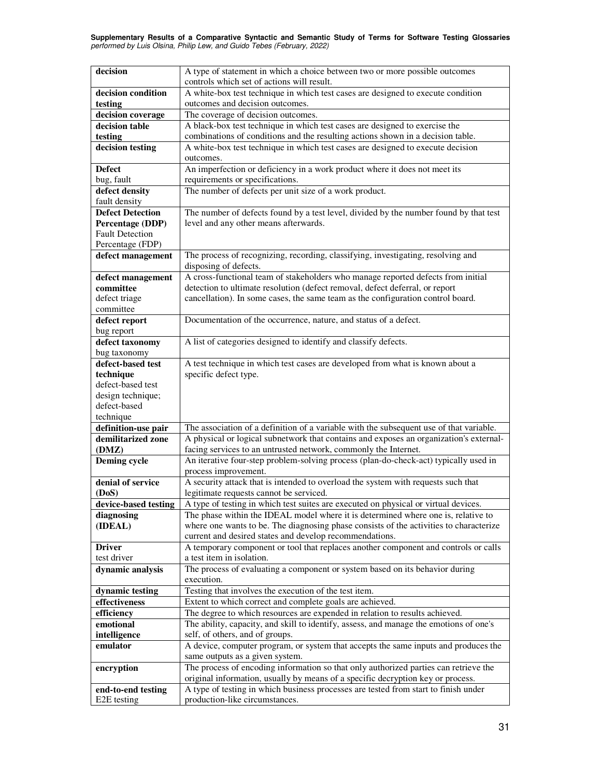| decision                       | A type of statement in which a choice between two or more possible outcomes                                                                                            |
|--------------------------------|------------------------------------------------------------------------------------------------------------------------------------------------------------------------|
|                                | controls which set of actions will result.                                                                                                                             |
| decision condition             | A white-box test technique in which test cases are designed to execute condition                                                                                       |
| testing                        | outcomes and decision outcomes.                                                                                                                                        |
| decision coverage              | The coverage of decision outcomes.                                                                                                                                     |
| decision table                 | A black-box test technique in which test cases are designed to exercise the                                                                                            |
| testing                        | combinations of conditions and the resulting actions shown in a decision table.                                                                                        |
| decision testing               | A white-box test technique in which test cases are designed to execute decision<br>outcomes.                                                                           |
| <b>Defect</b>                  | An imperfection or deficiency in a work product where it does not meet its                                                                                             |
| bug, fault                     | requirements or specifications.                                                                                                                                        |
| defect density                 | The number of defects per unit size of a work product.                                                                                                                 |
| fault density                  |                                                                                                                                                                        |
| <b>Defect Detection</b>        | The number of defects found by a test level, divided by the number found by that test                                                                                  |
| Percentage (DDP)               | level and any other means afterwards.                                                                                                                                  |
| <b>Fault Detection</b>         |                                                                                                                                                                        |
| Percentage (FDP)               |                                                                                                                                                                        |
| defect management              | The process of recognizing, recording, classifying, investigating, resolving and                                                                                       |
|                                | disposing of defects.                                                                                                                                                  |
| defect management              | A cross-functional team of stakeholders who manage reported defects from initial                                                                                       |
| committee                      | detection to ultimate resolution (defect removal, defect deferral, or report                                                                                           |
| defect triage                  | cancellation). In some cases, the same team as the configuration control board.                                                                                        |
| committee                      |                                                                                                                                                                        |
| defect report                  | Documentation of the occurrence, nature, and status of a defect.                                                                                                       |
| bug report                     |                                                                                                                                                                        |
| defect taxonomy                | A list of categories designed to identify and classify defects.                                                                                                        |
| bug taxonomy                   |                                                                                                                                                                        |
| defect-based test              | A test technique in which test cases are developed from what is known about a                                                                                          |
| technique<br>defect-based test | specific defect type.                                                                                                                                                  |
| design technique;              |                                                                                                                                                                        |
| defect-based                   |                                                                                                                                                                        |
| technique                      |                                                                                                                                                                        |
| definition-use pair            | The association of a definition of a variable with the subsequent use of that variable.                                                                                |
| demilitarized zone             | A physical or logical subnetwork that contains and exposes an organization's external-                                                                                 |
| (DMZ)                          | facing services to an untrusted network, commonly the Internet.                                                                                                        |
| Deming cycle                   | An iterative four-step problem-solving process (plan-do-check-act) typically used in                                                                                   |
|                                | process improvement.                                                                                                                                                   |
| denial of service              | A security attack that is intended to overload the system with requests such that                                                                                      |
| (DoS)                          | legitimate requests cannot be serviced.                                                                                                                                |
| device-based testing           | A type of testing in which test suites are executed on physical or virtual devices.                                                                                    |
| diagnosing                     | The phase within the IDEAL model where it is determined where one is, relative to                                                                                      |
| (IDEAL)                        | where one wants to be. The diagnosing phase consists of the activities to characterize                                                                                 |
|                                | current and desired states and develop recommendations.                                                                                                                |
| <b>Driver</b>                  | A temporary component or tool that replaces another component and controls or calls                                                                                    |
| test driver                    | a test item in isolation.                                                                                                                                              |
| dynamic analysis               | The process of evaluating a component or system based on its behavior during                                                                                           |
|                                | execution.                                                                                                                                                             |
| dynamic testing                | Testing that involves the execution of the test item.                                                                                                                  |
| effectiveness                  | Extent to which correct and complete goals are achieved.<br>The degree to which resources are expended in relation to results achieved.                                |
| efficiency<br>emotional        | The ability, capacity, and skill to identify, assess, and manage the emotions of one's                                                                                 |
| intelligence                   |                                                                                                                                                                        |
|                                |                                                                                                                                                                        |
|                                | self, of others, and of groups.                                                                                                                                        |
| emulator                       | A device, computer program, or system that accepts the same inputs and produces the                                                                                    |
|                                | same outputs as a given system.                                                                                                                                        |
| encryption                     | The process of encoding information so that only authorized parties can retrieve the                                                                                   |
| end-to-end testing             | original information, usually by means of a specific decryption key or process.<br>A type of testing in which business processes are tested from start to finish under |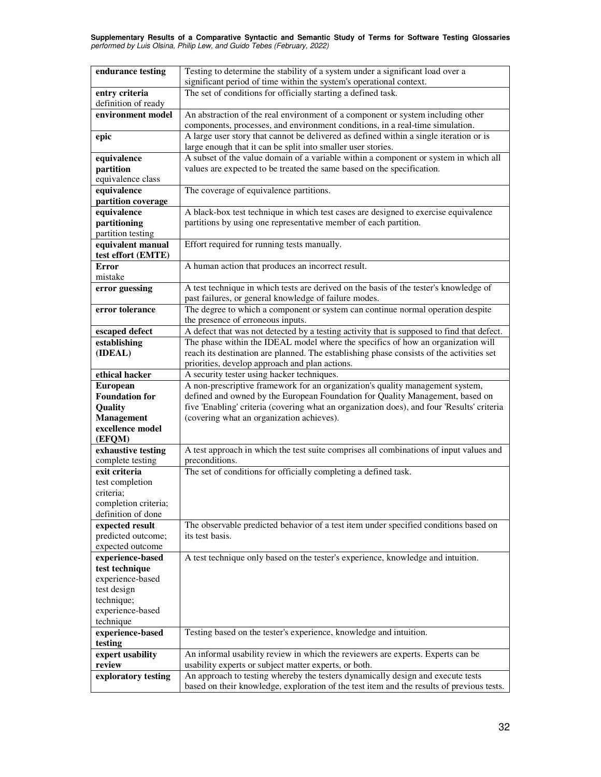| endurance testing                 | Testing to determine the stability of a system under a significant load over a                                                                          |
|-----------------------------------|---------------------------------------------------------------------------------------------------------------------------------------------------------|
|                                   | significant period of time within the system's operational context.                                                                                     |
| entry criteria                    | The set of conditions for officially starting a defined task.                                                                                           |
| definition of ready               |                                                                                                                                                         |
| environment model                 | An abstraction of the real environment of a component or system including other                                                                         |
|                                   | components, processes, and environment conditions, in a real-time simulation.                                                                           |
| epic                              | A large user story that cannot be delivered as defined within a single iteration or is                                                                  |
|                                   | large enough that it can be split into smaller user stories.                                                                                            |
| equivalence                       | A subset of the value domain of a variable within a component or system in which all                                                                    |
| partition                         | values are expected to be treated the same based on the specification.                                                                                  |
| equivalence class                 |                                                                                                                                                         |
| equivalence                       | The coverage of equivalence partitions.                                                                                                                 |
| partition coverage<br>equivalence |                                                                                                                                                         |
| partitioning                      | A black-box test technique in which test cases are designed to exercise equivalence<br>partitions by using one representative member of each partition. |
| partition testing                 |                                                                                                                                                         |
| equivalent manual                 | Effort required for running tests manually.                                                                                                             |
| test effort (EMTE)                |                                                                                                                                                         |
| Error                             | A human action that produces an incorrect result.                                                                                                       |
| mistake                           |                                                                                                                                                         |
| error guessing                    | A test technique in which tests are derived on the basis of the tester's knowledge of                                                                   |
|                                   | past failures, or general knowledge of failure modes.                                                                                                   |
| error tolerance                   | The degree to which a component or system can continue normal operation despite                                                                         |
|                                   | the presence of erroneous inputs.                                                                                                                       |
| escaped defect                    | A defect that was not detected by a testing activity that is supposed to find that defect.                                                              |
| establishing                      | The phase within the IDEAL model where the specifics of how an organization will                                                                        |
| (IDEAL)                           | reach its destination are planned. The establishing phase consists of the activities set                                                                |
|                                   | priorities, develop approach and plan actions.                                                                                                          |
| ethical hacker                    | A security tester using hacker techniques.                                                                                                              |
| <b>European</b>                   | A non-prescriptive framework for an organization's quality management system,                                                                           |
| <b>Foundation for</b>             | defined and owned by the European Foundation for Quality Management, based on                                                                           |
| Quality                           | five 'Enabling' criteria (covering what an organization does), and four 'Results' criteria                                                              |
| <b>Management</b>                 | (covering what an organization achieves).                                                                                                               |
| excellence model                  |                                                                                                                                                         |
| (EFQM)                            |                                                                                                                                                         |
| exhaustive testing                | A test approach in which the test suite comprises all combinations of input values and                                                                  |
| complete testing                  | preconditions.                                                                                                                                          |
| exit criteria                     | The set of conditions for officially completing a defined task.                                                                                         |
| test completion                   |                                                                                                                                                         |
| criteria;                         |                                                                                                                                                         |
| completion criteria;              |                                                                                                                                                         |
| definition of done                |                                                                                                                                                         |
| expected result                   | The observable predicted behavior of a test item under specified conditions based on                                                                    |
| predicted outcome;                | its test basis.                                                                                                                                         |
| expected outcome                  |                                                                                                                                                         |
| experience-based                  | A test technique only based on the tester's experience, knowledge and intuition.                                                                        |
| test technique                    |                                                                                                                                                         |
| experience-based                  |                                                                                                                                                         |
| test design                       |                                                                                                                                                         |
| technique;                        |                                                                                                                                                         |
| experience-based                  |                                                                                                                                                         |
| technique                         |                                                                                                                                                         |
| experience-based                  | Testing based on the tester's experience, knowledge and intuition.                                                                                      |
| testing                           |                                                                                                                                                         |
| expert usability                  | An informal usability review in which the reviewers are experts. Experts can be                                                                         |
| review                            | usability experts or subject matter experts, or both.                                                                                                   |
| exploratory testing               | An approach to testing whereby the testers dynamically design and execute tests                                                                         |
|                                   | based on their knowledge, exploration of the test item and the results of previous tests.                                                               |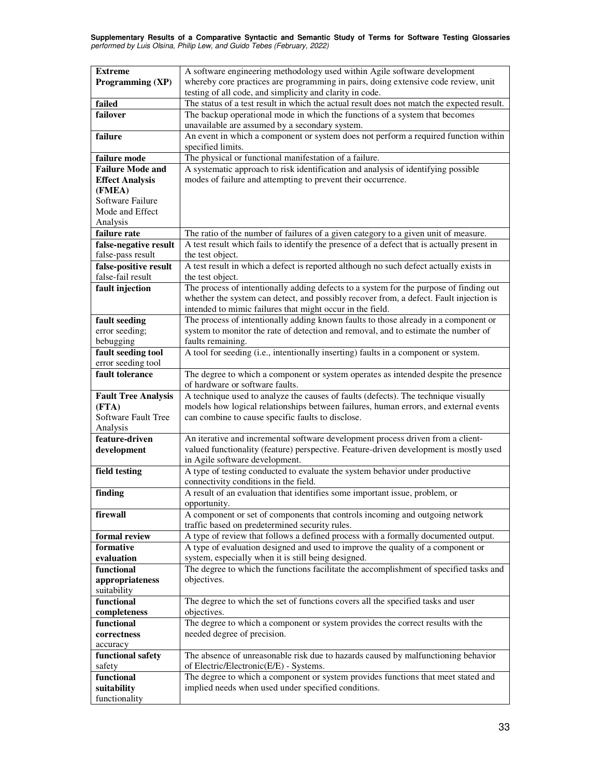| <b>Extreme</b>                   | A software engineering methodology used within Agile software development                      |
|----------------------------------|------------------------------------------------------------------------------------------------|
| Programming (XP)                 | whereby core practices are programming in pairs, doing extensive code review, unit             |
|                                  | testing of all code, and simplicity and clarity in code.                                       |
| failed                           | The status of a test result in which the actual result does not match the expected result.     |
| failover                         | The backup operational mode in which the functions of a system that becomes                    |
|                                  | unavailable are assumed by a secondary system.                                                 |
| failure                          | An event in which a component or system does not perform a required function within            |
|                                  | specified limits.                                                                              |
| failure mode                     | The physical or functional manifestation of a failure.                                         |
| <b>Failure Mode and</b>          | A systematic approach to risk identification and analysis of identifying possible              |
| <b>Effect Analysis</b><br>(FMEA) | modes of failure and attempting to prevent their occurrence.                                   |
| Software Failure                 |                                                                                                |
| Mode and Effect                  |                                                                                                |
| Analysis                         |                                                                                                |
| failure rate                     | The ratio of the number of failures of a given category to a given unit of measure.            |
| false-negative result            | A test result which fails to identify the presence of a defect that is actually present in     |
| false-pass result                | the test object.                                                                               |
| false-positive result            | A test result in which a defect is reported although no such defect actually exists in         |
| false-fail result                | the test object.                                                                               |
| fault injection                  | The process of intentionally adding defects to a system for the purpose of finding out         |
|                                  | whether the system can detect, and possibly recover from, a defect. Fault injection is         |
|                                  | intended to mimic failures that might occur in the field.                                      |
| fault seeding                    | The process of intentionally adding known faults to those already in a component or            |
| error seeding;                   | system to monitor the rate of detection and removal, and to estimate the number of             |
| bebugging                        | faults remaining.                                                                              |
| fault seeding tool               | A tool for seeding (i.e., intentionally inserting) faults in a component or system.            |
| error seeding tool               |                                                                                                |
| fault tolerance                  | The degree to which a component or system operates as intended despite the presence            |
|                                  | of hardware or software faults.                                                                |
| <b>Fault Tree Analysis</b>       | A technique used to analyze the causes of faults (defects). The technique visually             |
| (FTA)                            | models how logical relationships between failures, human errors, and external events           |
| Software Fault Tree              | can combine to cause specific faults to disclose.                                              |
| Analysis<br>feature-driven       | An iterative and incremental software development process driven from a client-                |
| development                      | valued functionality (feature) perspective. Feature-driven development is mostly used          |
|                                  | in Agile software development.                                                                 |
| field testing                    | A type of testing conducted to evaluate the system behavior under productive                   |
|                                  | connectivity conditions in the field.                                                          |
| finding                          | A result of an evaluation that identifies some important issue, problem, or                    |
|                                  | opportunity.                                                                                   |
| firewall                         | A component or set of components that controls incoming and outgoing network                   |
|                                  | traffic based on predetermined security rules.                                                 |
| formal review                    | A type of review that follows a defined process with a formally documented output.             |
| formative                        | A type of evaluation designed and used to improve the quality of a component or                |
| evaluation                       | system, especially when it is still being designed.                                            |
| functional                       | The degree to which the functions facilitate the accomplishment of specified tasks and         |
| appropriateness                  | objectives.                                                                                    |
| suitability                      |                                                                                                |
| functional                       | The degree to which the set of functions covers all the specified tasks and user               |
| completeness<br>functional       | objectives.<br>The degree to which a component or system provides the correct results with the |
| correctness                      | needed degree of precision.                                                                    |
| accuracy                         |                                                                                                |
| functional safety                | The absence of unreasonable risk due to hazards caused by malfunctioning behavior              |
| safety                           | of Electric/Electronic(E/E) - Systems.                                                         |
| functional                       | The degree to which a component or system provides functions that meet stated and              |
| suitability                      | implied needs when used under specified conditions.                                            |
| functionality                    |                                                                                                |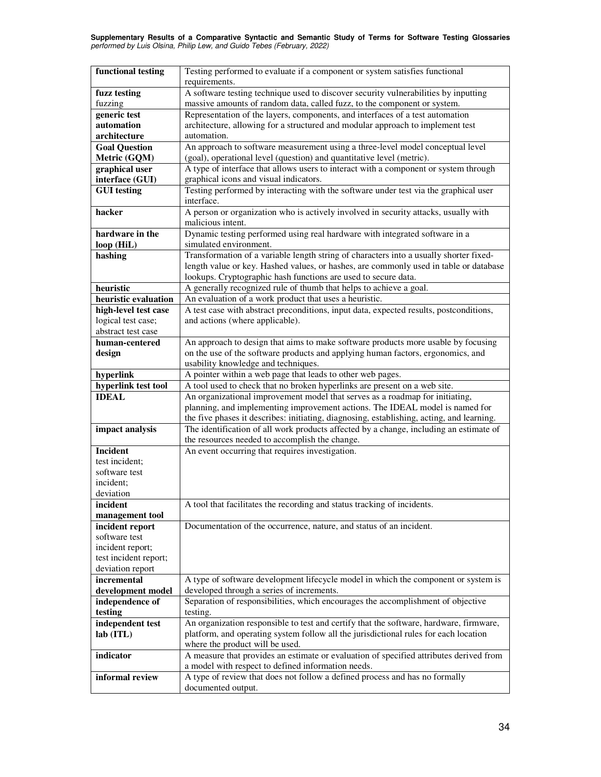| functional testing                 | Testing performed to evaluate if a component or system satisfies functional                        |
|------------------------------------|----------------------------------------------------------------------------------------------------|
|                                    | requirements.                                                                                      |
| fuzz testing                       | A software testing technique used to discover security vulnerabilities by inputting                |
| fuzzing                            | massive amounts of random data, called fuzz, to the component or system.                           |
| generic test                       | Representation of the layers, components, and interfaces of a test automation                      |
| automation                         | architecture, allowing for a structured and modular approach to implement test                     |
| architecture                       | automation.                                                                                        |
| <b>Goal Question</b>               | An approach to software measurement using a three-level model conceptual level                     |
| Metric (GQM)                       | (goal), operational level (question) and quantitative level (metric).                              |
| graphical user                     | A type of interface that allows users to interact with a component or system through               |
| interface (GUI)                    | graphical icons and visual indicators.                                                             |
| <b>GUI</b> testing                 | Testing performed by interacting with the software under test via the graphical user<br>interface. |
| hacker                             | A person or organization who is actively involved in security attacks, usually with                |
|                                    | malicious intent.                                                                                  |
| hardware in the                    | Dynamic testing performed using real hardware with integrated software in a                        |
| loop (HiL)                         | simulated environment.                                                                             |
| hashing                            | Transformation of a variable length string of characters into a usually shorter fixed-             |
|                                    | length value or key. Hashed values, or hashes, are commonly used in table or database              |
|                                    | lookups. Cryptographic hash functions are used to secure data.                                     |
| heuristic                          | A generally recognized rule of thumb that helps to achieve a goal.                                 |
| heuristic evaluation               | An evaluation of a work product that uses a heuristic.                                             |
| high-level test case               | A test case with abstract preconditions, input data, expected results, postconditions,             |
| logical test case;                 | and actions (where applicable).                                                                    |
| abstract test case                 |                                                                                                    |
| human-centered                     | An approach to design that aims to make software products more usable by focusing                  |
| design                             | on the use of the software products and applying human factors, ergonomics, and                    |
|                                    | usability knowledge and techniques.                                                                |
| hyperlink                          | A pointer within a web page that leads to other web pages.                                         |
|                                    |                                                                                                    |
|                                    |                                                                                                    |
| hyperlink test tool                | A tool used to check that no broken hyperlinks are present on a web site.                          |
| <b>IDEAL</b>                       | An organizational improvement model that serves as a roadmap for initiating,                       |
|                                    | planning, and implementing improvement actions. The IDEAL model is named for                       |
|                                    | the five phases it describes: initiating, diagnosing, establishing, acting, and learning.          |
| impact analysis                    | The identification of all work products affected by a change, including an estimate of             |
|                                    | the resources needed to accomplish the change.                                                     |
| Incident                           | An event occurring that requires investigation.                                                    |
| test incident;<br>software test    |                                                                                                    |
|                                    |                                                                                                    |
| incident;<br>deviation             |                                                                                                    |
| incident                           |                                                                                                    |
|                                    | A tool that facilitates the recording and status tracking of incidents.                            |
| management tool<br>incident report |                                                                                                    |
| software test                      | Documentation of the occurrence, nature, and status of an incident.                                |
| incident report;                   |                                                                                                    |
| test incident report;              |                                                                                                    |
| deviation report                   |                                                                                                    |
| incremental                        | A type of software development lifecycle model in which the component or system is                 |
| development model                  | developed through a series of increments.                                                          |
| independence of                    | Separation of responsibilities, which encourages the accomplishment of objective                   |
| testing                            | testing.                                                                                           |
| independent test                   | An organization responsible to test and certify that the software, hardware, firmware,             |
| lab (ITL)                          | platform, and operating system follow all the jurisdictional rules for each location               |
|                                    | where the product will be used.                                                                    |
| indicator                          | A measure that provides an estimate or evaluation of specified attributes derived from             |
|                                    | a model with respect to defined information needs.                                                 |
| informal review                    | A type of review that does not follow a defined process and has no formally                        |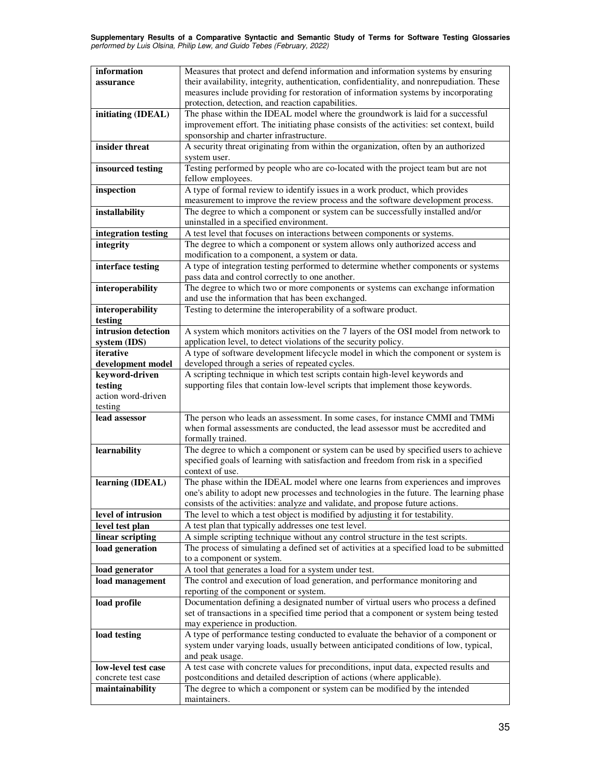| information                           | Measures that protect and defend information and information systems by ensuring                                                                    |
|---------------------------------------|-----------------------------------------------------------------------------------------------------------------------------------------------------|
| assurance                             | their availability, integrity, authentication, confidentiality, and nonrepudiation. These                                                           |
|                                       | measures include providing for restoration of information systems by incorporating                                                                  |
|                                       | protection, detection, and reaction capabilities.                                                                                                   |
| initiating (IDEAL)                    | The phase within the IDEAL model where the groundwork is laid for a successful                                                                      |
|                                       | improvement effort. The initiating phase consists of the activities: set context, build                                                             |
| insider threat                        | sponsorship and charter infrastructure.                                                                                                             |
|                                       | A security threat originating from within the organization, often by an authorized<br>system user.                                                  |
| insourced testing                     | Testing performed by people who are co-located with the project team but are not                                                                    |
|                                       | fellow employees.                                                                                                                                   |
| inspection                            | A type of formal review to identify issues in a work product, which provides                                                                        |
|                                       | measurement to improve the review process and the software development process.                                                                     |
| installability                        | The degree to which a component or system can be successfully installed and/or                                                                      |
|                                       | uninstalled in a specified environment.                                                                                                             |
| integration testing                   | A test level that focuses on interactions between components or systems.                                                                            |
| integrity                             | The degree to which a component or system allows only authorized access and                                                                         |
|                                       | modification to a component, a system or data.                                                                                                      |
| interface testing                     | A type of integration testing performed to determine whether components or systems                                                                  |
|                                       | pass data and control correctly to one another.                                                                                                     |
| interoperability                      | The degree to which two or more components or systems can exchange information                                                                      |
|                                       | and use the information that has been exchanged.                                                                                                    |
| interoperability                      | Testing to determine the interoperability of a software product.                                                                                    |
| testing                               |                                                                                                                                                     |
| intrusion detection                   | A system which monitors activities on the 7 layers of the OSI model from network to                                                                 |
| system (IDS)                          | application level, to detect violations of the security policy.                                                                                     |
| iterative<br>development model        | A type of software development lifecycle model in which the component or system is<br>developed through a series of repeated cycles.                |
| keyword-driven                        | A scripting technique in which test scripts contain high-level keywords and                                                                         |
| testing                               | supporting files that contain low-level scripts that implement those keywords.                                                                      |
|                                       |                                                                                                                                                     |
|                                       |                                                                                                                                                     |
| action word-driven                    |                                                                                                                                                     |
| testing<br>lead assessor              | The person who leads an assessment. In some cases, for instance CMMI and TMMi                                                                       |
|                                       | when formal assessments are conducted, the lead assessor must be accredited and                                                                     |
|                                       | formally trained.                                                                                                                                   |
| learnability                          | The degree to which a component or system can be used by specified users to achieve                                                                 |
|                                       | specified goals of learning with satisfaction and freedom from risk in a specified                                                                  |
|                                       | context of use.                                                                                                                                     |
| learning (IDEAL)                      | The phase within the IDEAL model where one learns from experiences and improves                                                                     |
|                                       | one's ability to adopt new processes and technologies in the future. The learning phase                                                             |
|                                       | consists of the activities: analyze and validate, and propose future actions.                                                                       |
| level of intrusion                    | The level to which a test object is modified by adjusting it for testability.                                                                       |
| level test plan                       | A test plan that typically addresses one test level.                                                                                                |
| linear scripting                      | A simple scripting technique without any control structure in the test scripts.                                                                     |
| load generation                       | The process of simulating a defined set of activities at a specified load to be submitted<br>to a component or system.                              |
| load generator                        | A tool that generates a load for a system under test.                                                                                               |
| load management                       | The control and execution of load generation, and performance monitoring and                                                                        |
|                                       | reporting of the component or system.                                                                                                               |
| load profile                          | Documentation defining a designated number of virtual users who process a defined                                                                   |
|                                       | set of transactions in a specified time period that a component or system being tested                                                              |
|                                       | may experience in production.                                                                                                                       |
| load testing                          | A type of performance testing conducted to evaluate the behavior of a component or                                                                  |
|                                       | system under varying loads, usually between anticipated conditions of low, typical,                                                                 |
|                                       | and peak usage.                                                                                                                                     |
| low-level test case                   | A test case with concrete values for preconditions, input data, expected results and                                                                |
| concrete test case<br>maintainability | postconditions and detailed description of actions (where applicable).<br>The degree to which a component or system can be modified by the intended |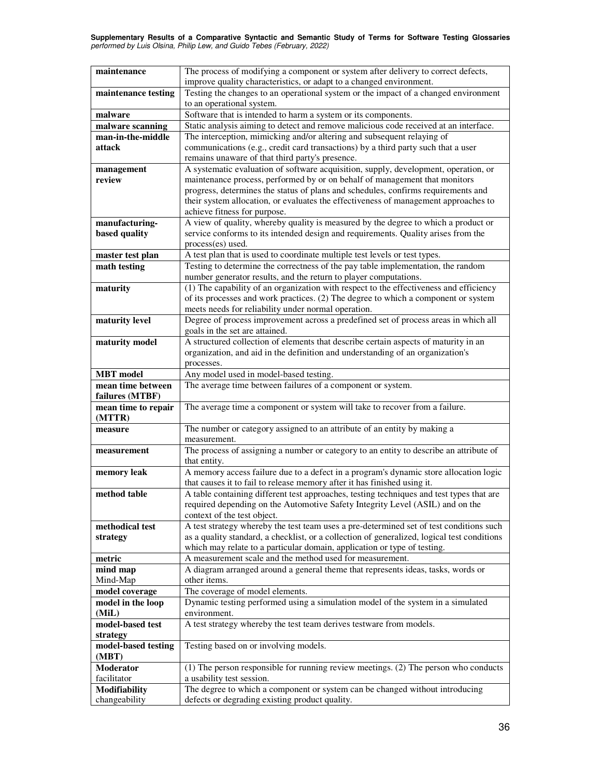| maintenance                           | The process of modifying a component or system after delivery to correct defects,                                                         |
|---------------------------------------|-------------------------------------------------------------------------------------------------------------------------------------------|
|                                       | improve quality characteristics, or adapt to a changed environment.                                                                       |
| maintenance testing                   | Testing the changes to an operational system or the impact of a changed environment                                                       |
|                                       | to an operational system.                                                                                                                 |
| malware                               | Software that is intended to harm a system or its components.                                                                             |
| malware scanning                      | Static analysis aiming to detect and remove malicious code received at an interface.                                                      |
| man-in-the-middle                     | The interception, mimicking and/or altering and subsequent relaying of                                                                    |
| attack                                | communications (e.g., credit card transactions) by a third party such that a user<br>remains unaware of that third party's presence.      |
| management                            | A systematic evaluation of software acquisition, supply, development, operation, or                                                       |
| review                                | maintenance process, performed by or on behalf of management that monitors                                                                |
|                                       | progress, determines the status of plans and schedules, confirms requirements and                                                         |
|                                       | their system allocation, or evaluates the effectiveness of management approaches to                                                       |
|                                       | achieve fitness for purpose.                                                                                                              |
| manufacturing-                        | A view of quality, whereby quality is measured by the degree to which a product or                                                        |
| based quality                         | service conforms to its intended design and requirements. Quality arises from the                                                         |
|                                       | process(es) used.                                                                                                                         |
| master test plan                      | A test plan that is used to coordinate multiple test levels or test types.                                                                |
| math testing                          | Testing to determine the correctness of the pay table implementation, the random                                                          |
|                                       | number generator results, and the return to player computations.                                                                          |
| maturity                              | (1) The capability of an organization with respect to the effectiveness and efficiency                                                    |
|                                       | of its processes and work practices. (2) The degree to which a component or system<br>meets needs for reliability under normal operation. |
| maturity level                        | Degree of process improvement across a predefined set of process areas in which all                                                       |
|                                       | goals in the set are attained.                                                                                                            |
| maturity model                        | A structured collection of elements that describe certain aspects of maturity in an                                                       |
|                                       | organization, and aid in the definition and understanding of an organization's                                                            |
|                                       | processes.                                                                                                                                |
| <b>MBT</b> model                      | Any model used in model-based testing.                                                                                                    |
| mean time between                     | The average time between failures of a component or system.                                                                               |
| failures (MTBF)                       |                                                                                                                                           |
| mean time to repair                   | The average time a component or system will take to recover from a failure.                                                               |
| (MTTR)                                |                                                                                                                                           |
| measure                               | The number or category assigned to an attribute of an entity by making a<br>measurement.                                                  |
| measurement                           | The process of assigning a number or category to an entity to describe an attribute of                                                    |
|                                       | that entity.                                                                                                                              |
| memory leak                           | A memory access failure due to a defect in a program's dynamic store allocation logic                                                     |
|                                       | that causes it to fail to release memory after it has finished using it.                                                                  |
| method table                          | A table containing different test approaches, testing techniques and test types that are                                                  |
|                                       | required depending on the Automotive Safety Integrity Level (ASIL) and on the                                                             |
|                                       | context of the test object.                                                                                                               |
| methodical test                       | A test strategy whereby the test team uses a pre-determined set of test conditions such                                                   |
| strategy                              | as a quality standard, a checklist, or a collection of generalized, logical test conditions                                               |
| metric                                | which may relate to a particular domain, application or type of testing.                                                                  |
| mind map                              |                                                                                                                                           |
|                                       | A measurement scale and the method used for measurement.                                                                                  |
|                                       | A diagram arranged around a general theme that represents ideas, tasks, words or                                                          |
| Mind-Map                              | other items.                                                                                                                              |
| model coverage                        | The coverage of model elements.                                                                                                           |
| model in the loop<br>(MiL)            | Dynamic testing performed using a simulation model of the system in a simulated<br>environment.                                           |
| model-based test                      | A test strategy whereby the test team derives testware from models.                                                                       |
| strategy                              |                                                                                                                                           |
| model-based testing                   | Testing based on or involving models.                                                                                                     |
| (MBT)                                 |                                                                                                                                           |
| Moderator                             | (1) The person responsible for running review meetings. (2) The person who conducts                                                       |
| facilitator                           | a usability test session.                                                                                                                 |
| <b>Modifiability</b><br>changeability | The degree to which a component or system can be changed without introducing<br>defects or degrading existing product quality.            |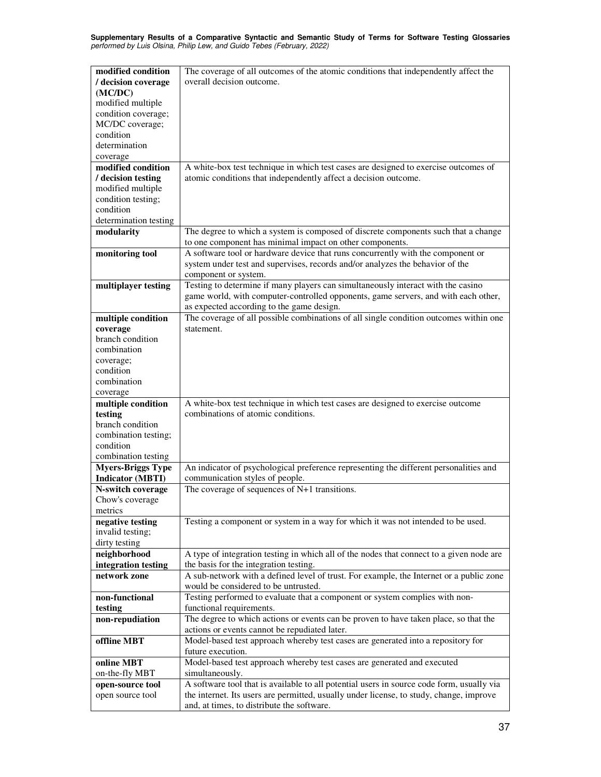| modified condition                   | The coverage of all outcomes of the atomic conditions that independently affect the                                                                    |
|--------------------------------------|--------------------------------------------------------------------------------------------------------------------------------------------------------|
| / decision coverage                  | overall decision outcome.                                                                                                                              |
| (MC/DC)<br>modified multiple         |                                                                                                                                                        |
| condition coverage;                  |                                                                                                                                                        |
| MC/DC coverage;                      |                                                                                                                                                        |
| condition                            |                                                                                                                                                        |
| determination                        |                                                                                                                                                        |
| coverage<br>modified condition       |                                                                                                                                                        |
| / decision testing                   | A white-box test technique in which test cases are designed to exercise outcomes of<br>atomic conditions that independently affect a decision outcome. |
| modified multiple                    |                                                                                                                                                        |
| condition testing;                   |                                                                                                                                                        |
| condition                            |                                                                                                                                                        |
| determination testing                |                                                                                                                                                        |
| modularity                           | The degree to which a system is composed of discrete components such that a change<br>to one component has minimal impact on other components.         |
| monitoring tool                      | A software tool or hardware device that runs concurrently with the component or                                                                        |
|                                      | system under test and supervises, records and/or analyzes the behavior of the                                                                          |
|                                      | component or system.                                                                                                                                   |
| multiplayer testing                  | Testing to determine if many players can simultaneously interact with the casino                                                                       |
|                                      | game world, with computer-controlled opponents, game servers, and with each other,                                                                     |
| multiple condition                   | as expected according to the game design.<br>The coverage of all possible combinations of all single condition outcomes within one                     |
| coverage                             | statement.                                                                                                                                             |
| branch condition                     |                                                                                                                                                        |
| combination                          |                                                                                                                                                        |
| coverage;                            |                                                                                                                                                        |
| condition                            |                                                                                                                                                        |
| combination<br>coverage              |                                                                                                                                                        |
| multiple condition                   | A white-box test technique in which test cases are designed to exercise outcome                                                                        |
| testing                              | combinations of atomic conditions.                                                                                                                     |
| branch condition                     |                                                                                                                                                        |
| combination testing;                 |                                                                                                                                                        |
| condition<br>combination testing     |                                                                                                                                                        |
| <b>Myers-Briggs Type</b>             | An indicator of psychological preference representing the different personalities and                                                                  |
| <b>Indicator (MBTI)</b>              | communication styles of people.                                                                                                                        |
| N-switch coverage                    | The coverage of sequences of N+1 transitions.                                                                                                          |
| Chow's coverage                      |                                                                                                                                                        |
| metrics                              |                                                                                                                                                        |
| negative testing<br>invalid testing; | Testing a component or system in a way for which it was not intended to be used.                                                                       |
| dirty testing                        |                                                                                                                                                        |
| neighborhood                         | A type of integration testing in which all of the nodes that connect to a given node are                                                               |
| integration testing                  | the basis for the integration testing.                                                                                                                 |
| network zone                         | A sub-network with a defined level of trust. For example, the Internet or a public zone                                                                |
| non-functional                       | would be considered to be untrusted.<br>Testing performed to evaluate that a component or system complies with non-                                    |
| testing                              | functional requirements.                                                                                                                               |
| non-repudiation                      | The degree to which actions or events can be proven to have taken place, so that the                                                                   |
|                                      | actions or events cannot be repudiated later.                                                                                                          |
| offline MBT                          | Model-based test approach whereby test cases are generated into a repository for<br>future execution.                                                  |
| online MBT                           | Model-based test approach whereby test cases are generated and executed                                                                                |
| on-the-fly MBT                       | simultaneously.                                                                                                                                        |
| open-source tool                     | A software tool that is available to all potential users in source code form, usually via                                                              |
| open source tool                     | the internet. Its users are permitted, usually under license, to study, change, improve                                                                |
|                                      | and, at times, to distribute the software.                                                                                                             |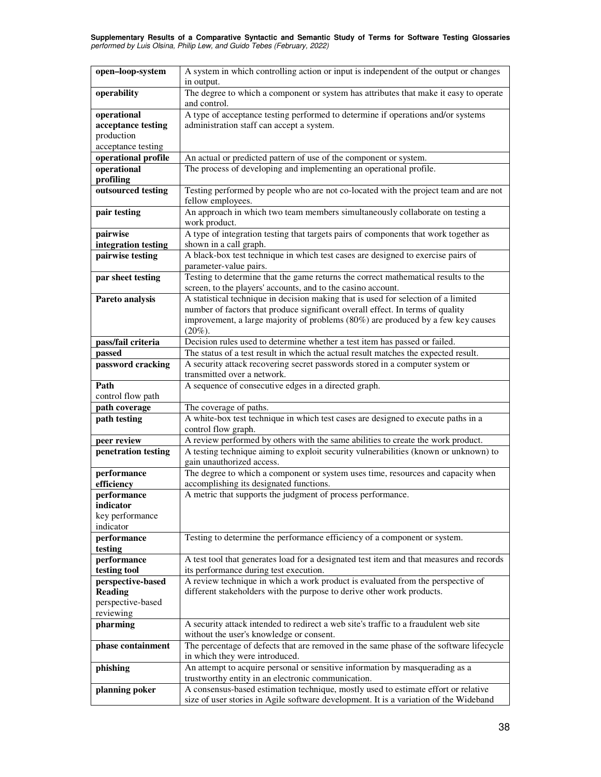| open-loop-system             | A system in which controlling action or input is independent of the output or changes                                    |
|------------------------------|--------------------------------------------------------------------------------------------------------------------------|
|                              | in output.                                                                                                               |
| operability                  | The degree to which a component or system has attributes that make it easy to operate<br>and control.                    |
| operational                  | A type of acceptance testing performed to determine if operations and/or systems                                         |
| acceptance testing           | administration staff can accept a system.                                                                                |
| production                   |                                                                                                                          |
| acceptance testing           |                                                                                                                          |
| operational profile          | An actual or predicted pattern of use of the component or system.                                                        |
| operational<br>profiling     | The process of developing and implementing an operational profile.                                                       |
| outsourced testing           | Testing performed by people who are not co-located with the project team and are not                                     |
|                              | fellow employees.                                                                                                        |
| pair testing                 | An approach in which two team members simultaneously collaborate on testing a<br>work product.                           |
| pairwise                     | A type of integration testing that targets pairs of components that work together as                                     |
| integration testing          | shown in a call graph.                                                                                                   |
| pairwise testing             | A black-box test technique in which test cases are designed to exercise pairs of                                         |
|                              | parameter-value pairs.                                                                                                   |
| par sheet testing            | Testing to determine that the game returns the correct mathematical results to the                                       |
|                              | screen, to the players' accounts, and to the casino account.                                                             |
| Pareto analysis              | A statistical technique in decision making that is used for selection of a limited                                       |
|                              | number of factors that produce significant overall effect. In terms of quality                                           |
|                              | improvement, a large majority of problems (80%) are produced by a few key causes                                         |
|                              | $(20\%).$                                                                                                                |
| pass/fail criteria           | Decision rules used to determine whether a test item has passed or failed.                                               |
| passed                       | The status of a test result in which the actual result matches the expected result.                                      |
| password cracking            | A security attack recovering secret passwords stored in a computer system or<br>transmitted over a network.              |
| Path                         | A sequence of consecutive edges in a directed graph.                                                                     |
| control flow path            |                                                                                                                          |
| path coverage                | The coverage of paths.                                                                                                   |
| path testing                 | A white-box test technique in which test cases are designed to execute paths in a                                        |
|                              | control flow graph.                                                                                                      |
| peer review                  | A review performed by others with the same abilities to create the work product.                                         |
| penetration testing          | A testing technique aiming to exploit security vulnerabilities (known or unknown) to                                     |
|                              | gain unauthorized access.                                                                                                |
| performance                  | The degree to which a component or system uses time, resources and capacity when                                         |
| efficiency                   | accomplishing its designated functions.                                                                                  |
| performance                  | A metric that supports the judgment of process performance.                                                              |
| indicator<br>key performance |                                                                                                                          |
| indicator                    |                                                                                                                          |
| performance                  | Testing to determine the performance efficiency of a component or system.                                                |
| testing                      |                                                                                                                          |
| performance                  | A test tool that generates load for a designated test item and that measures and records                                 |
| testing tool                 | its performance during test execution.                                                                                   |
| perspective-based            | A review technique in which a work product is evaluated from the perspective of                                          |
| <b>Reading</b>               | different stakeholders with the purpose to derive other work products.                                                   |
| perspective-based            |                                                                                                                          |
| reviewing                    |                                                                                                                          |
| pharming                     | A security attack intended to redirect a web site's traffic to a fraudulent web site                                     |
|                              | without the user's knowledge or consent.                                                                                 |
| phase containment            | The percentage of defects that are removed in the same phase of the software lifecycle<br>in which they were introduced. |
| phishing                     | An attempt to acquire personal or sensitive information by masquerading as a                                             |
|                              | trustworthy entity in an electronic communication.                                                                       |
| planning poker               | A consensus-based estimation technique, mostly used to estimate effort or relative                                       |
|                              | size of user stories in Agile software development. It is a variation of the Wideband                                    |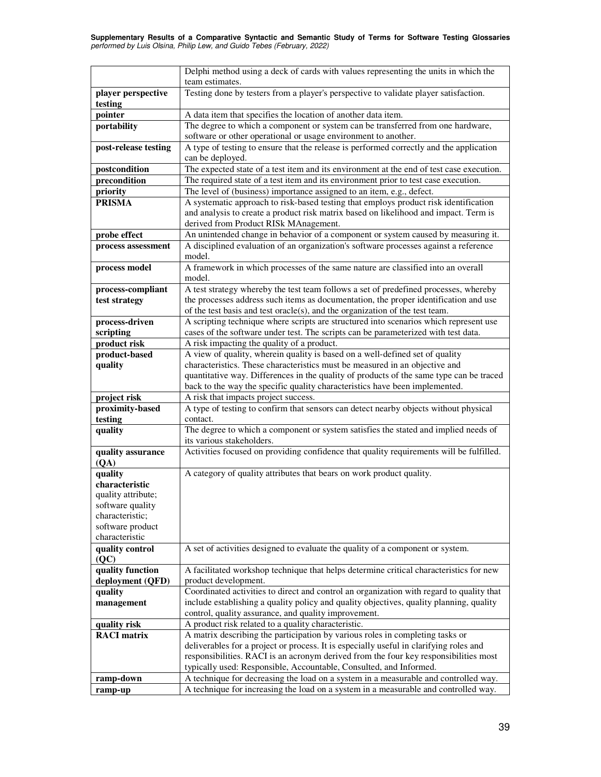|                                     | Delphi method using a deck of cards with values representing the units in which the                                                                                  |
|-------------------------------------|----------------------------------------------------------------------------------------------------------------------------------------------------------------------|
|                                     | team estimates.                                                                                                                                                      |
| player perspective                  | Testing done by testers from a player's perspective to validate player satisfaction.                                                                                 |
| testing                             |                                                                                                                                                                      |
| pointer                             | A data item that specifies the location of another data item.                                                                                                        |
| portability                         | The degree to which a component or system can be transferred from one hardware,<br>software or other operational or usage environment to another.                    |
| post-release testing                | A type of testing to ensure that the release is performed correctly and the application                                                                              |
|                                     | can be deployed.                                                                                                                                                     |
| postcondition                       | The expected state of a test item and its environment at the end of test case execution.                                                                             |
| precondition                        | The required state of a test item and its environment prior to test case execution.                                                                                  |
| priority                            | The level of (business) importance assigned to an item, e.g., defect.                                                                                                |
| <b>PRISMA</b>                       | A systematic approach to risk-based testing that employs product risk identification                                                                                 |
|                                     | and analysis to create a product risk matrix based on likelihood and impact. Term is                                                                                 |
|                                     | derived from Product RISk MAnagement.                                                                                                                                |
| probe effect                        | An unintended change in behavior of a component or system caused by measuring it.                                                                                    |
| process assessment                  | A disciplined evaluation of an organization's software processes against a reference                                                                                 |
|                                     | model.                                                                                                                                                               |
| process model                       | A framework in which processes of the same nature are classified into an overall                                                                                     |
|                                     | model.                                                                                                                                                               |
| process-compliant                   | A test strategy whereby the test team follows a set of predefined processes, whereby                                                                                 |
| test strategy                       | the processes address such items as documentation, the proper identification and use<br>of the test basis and test oracle(s), and the organization of the test team. |
| process-driven                      | A scripting technique where scripts are structured into scenarios which represent use                                                                                |
| scripting                           | cases of the software under test. The scripts can be parameterized with test data.                                                                                   |
| product risk                        | A risk impacting the quality of a product.                                                                                                                           |
| product-based                       | A view of quality, wherein quality is based on a well-defined set of quality                                                                                         |
| quality                             | characteristics. These characteristics must be measured in an objective and                                                                                          |
|                                     | quantitative way. Differences in the quality of products of the same type can be traced                                                                              |
|                                     | back to the way the specific quality characteristics have been implemented.                                                                                          |
| project risk                        | A risk that impacts project success.                                                                                                                                 |
| proximity-based                     | A type of testing to confirm that sensors can detect nearby objects without physical                                                                                 |
| testing                             | contact.                                                                                                                                                             |
| quality                             | The degree to which a component or system satisfies the stated and implied needs of                                                                                  |
|                                     | its various stakeholders.                                                                                                                                            |
| quality assurance                   | Activities focused on providing confidence that quality requirements will be fulfilled.                                                                              |
| (QA)                                |                                                                                                                                                                      |
| quality                             | A category of quality attributes that bears on work product quality.                                                                                                 |
| characteristic                      |                                                                                                                                                                      |
| quality attribute;                  |                                                                                                                                                                      |
| software quality                    |                                                                                                                                                                      |
| characteristic;<br>software product |                                                                                                                                                                      |
| characteristic                      |                                                                                                                                                                      |
| quality control                     | A set of activities designed to evaluate the quality of a component or system.                                                                                       |
| (OC)                                |                                                                                                                                                                      |
| quality function                    | A facilitated workshop technique that helps determine critical characteristics for new                                                                               |
| deployment (QFD)                    | product development.                                                                                                                                                 |
| quality                             | Coordinated activities to direct and control an organization with regard to quality that                                                                             |
| management                          | include establishing a quality policy and quality objectives, quality planning, quality<br>control, quality assurance, and quality improvement.                      |
| quality risk                        | A product risk related to a quality characteristic.                                                                                                                  |
| <b>RACI</b> matrix                  | A matrix describing the participation by various roles in completing tasks or                                                                                        |
|                                     | deliverables for a project or process. It is especially useful in clarifying roles and                                                                               |
|                                     | responsibilities. RACI is an acronym derived from the four key responsibilities most                                                                                 |
|                                     | typically used: Responsible, Accountable, Consulted, and Informed.                                                                                                   |
| ramp-down                           | A technique for decreasing the load on a system in a measurable and controlled way.                                                                                  |
| ramp-up                             | A technique for increasing the load on a system in a measurable and controlled way.                                                                                  |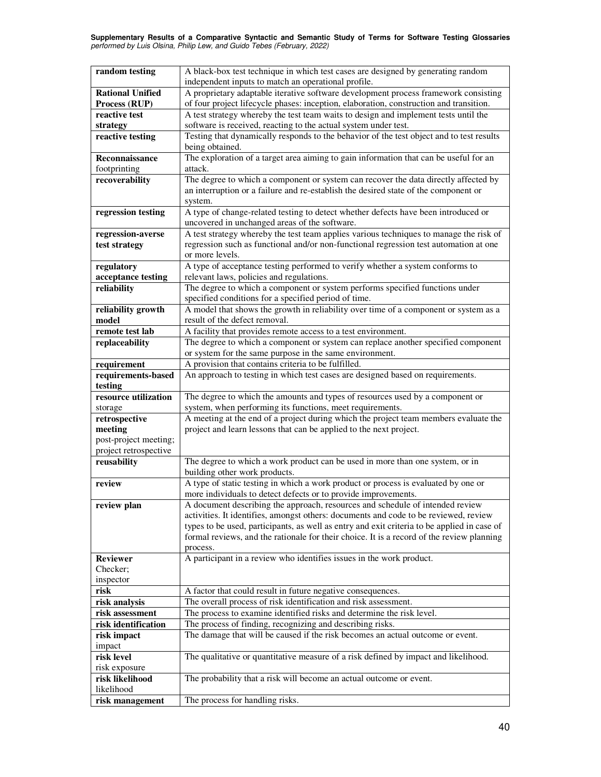| random testing                | A black-box test technique in which test cases are designed by generating random                                                                                                      |
|-------------------------------|---------------------------------------------------------------------------------------------------------------------------------------------------------------------------------------|
|                               | independent inputs to match an operational profile.                                                                                                                                   |
| <b>Rational Unified</b>       | A proprietary adaptable iterative software development process framework consisting                                                                                                   |
| Process (RUP)                 | of four project lifecycle phases: inception, elaboration, construction and transition.                                                                                                |
| reactive test                 | A test strategy whereby the test team waits to design and implement tests until the                                                                                                   |
| strategy                      | software is received, reacting to the actual system under test.<br>Testing that dynamically responds to the behavior of the test object and to test results                           |
| reactive testing              | being obtained.                                                                                                                                                                       |
| Reconnaissance                | The exploration of a target area aiming to gain information that can be useful for an                                                                                                 |
| footprinting                  | attack.                                                                                                                                                                               |
| recoverability                | The degree to which a component or system can recover the data directly affected by<br>an interruption or a failure and re-establish the desired state of the component or<br>system. |
| regression testing            | A type of change-related testing to detect whether defects have been introduced or<br>uncovered in unchanged areas of the software.                                                   |
| regression-averse             | A test strategy whereby the test team applies various techniques to manage the risk of                                                                                                |
| test strategy                 | regression such as functional and/or non-functional regression test automation at one<br>or more levels.                                                                              |
| regulatory                    | A type of acceptance testing performed to verify whether a system conforms to                                                                                                         |
| acceptance testing            | relevant laws, policies and regulations.                                                                                                                                              |
| reliability                   | The degree to which a component or system performs specified functions under<br>specified conditions for a specified period of time.                                                  |
| reliability growth            | A model that shows the growth in reliability over time of a component or system as a                                                                                                  |
| model                         | result of the defect removal.                                                                                                                                                         |
| remote test lab               | A facility that provides remote access to a test environment.                                                                                                                         |
| replaceability                | The degree to which a component or system can replace another specified component                                                                                                     |
|                               | or system for the same purpose in the same environment.                                                                                                                               |
| requirement                   | A provision that contains criteria to be fulfilled.                                                                                                                                   |
| requirements-based<br>testing | An approach to testing in which test cases are designed based on requirements.                                                                                                        |
| resource utilization          | The degree to which the amounts and types of resources used by a component or                                                                                                         |
| storage                       | system, when performing its functions, meet requirements.                                                                                                                             |
| retrospective                 | A meeting at the end of a project during which the project team members evaluate the                                                                                                  |
| meeting                       | project and learn lessons that can be applied to the next project.                                                                                                                    |
| post-project meeting;         |                                                                                                                                                                                       |
| project retrospective         |                                                                                                                                                                                       |
| reusability                   | The degree to which a work product can be used in more than one system, or in<br>building other work products.                                                                        |
| review                        | A type of static testing in which a work product or process is evaluated by one or<br>more individuals to detect defects or to provide improvements.                                  |
| review plan                   | A document describing the approach, resources and schedule of intended review                                                                                                         |
|                               | activities. It identifies, amongst others: documents and code to be reviewed, review                                                                                                  |
|                               | types to be used, participants, as well as entry and exit criteria to be applied in case of                                                                                           |
|                               | formal reviews, and the rationale for their choice. It is a record of the review planning                                                                                             |
|                               | process.                                                                                                                                                                              |
| Reviewer<br>Checker;          | A participant in a review who identifies issues in the work product.                                                                                                                  |
| inspector                     |                                                                                                                                                                                       |
| risk                          | A factor that could result in future negative consequences.                                                                                                                           |
| risk analysis                 | The overall process of risk identification and risk assessment.                                                                                                                       |
| risk assessment               | The process to examine identified risks and determine the risk level.                                                                                                                 |
| risk identification           | The process of finding, recognizing and describing risks.                                                                                                                             |
| risk impact                   | The damage that will be caused if the risk becomes an actual outcome or event.                                                                                                        |
| impact                        |                                                                                                                                                                                       |
|                               |                                                                                                                                                                                       |
| risk level                    | The qualitative or quantitative measure of a risk defined by impact and likelihood.                                                                                                   |
| risk exposure                 |                                                                                                                                                                                       |
| risk likelihood               | The probability that a risk will become an actual outcome or event.                                                                                                                   |
| likelihood<br>risk management | The process for handling risks.                                                                                                                                                       |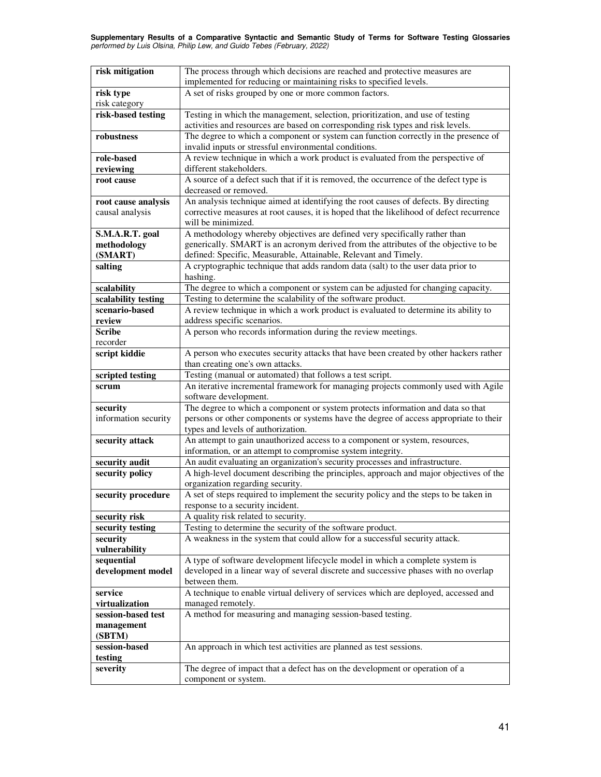| risk mitigation                    | The process through which decisions are reached and protective measures are<br>implemented for reducing or maintaining risks to specified levels. |  |  |
|------------------------------------|---------------------------------------------------------------------------------------------------------------------------------------------------|--|--|
|                                    |                                                                                                                                                   |  |  |
| risk type<br>risk category         | A set of risks grouped by one or more common factors.                                                                                             |  |  |
|                                    | Testing in which the management, selection, prioritization, and use of testing                                                                    |  |  |
| risk-based testing                 | activities and resources are based on corresponding risk types and risk levels.                                                                   |  |  |
| robustness                         | The degree to which a component or system can function correctly in the presence of                                                               |  |  |
|                                    | invalid inputs or stressful environmental conditions.                                                                                             |  |  |
| role-based                         | A review technique in which a work product is evaluated from the perspective of                                                                   |  |  |
| reviewing                          | different stakeholders.                                                                                                                           |  |  |
| root cause                         | A source of a defect such that if it is removed, the occurrence of the defect type is                                                             |  |  |
|                                    | decreased or removed.                                                                                                                             |  |  |
| root cause analysis                | An analysis technique aimed at identifying the root causes of defects. By directing                                                               |  |  |
| causal analysis                    | corrective measures at root causes, it is hoped that the likelihood of defect recurrence                                                          |  |  |
|                                    | will be minimized.                                                                                                                                |  |  |
| S.M.A.R.T. goal                    | A methodology whereby objectives are defined very specifically rather than                                                                        |  |  |
| methodology                        | generically. SMART is an acronym derived from the attributes of the objective to be                                                               |  |  |
| (SMART)                            | defined: Specific, Measurable, Attainable, Relevant and Timely.                                                                                   |  |  |
| salting                            | A cryptographic technique that adds random data (salt) to the user data prior to                                                                  |  |  |
|                                    | hashing.<br>The degree to which a component or system can be adjusted for changing capacity.                                                      |  |  |
| scalability<br>scalability testing | Testing to determine the scalability of the software product.                                                                                     |  |  |
| scenario-based                     | A review technique in which a work product is evaluated to determine its ability to                                                               |  |  |
| review                             | address specific scenarios.                                                                                                                       |  |  |
| <b>Scribe</b>                      | A person who records information during the review meetings.                                                                                      |  |  |
| recorder                           |                                                                                                                                                   |  |  |
| script kiddie                      | A person who executes security attacks that have been created by other hackers rather                                                             |  |  |
|                                    | than creating one's own attacks.                                                                                                                  |  |  |
| scripted testing                   | Testing (manual or automated) that follows a test script.                                                                                         |  |  |
| scrum                              | An iterative incremental framework for managing projects commonly used with Agile                                                                 |  |  |
|                                    | software development.                                                                                                                             |  |  |
| security                           | The degree to which a component or system protects information and data so that                                                                   |  |  |
| information security               | persons or other components or systems have the degree of access appropriate to their                                                             |  |  |
|                                    | types and levels of authorization.                                                                                                                |  |  |
| security attack                    | An attempt to gain unauthorized access to a component or system, resources,<br>information, or an attempt to compromise system integrity.         |  |  |
| security audit                     | An audit evaluating an organization's security processes and infrastructure.                                                                      |  |  |
| security policy                    | A high-level document describing the principles, approach and major objectives of the                                                             |  |  |
|                                    | organization regarding security.                                                                                                                  |  |  |
| security procedure                 | A set of steps required to implement the security policy and the steps to be taken in                                                             |  |  |
|                                    | response to a security incident.                                                                                                                  |  |  |
| security risk                      | A quality risk related to security.                                                                                                               |  |  |
| security testing                   | Testing to determine the security of the software product.                                                                                        |  |  |
| security                           | A weakness in the system that could allow for a successful security attack.                                                                       |  |  |
| vulnerability                      |                                                                                                                                                   |  |  |
| sequential                         | A type of software development lifecycle model in which a complete system is                                                                      |  |  |
| development model                  | developed in a linear way of several discrete and successive phases with no overlap                                                               |  |  |
| service                            | between them.<br>A technique to enable virtual delivery of services which are deployed, accessed and                                              |  |  |
| virtualization                     | managed remotely.                                                                                                                                 |  |  |
| session-based test                 | A method for measuring and managing session-based testing.                                                                                        |  |  |
| management                         |                                                                                                                                                   |  |  |
| (SBTM)                             |                                                                                                                                                   |  |  |
| session-based                      | An approach in which test activities are planned as test sessions.                                                                                |  |  |
| testing                            |                                                                                                                                                   |  |  |
| severity                           | The degree of impact that a defect has on the development or operation of a                                                                       |  |  |
|                                    | component or system.                                                                                                                              |  |  |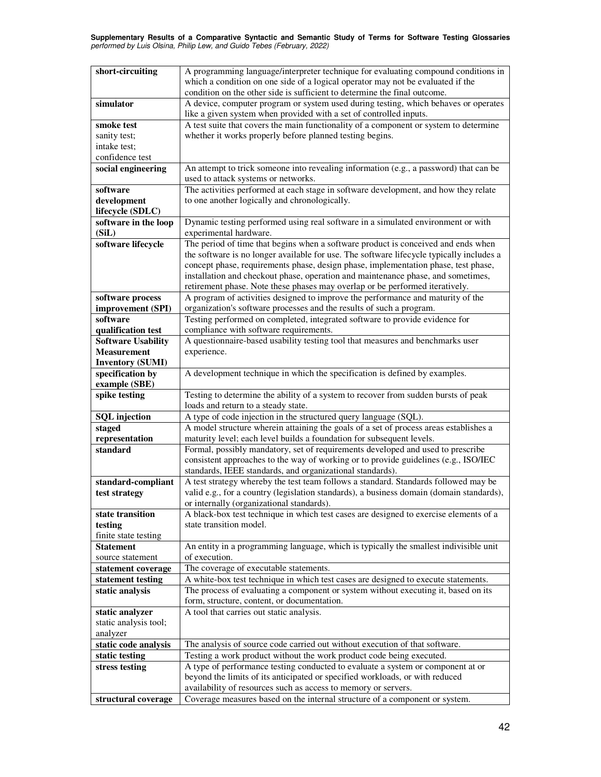| short-circuiting                        | A programming language/interpreter technique for evaluating compound conditions in                                                                             |  |  |  |
|-----------------------------------------|----------------------------------------------------------------------------------------------------------------------------------------------------------------|--|--|--|
|                                         | which a condition on one side of a logical operator may not be evaluated if the<br>condition on the other side is sufficient to determine the final outcome.   |  |  |  |
|                                         |                                                                                                                                                                |  |  |  |
| simulator                               | A device, computer program or system used during testing, which behaves or operates<br>like a given system when provided with a set of controlled inputs.      |  |  |  |
| smoke test                              | A test suite that covers the main functionality of a component or system to determine                                                                          |  |  |  |
| sanity test;                            | whether it works properly before planned testing begins.                                                                                                       |  |  |  |
| intake test;                            |                                                                                                                                                                |  |  |  |
| confidence test                         |                                                                                                                                                                |  |  |  |
| social engineering                      | An attempt to trick someone into revealing information (e.g., a password) that can be<br>used to attack systems or networks.                                   |  |  |  |
| software                                | The activities performed at each stage in software development, and how they relate                                                                            |  |  |  |
| development                             | to one another logically and chronologically.                                                                                                                  |  |  |  |
| lifecycle (SDLC)                        |                                                                                                                                                                |  |  |  |
| software in the loop                    | Dynamic testing performed using real software in a simulated environment or with                                                                               |  |  |  |
| (SiL)                                   | experimental hardware.<br>The period of time that begins when a software product is conceived and ends when                                                    |  |  |  |
| software lifecycle                      | the software is no longer available for use. The software lifecycle typically includes a                                                                       |  |  |  |
|                                         | concept phase, requirements phase, design phase, implementation phase, test phase,                                                                             |  |  |  |
|                                         | installation and checkout phase, operation and maintenance phase, and sometimes,                                                                               |  |  |  |
|                                         | retirement phase. Note these phases may overlap or be performed iteratively.                                                                                   |  |  |  |
| software process                        | A program of activities designed to improve the performance and maturity of the                                                                                |  |  |  |
| improvement (SPI)                       | organization's software processes and the results of such a program.                                                                                           |  |  |  |
| software                                | Testing performed on completed, integrated software to provide evidence for                                                                                    |  |  |  |
| qualification test                      | compliance with software requirements.                                                                                                                         |  |  |  |
| <b>Software Usability</b>               | A questionnaire-based usability testing tool that measures and benchmarks user                                                                                 |  |  |  |
| <b>Measurement</b>                      | experience.                                                                                                                                                    |  |  |  |
| <b>Inventory (SUMI)</b>                 |                                                                                                                                                                |  |  |  |
| specification by<br>example (SBE)       | A development technique in which the specification is defined by examples.                                                                                     |  |  |  |
| spike testing                           | Testing to determine the ability of a system to recover from sudden bursts of peak                                                                             |  |  |  |
|                                         | loads and return to a steady state.                                                                                                                            |  |  |  |
| <b>SQL</b> injection                    | A type of code injection in the structured query language (SQL).                                                                                               |  |  |  |
| staged                                  | A model structure wherein attaining the goals of a set of process areas establishes a<br>maturity level; each level builds a foundation for subsequent levels. |  |  |  |
| representation<br>standard              | Formal, possibly mandatory, set of requirements developed and used to prescribe                                                                                |  |  |  |
|                                         | consistent approaches to the way of working or to provide guidelines (e.g., ISO/IEC                                                                            |  |  |  |
|                                         | standards, IEEE standards, and organizational standards).                                                                                                      |  |  |  |
| standard-compliant                      | A test strategy whereby the test team follows a standard. Standards followed may be                                                                            |  |  |  |
| test strategy                           | valid e.g., for a country (legislation standards), a business domain (domain standards),                                                                       |  |  |  |
|                                         | or internally (organizational standards).                                                                                                                      |  |  |  |
| state transition                        | A black-box test technique in which test cases are designed to exercise elements of a                                                                          |  |  |  |
| testing                                 | state transition model.                                                                                                                                        |  |  |  |
| finite state testing                    |                                                                                                                                                                |  |  |  |
| <b>Statement</b>                        | An entity in a programming language, which is typically the smallest indivisible unit                                                                          |  |  |  |
| source statement                        | of execution.<br>The coverage of executable statements.                                                                                                        |  |  |  |
| statement coverage<br>statement testing | A white-box test technique in which test cases are designed to execute statements.                                                                             |  |  |  |
| static analysis                         | The process of evaluating a component or system without executing it, based on its                                                                             |  |  |  |
|                                         | form, structure, content, or documentation.                                                                                                                    |  |  |  |
| static analyzer                         | A tool that carries out static analysis.                                                                                                                       |  |  |  |
| static analysis tool;                   |                                                                                                                                                                |  |  |  |
| analyzer                                |                                                                                                                                                                |  |  |  |
| static code analysis                    | The analysis of source code carried out without execution of that software.                                                                                    |  |  |  |
| static testing                          | Testing a work product without the work product code being executed.                                                                                           |  |  |  |
| stress testing                          | A type of performance testing conducted to evaluate a system or component at or                                                                                |  |  |  |
|                                         | beyond the limits of its anticipated or specified workloads, or with reduced                                                                                   |  |  |  |
|                                         | availability of resources such as access to memory or servers.                                                                                                 |  |  |  |
| structural coverage                     | Coverage measures based on the internal structure of a component or system.                                                                                    |  |  |  |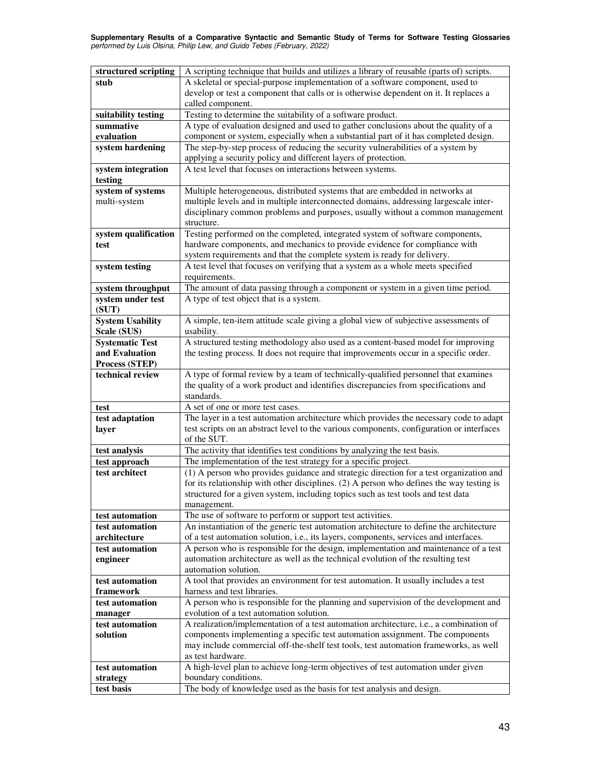| structured scripting    | A scripting technique that builds and utilizes a library of reusable (parts of) scripts.                                                                                 |  |  |  |
|-------------------------|--------------------------------------------------------------------------------------------------------------------------------------------------------------------------|--|--|--|
| stub                    | A skeletal or special-purpose implementation of a software component, used to                                                                                            |  |  |  |
|                         | develop or test a component that calls or is otherwise dependent on it. It replaces a                                                                                    |  |  |  |
|                         | called component.                                                                                                                                                        |  |  |  |
| suitability testing     | Testing to determine the suitability of a software product.                                                                                                              |  |  |  |
| summative               | A type of evaluation designed and used to gather conclusions about the quality of a                                                                                      |  |  |  |
| evaluation              | component or system, especially when a substantial part of it has completed design.                                                                                      |  |  |  |
| system hardening        | The step-by-step process of reducing the security vulnerabilities of a system by                                                                                         |  |  |  |
|                         | applying a security policy and different layers of protection.                                                                                                           |  |  |  |
| system integration      | A test level that focuses on interactions between systems.                                                                                                               |  |  |  |
| testing                 |                                                                                                                                                                          |  |  |  |
| system of systems       | Multiple heterogeneous, distributed systems that are embedded in networks at                                                                                             |  |  |  |
| multi-system            | multiple levels and in multiple interconnected domains, addressing largescale inter-                                                                                     |  |  |  |
|                         | disciplinary common problems and purposes, usually without a common management                                                                                           |  |  |  |
|                         | structure.                                                                                                                                                               |  |  |  |
| system qualification    | Testing performed on the completed, integrated system of software components,                                                                                            |  |  |  |
| test                    | hardware components, and mechanics to provide evidence for compliance with                                                                                               |  |  |  |
|                         | system requirements and that the complete system is ready for delivery.                                                                                                  |  |  |  |
| system testing          | A test level that focuses on verifying that a system as a whole meets specified                                                                                          |  |  |  |
|                         | requirements.                                                                                                                                                            |  |  |  |
| system throughput       | The amount of data passing through a component or system in a given time period.                                                                                         |  |  |  |
| system under test       | A type of test object that is a system.                                                                                                                                  |  |  |  |
| (SUT)                   |                                                                                                                                                                          |  |  |  |
| <b>System Usability</b> | A simple, ten-item attitude scale giving a global view of subjective assessments of                                                                                      |  |  |  |
| Scale (SUS)             | usability.                                                                                                                                                               |  |  |  |
| <b>Systematic Test</b>  | A structured testing methodology also used as a content-based model for improving                                                                                        |  |  |  |
| and Evaluation          | the testing process. It does not require that improvements occur in a specific order.                                                                                    |  |  |  |
| Process (STEP)          |                                                                                                                                                                          |  |  |  |
| technical review        | A type of formal review by a team of technically-qualified personnel that examines<br>the quality of a work product and identifies discrepancies from specifications and |  |  |  |
|                         | standards.                                                                                                                                                               |  |  |  |
| test                    | A set of one or more test cases.                                                                                                                                         |  |  |  |
| test adaptation         | The layer in a test automation architecture which provides the necessary code to adapt                                                                                   |  |  |  |
| layer                   | test scripts on an abstract level to the various components, configuration or interfaces                                                                                 |  |  |  |
|                         | of the SUT.                                                                                                                                                              |  |  |  |
| test analysis           | The activity that identifies test conditions by analyzing the test basis.                                                                                                |  |  |  |
| test approach           | The implementation of the test strategy for a specific project.                                                                                                          |  |  |  |
| test architect          | (1) A person who provides guidance and strategic direction for a test organization and                                                                                   |  |  |  |
|                         | for its relationship with other disciplines. (2) A person who defines the way testing is                                                                                 |  |  |  |
|                         | structured for a given system, including topics such as test tools and test data                                                                                         |  |  |  |
|                         | management.                                                                                                                                                              |  |  |  |
| test automation         | The use of software to perform or support test activities.                                                                                                               |  |  |  |
| test automation         | An instantiation of the generic test automation architecture to define the architecture                                                                                  |  |  |  |
| architecture            | of a test automation solution, i.e., its layers, components, services and interfaces.                                                                                    |  |  |  |
| test automation         | A person who is responsible for the design, implementation and maintenance of a test                                                                                     |  |  |  |
| engineer                | automation architecture as well as the technical evolution of the resulting test                                                                                         |  |  |  |
|                         | automation solution.                                                                                                                                                     |  |  |  |
| test automation         | A tool that provides an environment for test automation. It usually includes a test                                                                                      |  |  |  |
| framework               | harness and test libraries.                                                                                                                                              |  |  |  |
| test automation         | A person who is responsible for the planning and supervision of the development and                                                                                      |  |  |  |
| manager                 | evolution of a test automation solution.                                                                                                                                 |  |  |  |
| test automation         | A realization/implementation of a test automation architecture, i.e., a combination of                                                                                   |  |  |  |
| solution                | components implementing a specific test automation assignment. The components                                                                                            |  |  |  |
|                         | may include commercial off-the-shelf test tools, test automation frameworks, as well                                                                                     |  |  |  |
|                         | as test hardware.                                                                                                                                                        |  |  |  |
| test automation         | A high-level plan to achieve long-term objectives of test automation under given                                                                                         |  |  |  |
| strategy                | boundary conditions.                                                                                                                                                     |  |  |  |
| test basis              | The body of knowledge used as the basis for test analysis and design.                                                                                                    |  |  |  |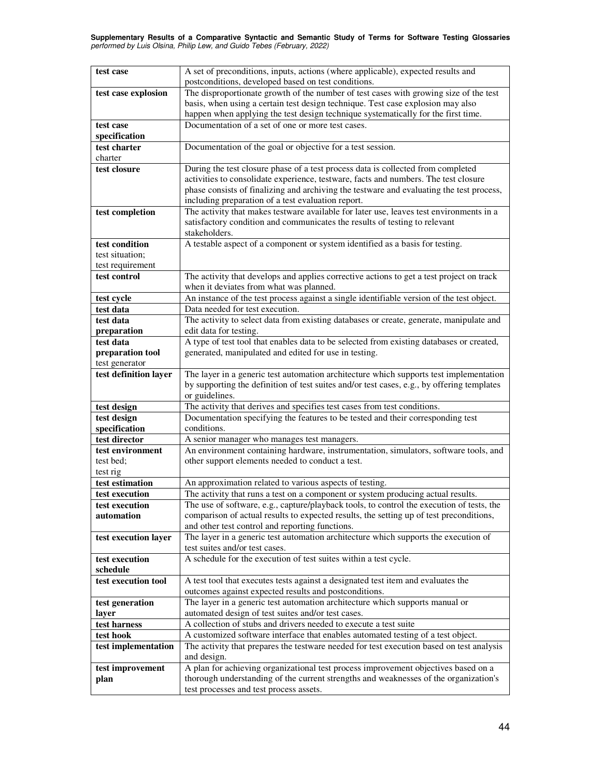| test case                          | A set of preconditions, inputs, actions (where applicable), expected results and                                                                            |
|------------------------------------|-------------------------------------------------------------------------------------------------------------------------------------------------------------|
|                                    | postconditions, developed based on test conditions.                                                                                                         |
| test case explosion                | The disproportionate growth of the number of test cases with growing size of the test                                                                       |
|                                    | basis, when using a certain test design technique. Test case explosion may also                                                                             |
|                                    | happen when applying the test design technique systematically for the first time.                                                                           |
| test case                          | Documentation of a set of one or more test cases.                                                                                                           |
| specification                      | Documentation of the goal or objective for a test session.                                                                                                  |
| test charter<br>charter            |                                                                                                                                                             |
| test closure                       | During the test closure phase of a test process data is collected from completed                                                                            |
|                                    | activities to consolidate experience, testware, facts and numbers. The test closure                                                                         |
|                                    | phase consists of finalizing and archiving the testware and evaluating the test process,                                                                    |
|                                    | including preparation of a test evaluation report.                                                                                                          |
| test completion                    | The activity that makes testware available for later use, leaves test environments in a                                                                     |
|                                    | satisfactory condition and communicates the results of testing to relevant                                                                                  |
|                                    | stakeholders.                                                                                                                                               |
| test condition                     | A testable aspect of a component or system identified as a basis for testing.                                                                               |
| test situation;                    |                                                                                                                                                             |
| test requirement                   |                                                                                                                                                             |
| test control                       | The activity that develops and applies corrective actions to get a test project on track                                                                    |
|                                    | when it deviates from what was planned.                                                                                                                     |
| test cycle                         | An instance of the test process against a single identifiable version of the test object.                                                                   |
| test data                          | Data needed for test execution.                                                                                                                             |
| test data                          | The activity to select data from existing databases or create, generate, manipulate and                                                                     |
| preparation                        | edit data for testing.                                                                                                                                      |
| test data                          | A type of test tool that enables data to be selected from existing databases or created,                                                                    |
| preparation tool<br>test generator | generated, manipulated and edited for use in testing.                                                                                                       |
| test definition layer              | The layer in a generic test automation architecture which supports test implementation                                                                      |
|                                    |                                                                                                                                                             |
|                                    |                                                                                                                                                             |
|                                    | by supporting the definition of test suites and/or test cases, e.g., by offering templates                                                                  |
|                                    | or guidelines.                                                                                                                                              |
| test design<br>test design         | The activity that derives and specifies test cases from test conditions.<br>Documentation specifying the features to be tested and their corresponding test |
| specification                      | conditions.                                                                                                                                                 |
| test director                      | A senior manager who manages test managers.                                                                                                                 |
| test environment                   | An environment containing hardware, instrumentation, simulators, software tools, and                                                                        |
| test bed;                          | other support elements needed to conduct a test.                                                                                                            |
| test rig                           |                                                                                                                                                             |
| test estimation                    | An approximation related to various aspects of testing.                                                                                                     |
| test execution                     | The activity that runs a test on a component or system producing actual results.                                                                            |
| test execution                     | The use of software, e.g., capture/playback tools, to control the execution of tests, the                                                                   |
| automation                         | comparison of actual results to expected results, the setting up of test preconditions,                                                                     |
|                                    | and other test control and reporting functions.                                                                                                             |
| test execution layer               | The layer in a generic test automation architecture which supports the execution of                                                                         |
|                                    | test suites and/or test cases.                                                                                                                              |
| test execution<br>schedule         | A schedule for the execution of test suites within a test cycle.                                                                                            |
| test execution tool                | A test tool that executes tests against a designated test item and evaluates the                                                                            |
|                                    | outcomes against expected results and postconditions.                                                                                                       |
| test generation                    | The layer in a generic test automation architecture which supports manual or                                                                                |
| layer                              | automated design of test suites and/or test cases.                                                                                                          |
| test harness                       | A collection of stubs and drivers needed to execute a test suite                                                                                            |
| test hook                          | A customized software interface that enables automated testing of a test object.                                                                            |
| test implementation                | The activity that prepares the testware needed for test execution based on test analysis                                                                    |
|                                    | and design.                                                                                                                                                 |
| test improvement                   | A plan for achieving organizational test process improvement objectives based on a                                                                          |
| plan                               | thorough understanding of the current strengths and weaknesses of the organization's<br>test processes and test process assets.                             |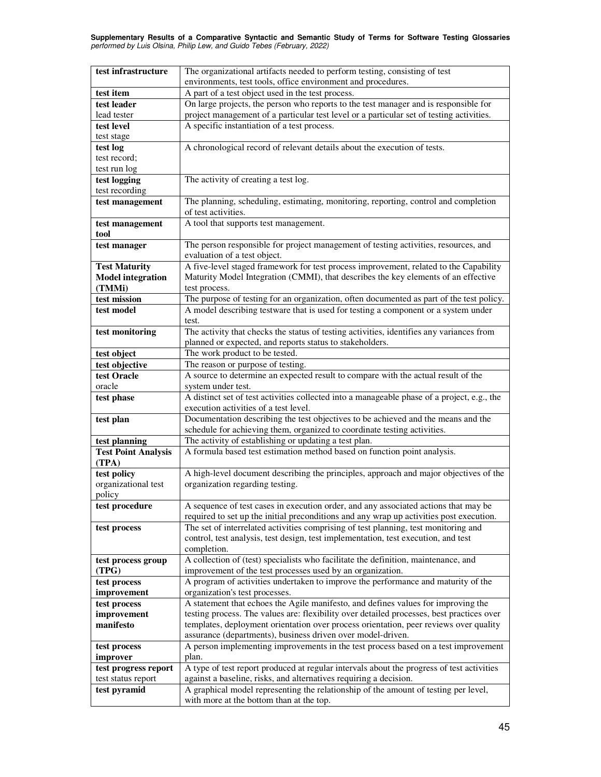| test infrastructure        | The organizational artifacts needed to perform testing, consisting of test                                        |  |  |  |
|----------------------------|-------------------------------------------------------------------------------------------------------------------|--|--|--|
|                            | environments, test tools, office environment and procedures.                                                      |  |  |  |
| test item                  | A part of a test object used in the test process.                                                                 |  |  |  |
| test leader                | On large projects, the person who reports to the test manager and is responsible for                              |  |  |  |
| lead tester                | project management of a particular test level or a particular set of testing activities.                          |  |  |  |
| test level                 | A specific instantiation of a test process.                                                                       |  |  |  |
| test stage                 |                                                                                                                   |  |  |  |
| test log                   | A chronological record of relevant details about the execution of tests.                                          |  |  |  |
| test record;               |                                                                                                                   |  |  |  |
| test run log               |                                                                                                                   |  |  |  |
| test logging               | The activity of creating a test log.                                                                              |  |  |  |
| test recording             |                                                                                                                   |  |  |  |
| test management            | The planning, scheduling, estimating, monitoring, reporting, control and completion                               |  |  |  |
|                            | of test activities.                                                                                               |  |  |  |
| test management            | A tool that supports test management.                                                                             |  |  |  |
| tool                       |                                                                                                                   |  |  |  |
| test manager               | The person responsible for project management of testing activities, resources, and                               |  |  |  |
|                            | evaluation of a test object.                                                                                      |  |  |  |
| <b>Test Maturity</b>       | A five-level staged framework for test process improvement, related to the Capability                             |  |  |  |
| <b>Model integration</b>   | Maturity Model Integration (CMMI), that describes the key elements of an effective                                |  |  |  |
| (TMMi)                     | test process.                                                                                                     |  |  |  |
| test mission               | The purpose of testing for an organization, often documented as part of the test policy.                          |  |  |  |
| test model                 | A model describing testware that is used for testing a component or a system under                                |  |  |  |
|                            | test.                                                                                                             |  |  |  |
| test monitoring            | The activity that checks the status of testing activities, identifies any variances from                          |  |  |  |
|                            | planned or expected, and reports status to stakeholders.                                                          |  |  |  |
| test object                | The work product to be tested.                                                                                    |  |  |  |
| test objective             | The reason or purpose of testing.                                                                                 |  |  |  |
| test Oracle                | A source to determine an expected result to compare with the actual result of the                                 |  |  |  |
| oracle                     | system under test.<br>A distinct set of test activities collected into a manageable phase of a project, e.g., the |  |  |  |
| test phase                 | execution activities of a test level.                                                                             |  |  |  |
|                            | Documentation describing the test objectives to be achieved and the means and the                                 |  |  |  |
| test plan                  | schedule for achieving them, organized to coordinate testing activities.                                          |  |  |  |
| test planning              | The activity of establishing or updating a test plan.                                                             |  |  |  |
| <b>Test Point Analysis</b> | A formula based test estimation method based on function point analysis.                                          |  |  |  |
| (TPA)                      |                                                                                                                   |  |  |  |
| test policy                | A high-level document describing the principles, approach and major objectives of the                             |  |  |  |
| organizational test        | organization regarding testing.                                                                                   |  |  |  |
| policy                     |                                                                                                                   |  |  |  |
| test procedure             | A sequence of test cases in execution order, and any associated actions that may be                               |  |  |  |
|                            | required to set up the initial preconditions and any wrap up activities post execution.                           |  |  |  |
| test process               | The set of interrelated activities comprising of test planning, test monitoring and                               |  |  |  |
|                            | control, test analysis, test design, test implementation, test execution, and test                                |  |  |  |
|                            | completion.                                                                                                       |  |  |  |
| test process group         | A collection of (test) specialists who facilitate the definition, maintenance, and                                |  |  |  |
| (TPG)                      | improvement of the test processes used by an organization.                                                        |  |  |  |
| test process               | A program of activities undertaken to improve the performance and maturity of the                                 |  |  |  |
| improvement                | organization's test processes.                                                                                    |  |  |  |
| test process               | A statement that echoes the Agile manifesto, and defines values for improving the                                 |  |  |  |
| improvement                | testing process. The values are: flexibility over detailed processes, best practices over                         |  |  |  |
| manifesto                  | templates, deployment orientation over process orientation, peer reviews over quality                             |  |  |  |
|                            | assurance (departments), business driven over model-driven.                                                       |  |  |  |
| test process               | A person implementing improvements in the test process based on a test improvement                                |  |  |  |
| improver                   | plan.                                                                                                             |  |  |  |
| test progress report       | A type of test report produced at regular intervals about the progress of test activities                         |  |  |  |
| test status report         | against a baseline, risks, and alternatives requiring a decision.                                                 |  |  |  |
| test pyramid               | A graphical model representing the relationship of the amount of testing per level,                               |  |  |  |
|                            | with more at the bottom than at the top.                                                                          |  |  |  |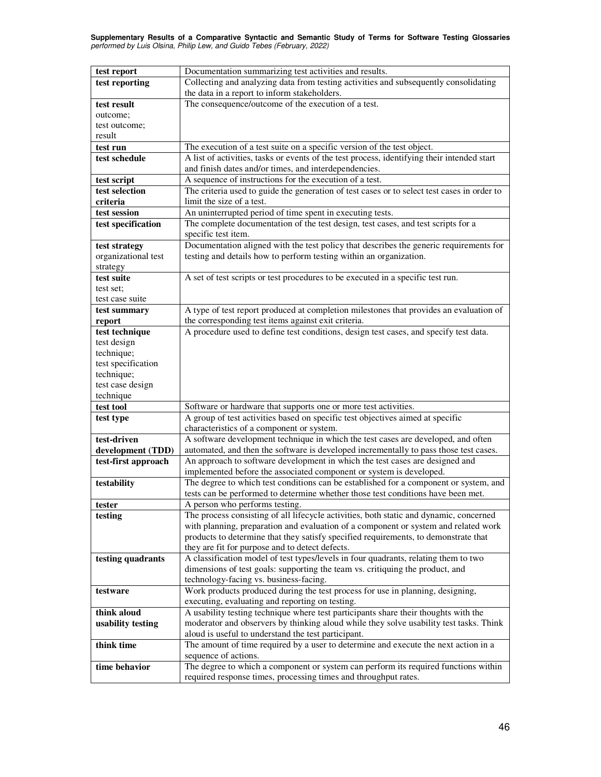| test report                              | Documentation summarizing test activities and results.                                                                                                                |  |  |
|------------------------------------------|-----------------------------------------------------------------------------------------------------------------------------------------------------------------------|--|--|
| test reporting                           | Collecting and analyzing data from testing activities and subsequently consolidating                                                                                  |  |  |
|                                          | the data in a report to inform stakeholders.                                                                                                                          |  |  |
| test result                              | The consequence/outcome of the execution of a test.                                                                                                                   |  |  |
| outcome;                                 |                                                                                                                                                                       |  |  |
| test outcome;                            |                                                                                                                                                                       |  |  |
| result                                   |                                                                                                                                                                       |  |  |
| test run                                 | The execution of a test suite on a specific version of the test object.                                                                                               |  |  |
| test schedule                            | A list of activities, tasks or events of the test process, identifying their intended start                                                                           |  |  |
|                                          | and finish dates and/or times, and interdependencies.                                                                                                                 |  |  |
| test script                              | A sequence of instructions for the execution of a test.                                                                                                               |  |  |
| test selection                           | The criteria used to guide the generation of test cases or to select test cases in order to                                                                           |  |  |
| criteria                                 | limit the size of a test.                                                                                                                                             |  |  |
| test session                             | An uninterrupted period of time spent in executing tests.                                                                                                             |  |  |
| test specification                       | The complete documentation of the test design, test cases, and test scripts for a                                                                                     |  |  |
|                                          | specific test item.                                                                                                                                                   |  |  |
| test strategy                            | Documentation aligned with the test policy that describes the generic requirements for                                                                                |  |  |
| organizational test                      | testing and details how to perform testing within an organization.                                                                                                    |  |  |
| strategy                                 |                                                                                                                                                                       |  |  |
| test suite                               | A set of test scripts or test procedures to be executed in a specific test run.                                                                                       |  |  |
| test set;                                |                                                                                                                                                                       |  |  |
| test case suite                          |                                                                                                                                                                       |  |  |
| test summary                             | A type of test report produced at completion milestones that provides an evaluation of<br>the corresponding test items against exit criteria.                         |  |  |
| report                                   | A procedure used to define test conditions, design test cases, and specify test data.                                                                                 |  |  |
| test technique<br>test design            |                                                                                                                                                                       |  |  |
| technique;                               |                                                                                                                                                                       |  |  |
| test specification                       |                                                                                                                                                                       |  |  |
| technique;                               |                                                                                                                                                                       |  |  |
|                                          |                                                                                                                                                                       |  |  |
|                                          |                                                                                                                                                                       |  |  |
| test case design                         |                                                                                                                                                                       |  |  |
| technique                                |                                                                                                                                                                       |  |  |
| test tool                                | Software or hardware that supports one or more test activities.                                                                                                       |  |  |
| test type                                | A group of test activities based on specific test objectives aimed at specific                                                                                        |  |  |
| test-driven                              | characteristics of a component or system.<br>A software development technique in which the test cases are developed, and often                                        |  |  |
|                                          |                                                                                                                                                                       |  |  |
| development (TDD)<br>test-first approach | automated, and then the software is developed incrementally to pass those test cases.<br>An approach to software development in which the test cases are designed and |  |  |
|                                          | implemented before the associated component or system is developed.                                                                                                   |  |  |
| testability                              | The degree to which test conditions can be established for a component or system, and                                                                                 |  |  |
|                                          | tests can be performed to determine whether those test conditions have been met.                                                                                      |  |  |
| tester                                   | A person who performs testing.                                                                                                                                        |  |  |
| testing                                  | The process consisting of all lifecycle activities, both static and dynamic, concerned                                                                                |  |  |
|                                          | with planning, preparation and evaluation of a component or system and related work                                                                                   |  |  |
|                                          | products to determine that they satisfy specified requirements, to demonstrate that                                                                                   |  |  |
|                                          | they are fit for purpose and to detect defects.                                                                                                                       |  |  |
| testing quadrants                        | A classification model of test types/levels in four quadrants, relating them to two                                                                                   |  |  |
|                                          | dimensions of test goals: supporting the team vs. critiquing the product, and                                                                                         |  |  |
|                                          | technology-facing vs. business-facing.                                                                                                                                |  |  |
| testware                                 | Work products produced during the test process for use in planning, designing,                                                                                        |  |  |
|                                          | executing, evaluating and reporting on testing.                                                                                                                       |  |  |
| think aloud                              | A usability testing technique where test participants share their thoughts with the                                                                                   |  |  |
| usability testing                        | moderator and observers by thinking aloud while they solve usability test tasks. Think                                                                                |  |  |
|                                          | aloud is useful to understand the test participant.                                                                                                                   |  |  |
| think time                               | The amount of time required by a user to determine and execute the next action in a                                                                                   |  |  |
|                                          | sequence of actions.                                                                                                                                                  |  |  |
| time behavior                            | The degree to which a component or system can perform its required functions within<br>required response times, processing times and throughput rates.                |  |  |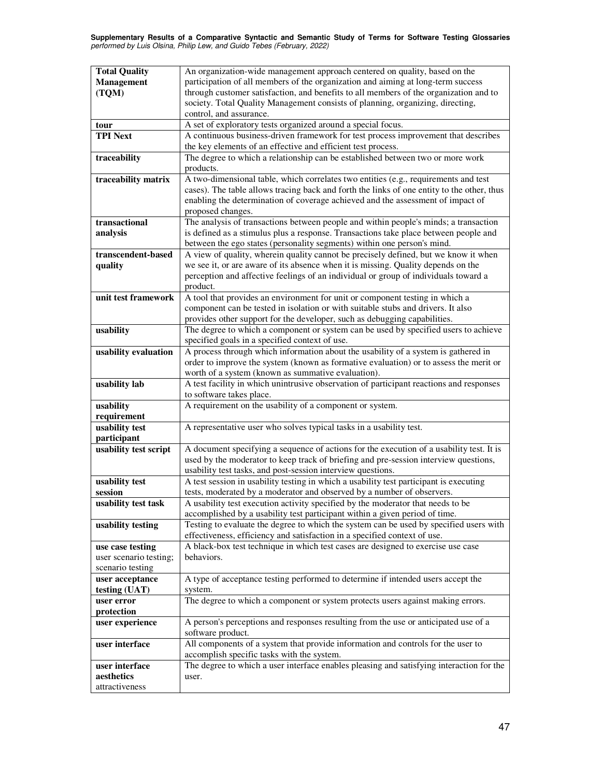| <b>Total Quality</b>          | An organization-wide management approach centered on quality, based on the                                                                                                    |  |  |  |
|-------------------------------|-------------------------------------------------------------------------------------------------------------------------------------------------------------------------------|--|--|--|
| <b>Management</b>             | participation of all members of the organization and aiming at long-term success                                                                                              |  |  |  |
| (TQM)                         | through customer satisfaction, and benefits to all members of the organization and to                                                                                         |  |  |  |
|                               | society. Total Quality Management consists of planning, organizing, directing,                                                                                                |  |  |  |
|                               | control, and assurance.                                                                                                                                                       |  |  |  |
| tour                          | A set of exploratory tests organized around a special focus.                                                                                                                  |  |  |  |
| <b>TPI Next</b>               | A continuous business-driven framework for test process improvement that describes                                                                                            |  |  |  |
|                               | the key elements of an effective and efficient test process.                                                                                                                  |  |  |  |
| traceability                  | The degree to which a relationship can be established between two or more work                                                                                                |  |  |  |
|                               | products.                                                                                                                                                                     |  |  |  |
| traceability matrix           | A two-dimensional table, which correlates two entities (e.g., requirements and test                                                                                           |  |  |  |
|                               | cases). The table allows tracing back and forth the links of one entity to the other, thus<br>enabling the determination of coverage achieved and the assessment of impact of |  |  |  |
|                               | proposed changes.                                                                                                                                                             |  |  |  |
| transactional                 | The analysis of transactions between people and within people's minds; a transaction                                                                                          |  |  |  |
| analysis                      | is defined as a stimulus plus a response. Transactions take place between people and                                                                                          |  |  |  |
|                               | between the ego states (personality segments) within one person's mind.                                                                                                       |  |  |  |
| transcendent-based            | A view of quality, wherein quality cannot be precisely defined, but we know it when                                                                                           |  |  |  |
| quality                       | we see it, or are aware of its absence when it is missing. Quality depends on the                                                                                             |  |  |  |
|                               | perception and affective feelings of an individual or group of individuals toward a                                                                                           |  |  |  |
|                               | product.                                                                                                                                                                      |  |  |  |
| unit test framework           | A tool that provides an environment for unit or component testing in which a                                                                                                  |  |  |  |
|                               | component can be tested in isolation or with suitable stubs and drivers. It also                                                                                              |  |  |  |
|                               | provides other support for the developer, such as debugging capabilities.                                                                                                     |  |  |  |
| usability                     | The degree to which a component or system can be used by specified users to achieve                                                                                           |  |  |  |
|                               | specified goals in a specified context of use.                                                                                                                                |  |  |  |
| usability evaluation          | A process through which information about the usability of a system is gathered in                                                                                            |  |  |  |
|                               | order to improve the system (known as formative evaluation) or to assess the merit or                                                                                         |  |  |  |
|                               | worth of a system (known as summative evaluation).                                                                                                                            |  |  |  |
|                               |                                                                                                                                                                               |  |  |  |
| usability lab                 | A test facility in which unintrusive observation of participant reactions and responses                                                                                       |  |  |  |
|                               | to software takes place.                                                                                                                                                      |  |  |  |
| usability                     | A requirement on the usability of a component or system.                                                                                                                      |  |  |  |
| requirement<br>usability test | A representative user who solves typical tasks in a usability test.                                                                                                           |  |  |  |
| participant                   |                                                                                                                                                                               |  |  |  |
| usability test script         | A document specifying a sequence of actions for the execution of a usability test. It is                                                                                      |  |  |  |
|                               | used by the moderator to keep track of briefing and pre-session interview questions,                                                                                          |  |  |  |
|                               | usability test tasks, and post-session interview questions.                                                                                                                   |  |  |  |
| usability test                | A test session in usability testing in which a usability test participant is executing                                                                                        |  |  |  |
| session                       | tests, moderated by a moderator and observed by a number of observers.                                                                                                        |  |  |  |
| usability test task           | A usability test execution activity specified by the moderator that needs to be                                                                                               |  |  |  |
|                               | accomplished by a usability test participant within a given period of time.                                                                                                   |  |  |  |
| usability testing             | Testing to evaluate the degree to which the system can be used by specified users with                                                                                        |  |  |  |
|                               | effectiveness, efficiency and satisfaction in a specified context of use.                                                                                                     |  |  |  |
| use case testing              | A black-box test technique in which test cases are designed to exercise use case                                                                                              |  |  |  |
| user scenario testing;        | behaviors.                                                                                                                                                                    |  |  |  |
| scenario testing              |                                                                                                                                                                               |  |  |  |
| user acceptance               | A type of acceptance testing performed to determine if intended users accept the                                                                                              |  |  |  |
| testing (UAT)                 | system.                                                                                                                                                                       |  |  |  |
| user error                    | The degree to which a component or system protects users against making errors.                                                                                               |  |  |  |
| protection                    |                                                                                                                                                                               |  |  |  |
| user experience               | A person's perceptions and responses resulting from the use or anticipated use of a<br>software product.                                                                      |  |  |  |
| user interface                | All components of a system that provide information and controls for the user to                                                                                              |  |  |  |
|                               | accomplish specific tasks with the system.                                                                                                                                    |  |  |  |
| user interface                | The degree to which a user interface enables pleasing and satisfying interaction for the                                                                                      |  |  |  |
| aesthetics                    | user.                                                                                                                                                                         |  |  |  |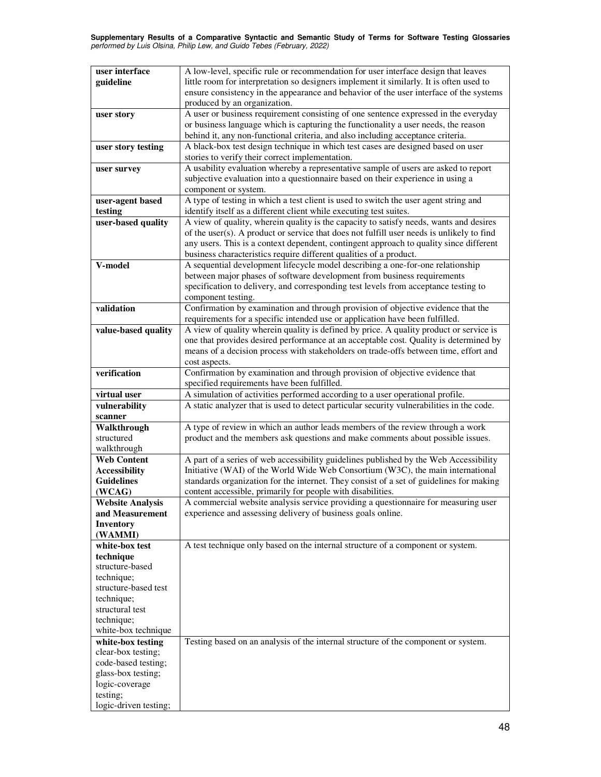| user interface                            | A low-level, specific rule or recommendation for user interface design that leaves                                                                                         |
|-------------------------------------------|----------------------------------------------------------------------------------------------------------------------------------------------------------------------------|
| guideline                                 | little room for interpretation so designers implement it similarly. It is often used to                                                                                    |
|                                           | ensure consistency in the appearance and behavior of the user interface of the systems                                                                                     |
|                                           | produced by an organization.                                                                                                                                               |
| user story                                | A user or business requirement consisting of one sentence expressed in the everyday                                                                                        |
|                                           | or business language which is capturing the functionality a user needs, the reason<br>behind it, any non-functional criteria, and also including acceptance criteria.      |
| user story testing                        | A black-box test design technique in which test cases are designed based on user                                                                                           |
|                                           | stories to verify their correct implementation.                                                                                                                            |
| user survey                               | A usability evaluation whereby a representative sample of users are asked to report                                                                                        |
|                                           | subjective evaluation into a questionnaire based on their experience in using a                                                                                            |
|                                           | component or system.                                                                                                                                                       |
| user-agent based                          | A type of testing in which a test client is used to switch the user agent string and                                                                                       |
| testing                                   | identify itself as a different client while executing test suites.                                                                                                         |
| user-based quality                        | A view of quality, wherein quality is the capacity to satisfy needs, wants and desires                                                                                     |
|                                           | of the user(s). A product or service that does not fulfill user needs is unlikely to find                                                                                  |
|                                           | any users. This is a context dependent, contingent approach to quality since different                                                                                     |
|                                           | business characteristics require different qualities of a product.                                                                                                         |
| V-model                                   | A sequential development lifecycle model describing a one-for-one relationship                                                                                             |
|                                           | between major phases of software development from business requirements<br>specification to delivery, and corresponding test levels from acceptance testing to             |
|                                           | component testing.                                                                                                                                                         |
| validation                                | Confirmation by examination and through provision of objective evidence that the                                                                                           |
|                                           | requirements for a specific intended use or application have been fulfilled.                                                                                               |
| value-based quality                       | A view of quality wherein quality is defined by price. A quality product or service is                                                                                     |
|                                           | one that provides desired performance at an acceptable cost. Quality is determined by                                                                                      |
|                                           | means of a decision process with stakeholders on trade-offs between time, effort and                                                                                       |
|                                           | cost aspects.                                                                                                                                                              |
| verification                              | Confirmation by examination and through provision of objective evidence that                                                                                               |
|                                           | specified requirements have been fulfilled.                                                                                                                                |
|                                           |                                                                                                                                                                            |
| virtual user                              | A simulation of activities performed according to a user operational profile.                                                                                              |
| vulnerability                             | A static analyzer that is used to detect particular security vulnerabilities in the code.                                                                                  |
| scanner                                   |                                                                                                                                                                            |
| Walkthrough                               | A type of review in which an author leads members of the review through a work                                                                                             |
| structured                                | product and the members ask questions and make comments about possible issues.                                                                                             |
| walkthrough                               |                                                                                                                                                                            |
| <b>Web Content</b>                        | A part of a series of web accessibility guidelines published by the Web Accessibility                                                                                      |
| <b>Accessibility</b><br><b>Guidelines</b> | Initiative (WAI) of the World Wide Web Consortium (W3C), the main international<br>standards organization for the internet. They consist of a set of guidelines for making |
| (WCAG)                                    | content accessible, primarily for people with disabilities.                                                                                                                |
| <b>Website Analysis</b>                   | A commercial website analysis service providing a questionnaire for measuring user                                                                                         |
| and Measurement                           | experience and assessing delivery of business goals online.                                                                                                                |
| Inventory                                 |                                                                                                                                                                            |
| (WAMMI)                                   |                                                                                                                                                                            |
| white-box test                            | A test technique only based on the internal structure of a component or system.                                                                                            |
| technique                                 |                                                                                                                                                                            |
| structure-based                           |                                                                                                                                                                            |
| technique;                                |                                                                                                                                                                            |
| structure-based test                      |                                                                                                                                                                            |
| technique;<br>structural test             |                                                                                                                                                                            |
| technique;                                |                                                                                                                                                                            |
| white-box technique                       |                                                                                                                                                                            |
| white-box testing                         | Testing based on an analysis of the internal structure of the component or system.                                                                                         |
| clear-box testing;                        |                                                                                                                                                                            |
| code-based testing;                       |                                                                                                                                                                            |
| glass-box testing;                        |                                                                                                                                                                            |
| logic-coverage                            |                                                                                                                                                                            |
| testing;<br>logic-driven testing;         |                                                                                                                                                                            |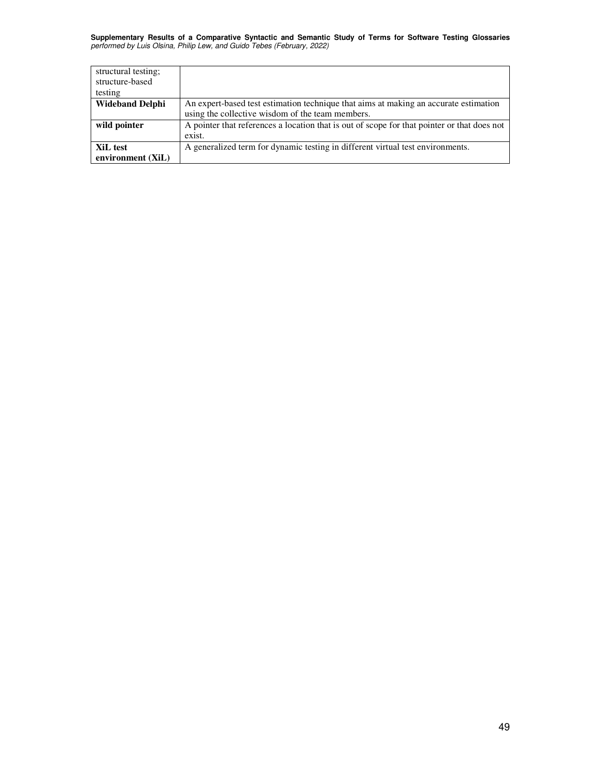| structural testing;<br>structure-based |                                                                                                                                          |
|----------------------------------------|------------------------------------------------------------------------------------------------------------------------------------------|
| testing                                |                                                                                                                                          |
| <b>Wideband Delphi</b>                 | An expert-based test estimation technique that aims at making an accurate estimation<br>using the collective wisdom of the team members. |
| wild pointer                           | A pointer that references a location that is out of scope for that pointer or that does not<br>exist.                                    |
| XiL test<br>environment (XiL)          | A generalized term for dynamic testing in different virtual test environments.                                                           |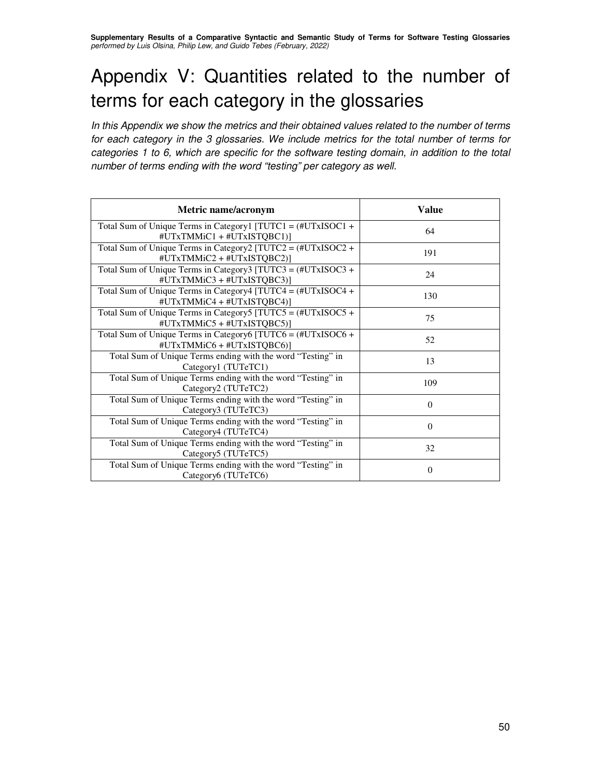### Appendix V: Quantities related to the number of terms for each category in the glossaries

*In this Appendix we show the metrics and their obtained values related to the number of terms for each category in the 3 glossaries. We include metrics for the total number of terms for categories 1 to 6, which are specific for the software testing domain, in addition to the total number of terms ending with the word "testing" per category as well.* 

| Metric name/acronym                                                                                  | <b>Value</b> |
|------------------------------------------------------------------------------------------------------|--------------|
| Total Sum of Unique Terms in Category1 [TUTC1 = $#UTxISOC1 +$<br>#UTxTMMiC1 + #UTxISTQBC1)]          | 64           |
| Total Sum of Unique Terms in Category2 [TUTC2 = $(\text{\#UTxISOC2 +}$<br>#UTxTMMiC2 + #UTxISTQBC2)] | 191          |
| Total Sum of Unique Terms in Category3 $ TUTC3 = #UTxISOC3 +$<br>#UTxTMMiC3 + #UTxISTQBC3)]          | 24           |
| Total Sum of Unique Terms in Category4 [TUTC4 = $(\text{\#UTxISOC4 +}$<br>#UTxTMMiC4 + #UTxISTQBC4)] | 130          |
| Total Sum of Unique Terms in Category5 $ TUTC5  = #UTXISOC5 +$<br>#UTxTMMiC5 + #UTxISTQBC5)]         | 75           |
| Total Sum of Unique Terms in Category6 [TUTC6 = (#UTxISOC6 +<br>#UTxTMMiC6 + #UTxISTQBC6)]           | 52           |
| Total Sum of Unique Terms ending with the word "Testing" in<br>Category1 (TUTeTC1)                   | 13           |
| Total Sum of Unique Terms ending with the word "Testing" in<br>Category2 (TUTeTC2)                   | 109          |
| Total Sum of Unique Terms ending with the word "Testing" in<br>Category3 (TUTeTC3)                   | $\mathbf{0}$ |
| Total Sum of Unique Terms ending with the word "Testing" in<br>Category4 (TUTeTC4)                   | $\Omega$     |
| Total Sum of Unique Terms ending with the word "Testing" in<br>Category5 (TUTeTC5)                   | 32           |
| Total Sum of Unique Terms ending with the word "Testing" in<br>Category6 (TUTeTC6)                   | $\theta$     |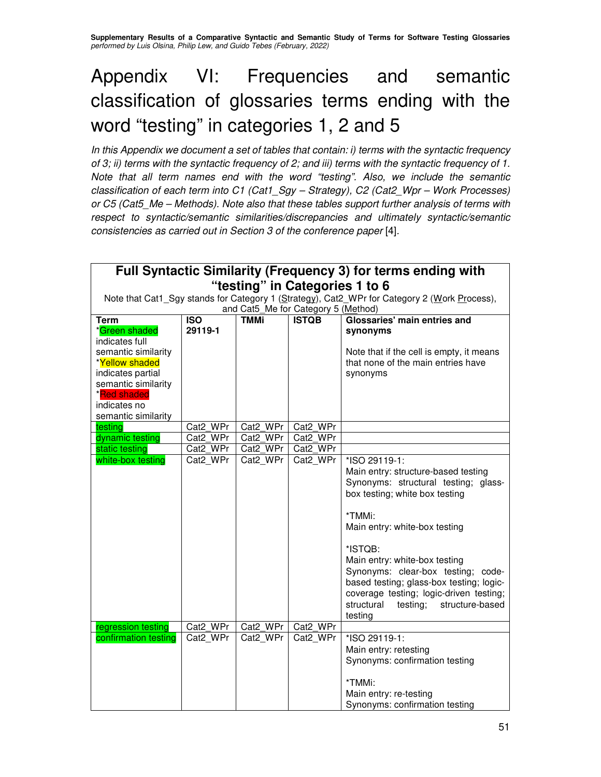# Appendix VI: Frequencies and semantic classification of glossaries terms ending with the word "testing" in categories 1, 2 and 5

*In this Appendix we document a set of tables that contain: i) terms with the syntactic frequency of 3; ii) terms with the syntactic frequency of 2; and iii) terms with the syntactic frequency of 1. Note that all term names end with the word "testing". Also, we include the semantic classification of each term into C1 (Cat1\_Sgy – Strategy), C2 (Cat2\_Wpr – Work Processes) or C5 (Cat5\_Me – Methods). Note also that these tables support further analysis of terms with respect to syntactic/semantic similarities/discrepancies and ultimately syntactic/semantic consistencies as carried out in Section 3 of the conference paper* [4]*.* 

| <b>Full Syntactic Similarity (Frequency 3) for terms ending with</b>                         |                  |             |              |                                           |
|----------------------------------------------------------------------------------------------|------------------|-------------|--------------|-------------------------------------------|
| "testing" in Categories 1 to 6                                                               |                  |             |              |                                           |
| Note that Cat1_Sgy stands for Category 1 (Strategy), Cat2_WPr for Category 2 (Work Process), |                  |             |              |                                           |
| and Cat5_Me for Category 5 (Method)                                                          |                  |             |              |                                           |
| <b>Term</b>                                                                                  | $\overline{ISO}$ | <b>TMMi</b> | <b>ISTQB</b> | Glossaries' main entries and              |
| *Green shaded                                                                                | 29119-1          |             |              | synonyms                                  |
| indicates full                                                                               |                  |             |              |                                           |
| semantic similarity                                                                          |                  |             |              | Note that if the cell is empty, it means  |
| *Yellow shaded<br>indicates partial                                                          |                  |             |              | that none of the main entries have        |
| semantic similarity                                                                          |                  |             |              | synonyms                                  |
| *Red shaded                                                                                  |                  |             |              |                                           |
| indicates no                                                                                 |                  |             |              |                                           |
| semantic similarity                                                                          |                  |             |              |                                           |
| testing                                                                                      | Cat2 WPr         | Cat2 WPr    | Cat2 WPr     |                                           |
| dynamic testing                                                                              | Cat2 WPr         | Cat2 WPr    | Cat2 WPr     |                                           |
| static testing                                                                               | Cat2 WPr         | Cat2_WPr    | Cat2 WPr     |                                           |
| white-box testing                                                                            | Cat2 WPr         | Cat2 WPr    | Cat2 WPr     | *ISO 29119-1:                             |
|                                                                                              |                  |             |              | Main entry: structure-based testing       |
|                                                                                              |                  |             |              | Synonyms: structural testing; glass-      |
|                                                                                              |                  |             |              | box testing; white box testing            |
|                                                                                              |                  |             |              | *TMMi:                                    |
|                                                                                              |                  |             |              | Main entry: white-box testing             |
|                                                                                              |                  |             |              | *ISTQB:                                   |
|                                                                                              |                  |             |              | Main entry: white-box testing             |
|                                                                                              |                  |             |              | Synonyms: clear-box testing; code-        |
|                                                                                              |                  |             |              | based testing; glass-box testing; logic-  |
|                                                                                              |                  |             |              | coverage testing; logic-driven testing;   |
|                                                                                              |                  |             |              | structural<br>testing;<br>structure-based |
|                                                                                              |                  |             |              | testing                                   |
| regression testing                                                                           | Cat2 WPr         | Cat2 WPr    | Cat2 WPr     |                                           |
| confirmation testing                                                                         | Cat2 WPr         | Cat2 WPr    | Cat2 WPr     | *ISO 29119-1:                             |
|                                                                                              |                  |             |              | Main entry: retesting                     |
|                                                                                              |                  |             |              | Synonyms: confirmation testing            |
|                                                                                              |                  |             |              | *TMMi:                                    |
|                                                                                              |                  |             |              | Main entry: re-testing                    |
|                                                                                              |                  |             |              | Synonyms: confirmation testing            |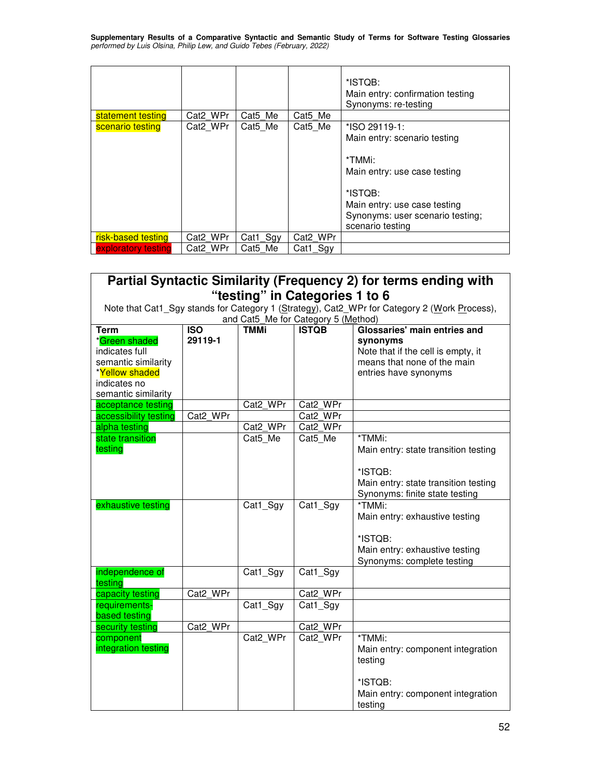|                     |                      |          |          | *ISTQB:<br>Main entry: confirmation testing<br>Synonyms: re-testing                                                   |
|---------------------|----------------------|----------|----------|-----------------------------------------------------------------------------------------------------------------------|
| statement testing   | Cat <sub>2</sub> WPr | Cat5 Me  | Cat5 Me  |                                                                                                                       |
| scenario testing    | Cat2 WPr             | Cat5 Me  | Cat5 Me  | *ISO 29119-1:                                                                                                         |
|                     |                      |          |          | Main entry: scenario testing                                                                                          |
|                     |                      |          |          | *TMMi:<br>Main entry: use case testing<br>*ISTQB:<br>Main entry: use case testing<br>Synonyms: user scenario testing; |
| risk-based testing  | Cat2 WPr             | Cat1_Sgy | Cat2 WPr | scenario testing                                                                                                      |
| exploratory testing | Cat <sub>2</sub> WPr | Cat5 Me  | Cat1 Sgy |                                                                                                                       |

| Partial Syntactic Similarity (Frequency 2) for terms ending with                             |                       |             |              |                                          |  |  |
|----------------------------------------------------------------------------------------------|-----------------------|-------------|--------------|------------------------------------------|--|--|
| "testing" in Categories 1 to 6                                                               |                       |             |              |                                          |  |  |
| Note that Cat1_Sgy stands for Category 1 (Strategy), Cat2_WPr for Category 2 (Work Process), |                       |             |              |                                          |  |  |
| and Cat5_Me for Category 5 (Method)                                                          |                       |             |              |                                          |  |  |
| <b>Term</b><br>*Green shaded                                                                 | <b>ISO</b><br>29119-1 | <b>TMMi</b> | <b>ISTQB</b> | Glossaries' main entries and<br>synonyms |  |  |
| indicates full                                                                               |                       |             |              | Note that if the cell is empty, it       |  |  |
| semantic similarity                                                                          |                       |             |              | means that none of the main              |  |  |
| *Yellow shaded                                                                               |                       |             |              | entries have synonyms                    |  |  |
| indicates no                                                                                 |                       |             |              |                                          |  |  |
| semantic similarity                                                                          |                       |             |              |                                          |  |  |
| acceptance testing                                                                           |                       | Cat2_WPr    | Cat2_WPr     |                                          |  |  |
| accessibility testing                                                                        | Cat2_WPr              |             | Cat2 WPr     |                                          |  |  |
| alpha testing                                                                                |                       | Cat2 WPr    | Cat2 WPr     |                                          |  |  |
| state transition                                                                             |                       | Cat5 Me     | Cat5 Me      | *TMMi:                                   |  |  |
| testing                                                                                      |                       |             |              | Main entry: state transition testing     |  |  |
|                                                                                              |                       |             |              | *ISTQB:                                  |  |  |
|                                                                                              |                       |             |              | Main entry: state transition testing     |  |  |
|                                                                                              |                       |             |              | Synonyms: finite state testing           |  |  |
| exhaustive testing                                                                           |                       | Cat1 Sgy    | Cat1_Sgy     | *TMMi:                                   |  |  |
|                                                                                              |                       |             |              | Main entry: exhaustive testing           |  |  |
|                                                                                              |                       |             |              | *ISTQB:                                  |  |  |
|                                                                                              |                       |             |              | Main entry: exhaustive testing           |  |  |
|                                                                                              |                       |             |              | Synonyms: complete testing               |  |  |
| independence of<br>testing                                                                   |                       | Cat1_Sgy    | Cat1_Sgy     |                                          |  |  |
| capacity testing                                                                             | Cat2 WPr              |             | Cat2_WPr     |                                          |  |  |
| requirements-                                                                                |                       | Cat1_Sgy    | Cat1 Sgy     |                                          |  |  |
| based testing                                                                                |                       |             |              |                                          |  |  |
| security testing                                                                             | Cat2 WPr              |             | Cat2 WPr     |                                          |  |  |
| component                                                                                    |                       | Cat2 WPr    | Cat2 WPr     | *TMMi:                                   |  |  |
| integration testing                                                                          |                       |             |              | Main entry: component integration        |  |  |
|                                                                                              |                       |             |              | testing                                  |  |  |
|                                                                                              |                       |             |              | *ISTQB:                                  |  |  |
|                                                                                              |                       |             |              | Main entry: component integration        |  |  |
|                                                                                              |                       |             |              |                                          |  |  |
|                                                                                              |                       |             |              | testing                                  |  |  |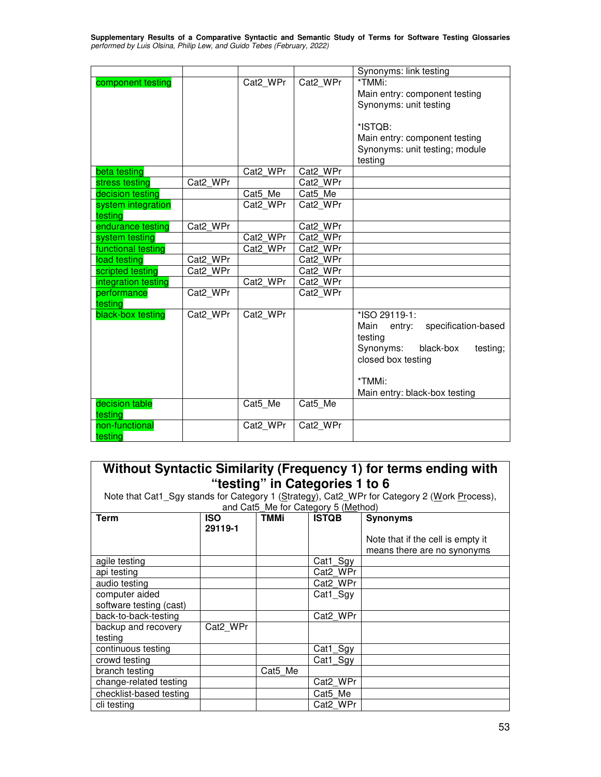|                        |          |          |          | Synonyms: link testing                |
|------------------------|----------|----------|----------|---------------------------------------|
| component testing      |          | Cat2 WPr | Cat2 WPr | *TMMi:                                |
|                        |          |          |          | Main entry: component testing         |
|                        |          |          |          | Synonyms: unit testing                |
|                        |          |          |          |                                       |
|                        |          |          |          | *ISTOB:                               |
|                        |          |          |          | Main entry: component testing         |
|                        |          |          |          | Synonyms: unit testing; module        |
|                        |          |          |          | testing                               |
| beta testing           |          | Cat2 WPr | Cat2 WPr |                                       |
| stress testing         | Cat2 WPr |          | Cat2 WPr |                                       |
| decision testing       |          | Cat5 Me  | Cat5 Me  |                                       |
| system integration     |          | Cat2 WPr | Cat2_WPr |                                       |
| testing                |          |          |          |                                       |
| endurance testing      | Cat2 WPr |          | Cat2 WPr |                                       |
| system testing         |          | Cat2 WPr | Cat2 WPr |                                       |
| functional testing     |          | Cat2 WPr | Cat2 WPr |                                       |
| load testing           | Cat2 WPr |          | Cat2 WPr |                                       |
| scripted testing       | Cat2_WPr |          | Cat2 WPr |                                       |
| integration testing    |          | Cat2 WPr | Cat2 WPr |                                       |
| performance<br>testing | Cat2 WPr |          | Cat2 WPr |                                       |
| black-box testing      | Cat2 WPr | Cat2 WPr |          | *ISO 29119-1:                         |
|                        |          |          |          | Main<br>specification-based<br>entry: |
|                        |          |          |          | testing                               |
|                        |          |          |          | Synonyms:<br>black-box<br>testing;    |
|                        |          |          |          | closed box testing                    |
|                        |          |          |          |                                       |
|                        |          |          |          | *TMMi:                                |
|                        |          |          |          | Main entry: black-box testing         |
| decision table         |          | Cat5_Me  | Cat5 Me  |                                       |
| testing                |          |          |          |                                       |
| non-functional         |          | Cat2 WPr | Cat2 WPr |                                       |
| testing                |          |          |          |                                       |

### **Without Syntactic Similarity (Frequency 1) for terms ending with "testing" in Categories 1 to 6**

Note that Cat1\_Sgy stands for Category 1 (Strategy), Cat2\_WPr for Category 2 (Work Process), and Cat5\_Me for Category 5 (Method)

| and Cato Me for Category 5 (Method) |            |             |                      |                                   |  |
|-------------------------------------|------------|-------------|----------------------|-----------------------------------|--|
| <b>Term</b>                         | <b>ISO</b> | <b>TMMi</b> | <b>ISTQB</b>         | <b>Synonyms</b>                   |  |
|                                     | 29119-1    |             |                      |                                   |  |
|                                     |            |             |                      | Note that if the cell is empty it |  |
|                                     |            |             |                      | means there are no synonyms       |  |
| agile testing                       |            |             | Cat1_Sgy             |                                   |  |
| api testing                         |            |             | Cat <sub>2</sub> WPr |                                   |  |
| audio testing                       |            |             | Cat <sub>2</sub> WPr |                                   |  |
| computer aided                      |            |             | Cat1 Sgy             |                                   |  |
| software testing (cast)             |            |             |                      |                                   |  |
| back-to-back-testing                |            |             | Cat2 WPr             |                                   |  |
| backup and recovery                 | Cat2 WPr   |             |                      |                                   |  |
| testing                             |            |             |                      |                                   |  |
| continuous testing                  |            |             | Cat1_Sgy             |                                   |  |
| crowd testing                       |            |             | Cat1 Sgy             |                                   |  |
| branch testing                      |            | Cat5 Me     |                      |                                   |  |
| change-related testing              |            |             | Cat2 WPr             |                                   |  |
| checklist-based testing             |            |             | Cat5 Me              |                                   |  |
| cli testing                         |            |             | Cat2 WPr             |                                   |  |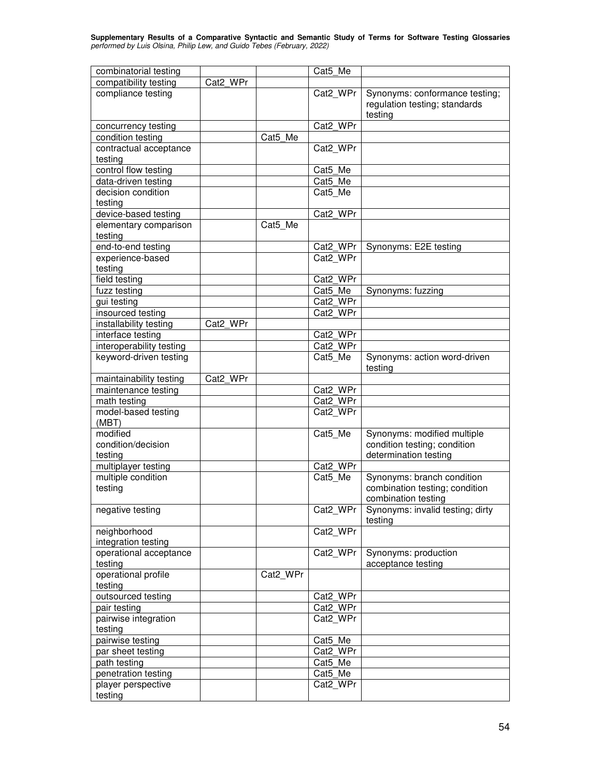| combinatorial testing    |          |          | Cat5 Me  |                                                                            |
|--------------------------|----------|----------|----------|----------------------------------------------------------------------------|
| compatibility testing    | Cat2 WPr |          |          |                                                                            |
| compliance testing       |          |          | Cat2_WPr | Synonyms: conformance testing;<br>regulation testing; standards<br>testing |
| concurrency testing      |          |          | Cat2 WPr |                                                                            |
| condition testing        |          | Cat5 Me  |          |                                                                            |
| contractual acceptance   |          |          | Cat2 WPr |                                                                            |
| testing                  |          |          |          |                                                                            |
| control flow testing     |          |          | Cat5 Me  |                                                                            |
| data-driven testing      |          |          | Cat5 Me  |                                                                            |
| decision condition       |          |          | Cat5 Me  |                                                                            |
| testing                  |          |          |          |                                                                            |
| device-based testing     |          |          | Cat2 WPr |                                                                            |
| elementary comparison    |          | Cat5_Me  |          |                                                                            |
| testing                  |          |          |          |                                                                            |
| end-to-end testing       |          |          | Cat2 WPr | Synonyms: E2E testing                                                      |
| experience-based         |          |          | Cat2 WPr |                                                                            |
| testing                  |          |          |          |                                                                            |
| field testing            |          |          | Cat2 WPr |                                                                            |
| fuzz testing             |          |          | Cat5 Me  | Synonyms: fuzzing                                                          |
| gui testing              |          |          | Cat2 WPr |                                                                            |
| insourced testing        |          |          | Cat2 WPr |                                                                            |
| installability testing   | Cat2 WPr |          |          |                                                                            |
| interface testing        |          |          | Cat2 WPr |                                                                            |
| interoperability testing |          |          | Cat2 WPr |                                                                            |
| keyword-driven testing   |          |          | Cat5 Me  | Synonyms: action word-driven                                               |
|                          |          |          |          | testing                                                                    |
| maintainability testing  | Cat2 WPr |          |          |                                                                            |
| maintenance testing      |          |          | Cat2 WPr |                                                                            |
| math testing             |          |          | Cat2 WPr |                                                                            |
| model-based testing      |          |          | Cat2 WPr |                                                                            |
| (MBT)                    |          |          |          |                                                                            |
| modified                 |          |          | Cat5_Me  | Synonyms: modified multiple                                                |
| condition/decision       |          |          |          | condition testing; condition                                               |
| testing                  |          |          |          | determination testing                                                      |
| multiplayer testing      |          |          | Cat2 WPr |                                                                            |
| multiple condition       |          |          | Cat5_Me  | Synonyms: branch condition                                                 |
| testing                  |          |          |          | combination testing; condition                                             |
|                          |          |          |          | combination testing                                                        |
| negative testing         |          |          | Cat2 WPr | Synonyms: invalid testing; dirty                                           |
|                          |          |          |          | testing                                                                    |
| neighborhood             |          |          | Cat2 WPr |                                                                            |
| integration testing      |          |          |          |                                                                            |
| operational acceptance   |          |          | Cat2 WPr | Synonyms: production                                                       |
| testing                  |          |          |          | acceptance testing                                                         |
| operational profile      |          | Cat2_WPr |          |                                                                            |
| testing                  |          |          |          |                                                                            |
| outsourced testing       |          |          | Cat2 WPr |                                                                            |
| pair testing             |          |          | Cat2 WPr |                                                                            |
| pairwise integration     |          |          | Cat2_WPr |                                                                            |
| testing                  |          |          |          |                                                                            |
| pairwise testing         |          |          | Cat5 Me  |                                                                            |
| par sheet testing        |          |          | Cat2 WPr |                                                                            |
| path testing             |          |          | Cat5 Me  |                                                                            |
| penetration testing      |          |          | Cat5_Me  |                                                                            |
| player perspective       |          |          | Cat2 WPr |                                                                            |
| testing                  |          |          |          |                                                                            |